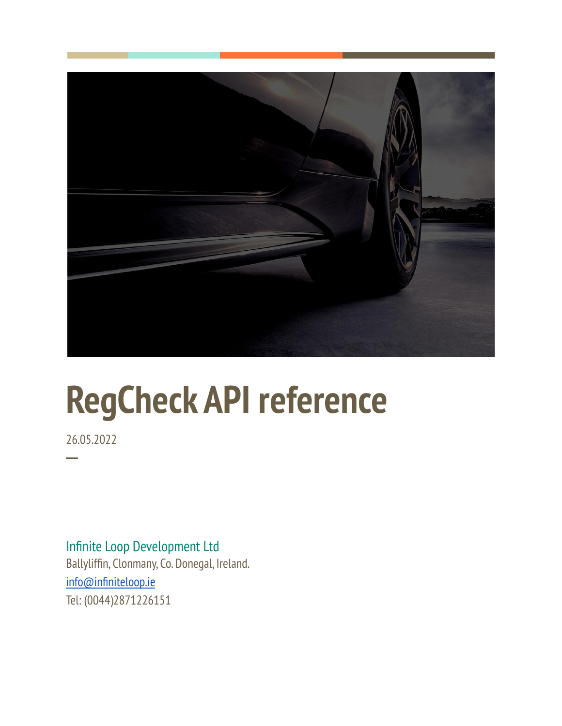

# **RegCheck API reference**

26.05.2022

**─**

Infinite Loop Development Ltd Ballyliffin, Clonmany, Co. Donegal, Ireland. [info@infiniteloop.ie](mailto:info@infiniteloop.ie) Tel: (0044)2871226151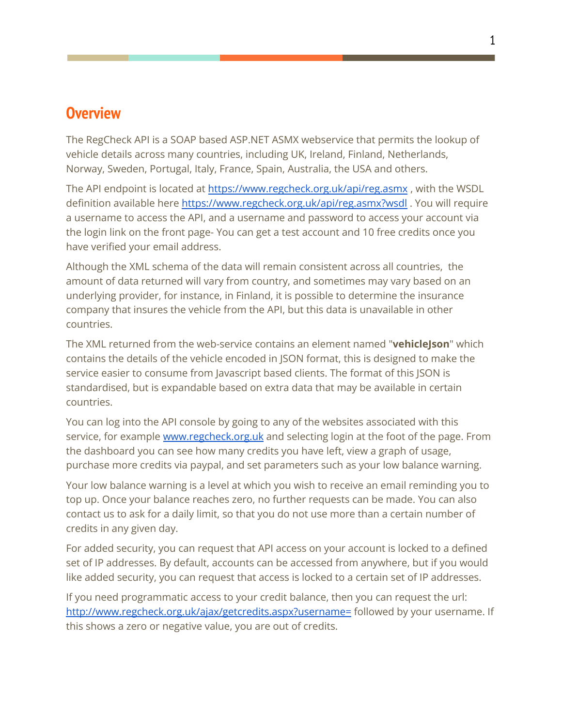### **Overview**

The RegCheck API is a SOAP based ASP.NET ASMX webservice that permits the lookup of vehicle details across many countries, including UK, Ireland, Finland, Netherlands, Norway, Sweden, Portugal, Italy, France, Spain, Australia, the USA and others.

The API endpoint is located at [https://www.regcheck.org.uk/api/reg.asmx](http://www.regcheck.org.uk/api/reg.asmx) , with the WSDL definition available here [https://www.regcheck.org.uk/api/reg.asmx?wsdl](http://www.regcheck.org.uk/api/reg.asmx?wsdl). You will require a username to access the API, and a username and password to access your account via the login link on the front page- You can get a test account and 10 free credits once you have verified your email address.

Although the XML schema of the data will remain consistent across all countries, the amount of data returned will vary from country, and sometimes may vary based on an underlying provider, for instance, in Finland, it is possible to determine the insurance company that insures the vehicle from the API, but this data is unavailable in other countries.

The XML returned from the web-service contains an element named "**vehicleJson**" which contains the details of the vehicle encoded in JSON format, this is designed to make the service easier to consume from Javascript based clients. The format of this JSON is standardised, but is expandable based on extra data that may be available in certain countries.

You can log into the API console by going to any of the websites associated with this service, for example [www.regcheck.org.uk](http://www.regcheck.org.uk) and selecting login at the foot of the page. From the dashboard you can see how many credits you have left, view a graph of usage, purchase more credits via paypal, and set parameters such as your low balance warning.

Your low balance warning is a level at which you wish to receive an email reminding you to top up. Once your balance reaches zero, no further requests can be made. You can also contact us to ask for a daily limit, so that you do not use more than a certain number of credits in any given day.

For added security, you can request that API access on your account is locked to a defined set of IP addresses. By default, accounts can be accessed from anywhere, but if you would like added security, you can request that access is locked to a certain set of IP addresses.

If you need programmatic access to your credit balance, then you can request the url: <http://www.regcheck.org.uk/ajax/getcredits.aspx?username=> followed by your username. If this shows a zero or negative value, you are out of credits.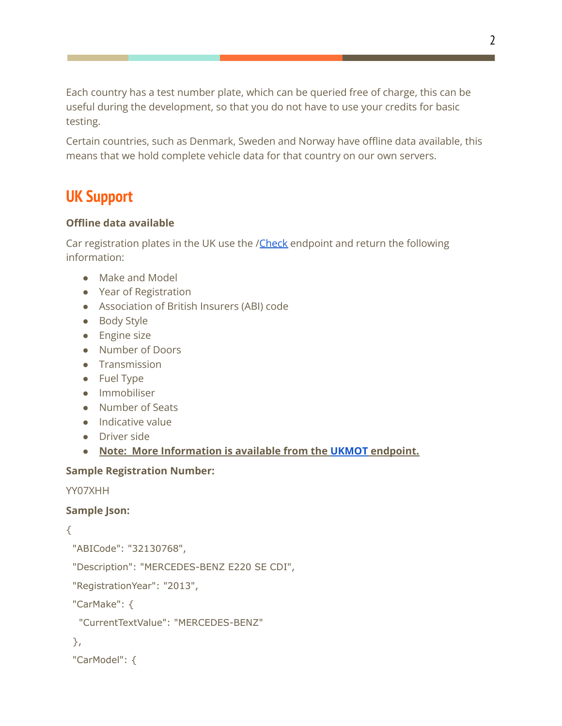Each country has a test number plate, which can be queried free of charge, this can be useful during the development, so that you do not have to use your credits for basic testing.

Certain countries, such as Denmark, Sweden and Norway have offline data available, this means that we hold complete vehicle data for that country on our own servers.

# **UK Support**

### **Offline data available**

Car registration plates in the UK use the /[Check](https://www.regcheck.org.uk/api/reg.asmx?op=Check) endpoint and return the following information:

- Make and Model
- Year of Registration
- Association of British Insurers (ABI) code
- Body Style
- Engine size
- Number of Doors
- Transmission
- Fuel Type
- Immobiliser
- Number of Seats
- Indicative value
- Driver side
- **● Note: More Information is available from the [UKMOT](https://www.regcheck.org.uk/api/reg.asmx?op=UKMOT) endpoint.**

#### **Sample Registration Number:**

YY07XHH

### **Sample Json:**

### {

```
"ABICode": "32130768",
```
"Description": "MERCEDES-BENZ E220 SE CDI",

"RegistrationYear": "2013",

"CarMake": {

```
"CurrentTextValue": "MERCEDES-BENZ"
```

```
},
```

```
"CarModel": {
```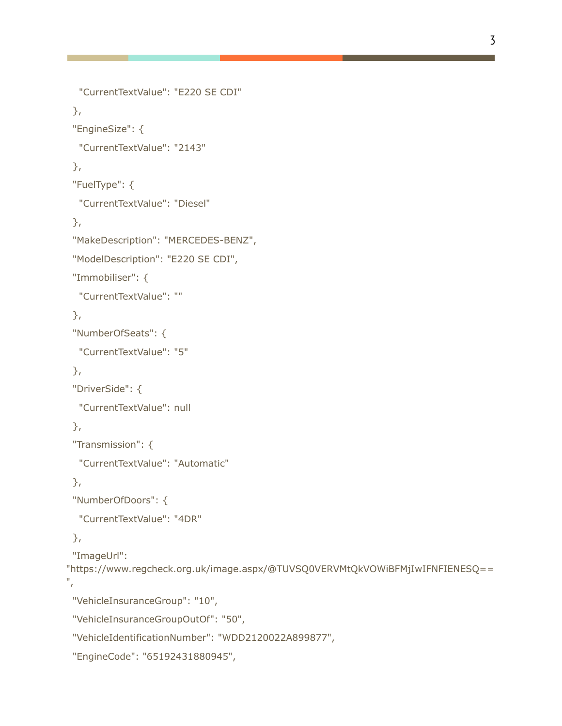```
"CurrentTextValue": "E220 SE CDI"
 },
 "EngineSize": {
  "CurrentTextValue": "2143"
 },
 "FuelType": {
  "CurrentTextValue": "Diesel"
},
 "MakeDescription": "MERCEDES-BENZ",
 "ModelDescription": "E220 SE CDI",
 "Immobiliser": {
  "CurrentTextValue": ""
 },
 "NumberOfSeats": {
  "CurrentTextValue": "5"
 },
 "DriverSide": {
  "CurrentTextValue": null
 },
 "Transmission": {
  "CurrentTextValue": "Automatic"
 },
 "NumberOfDoors": {
  "CurrentTextValue": "4DR"
 },
 "ImageUrl":
"https://www.regcheck.org.uk/image.aspx/@TUVSQ0VERVMtQkVOWiBFMjIwIFNFIENESQ==
",
 "VehicleInsuranceGroup": "10",
 "VehicleInsuranceGroupOutOf": "50",
 "VehicleIdentificationNumber": "WDD2120022A899877",
 "EngineCode": "65192431880945",
```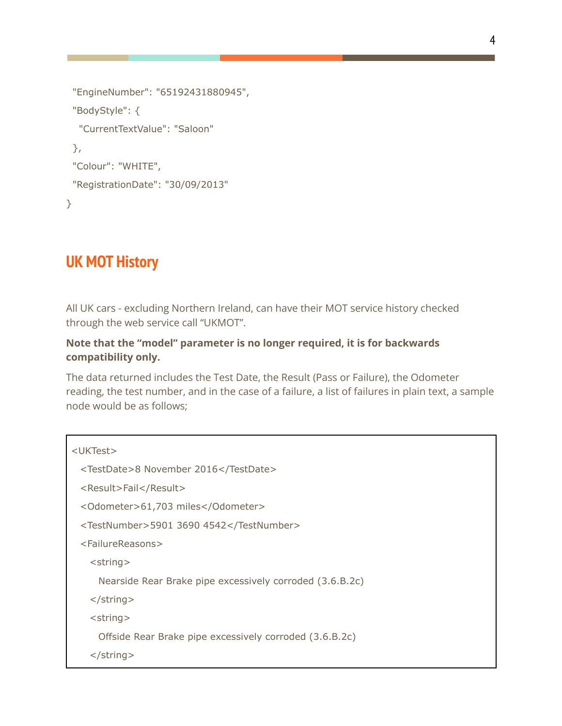```
"EngineNumber": "65192431880945",
 "BodyStyle": {
  "CurrentTextValue": "Saloon"
 },
 "Colour": "WHITE",
 "RegistrationDate": "30/09/2013"
}
```
### **UK MOT History**

All UK cars - excluding Northern Ireland, can have their MOT service history checked through the web service call "UKMOT".

### **Note that the "model" parameter is no longer required, it is for backwards compatibility only.**

The data returned includes the Test Date, the Result (Pass or Failure), the Odometer reading, the test number, and in the case of a failure, a list of failures in plain text, a sample node would be as follows;

```
<UKTest>
 <TestDate>8 November 2016</TestDate>
 <Result>Fail</Result>
 <Odometer>61,703 miles</Odometer>
 <TestNumber>5901 3690 4542</TestNumber>
 <FailureReasons>
   <string>
     Nearside Rear Brake pipe excessively corroded (3.6.B.2c)
   </string>
   <string>
     Offside Rear Brake pipe excessively corroded (3.6.B.2c)
   </string>
```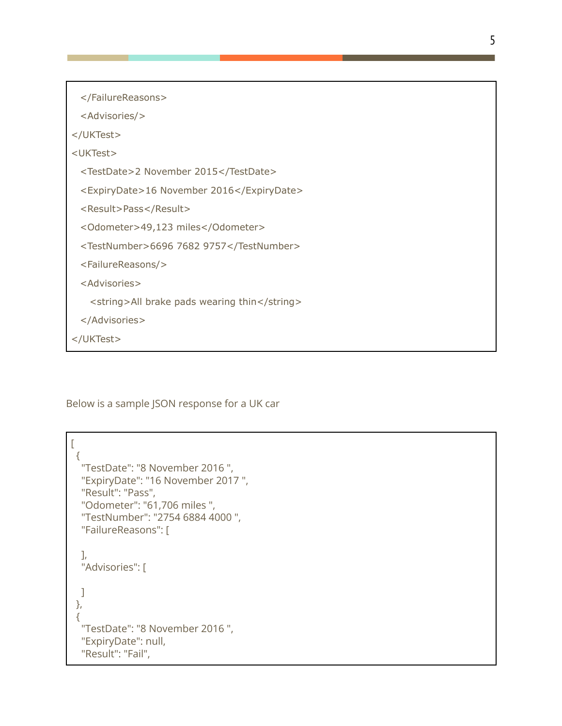</FailureReasons> <Advisories/> </UKTest> <UKTest> <TestDate>2 November 2015</TestDate> <ExpiryDate>16 November 2016</ExpiryDate> <Result>Pass</Result> <Odometer>49,123 miles</Odometer> <TestNumber>6696 7682 9757</TestNumber> <FailureReasons/> <Advisories> <string>All brake pads wearing thin</string> </Advisories> </UKTest>

Below is a sample JSON response for a UK car

```
\overline{[}{
 "TestDate": "8 November 2016 ",
 "ExpiryDate": "16 November 2017 ",
 "Result": "Pass",
 "Odometer": "61,706 miles ",
 "TestNumber": "2754 6884 4000 ",
 "FailureReasons": [
  ],
 "Advisories": [
 ]
},
{
  "TestDate": "8 November 2016 ",
 "ExpiryDate": null,
 "Result": "Fail",
```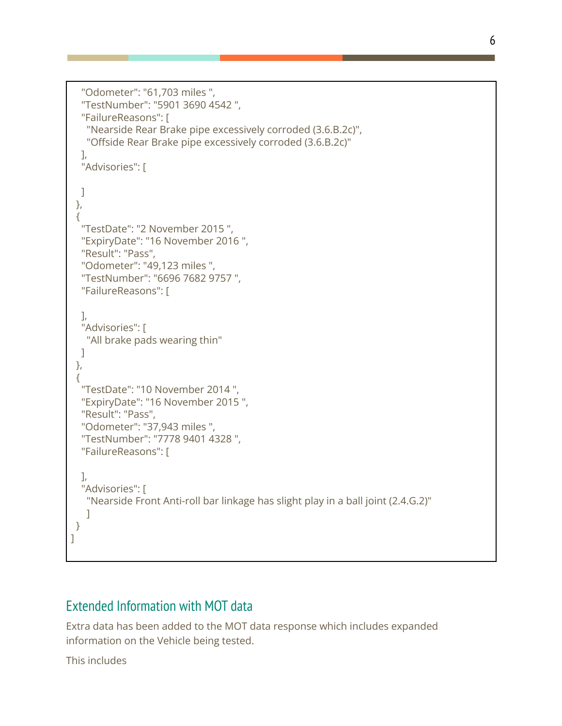```
"Odometer": "61,703 miles ",
  "TestNumber": "5901 3690 4542 ",
  "FailureReasons": [
   "Nearside Rear Brake pipe excessively corroded (3.6.B.2c)",
   "Offside Rear Brake pipe excessively corroded (3.6.B.2c)"
  ],
  "Advisories": [
 ]
},
 {
  "TestDate": "2 November 2015 ",
  "ExpiryDate": "16 November 2016 ",
  "Result": "Pass",
  "Odometer": "49,123 miles ",
  "TestNumber": "6696 7682 9757 ",
  "FailureReasons": [
  ],
  "Advisories": [
   "All brake pads wearing thin"
 ]
},
 {
  "TestDate": "10 November 2014 ",
  "ExpiryDate": "16 November 2015 ",
  "Result": "Pass",
  "Odometer": "37,943 miles ",
  "TestNumber": "7778 9401 4328 ",
  "FailureReasons": [
  ],
  "Advisories": [
   "Nearside Front Anti-roll bar linkage has slight play in a ball joint (2.4.G.2)"
   \mathbf{I}}
]
```
### Extended Information with MOT data

Extra data has been added to the MOT data response which includes expanded information on the Vehicle being tested.

This includes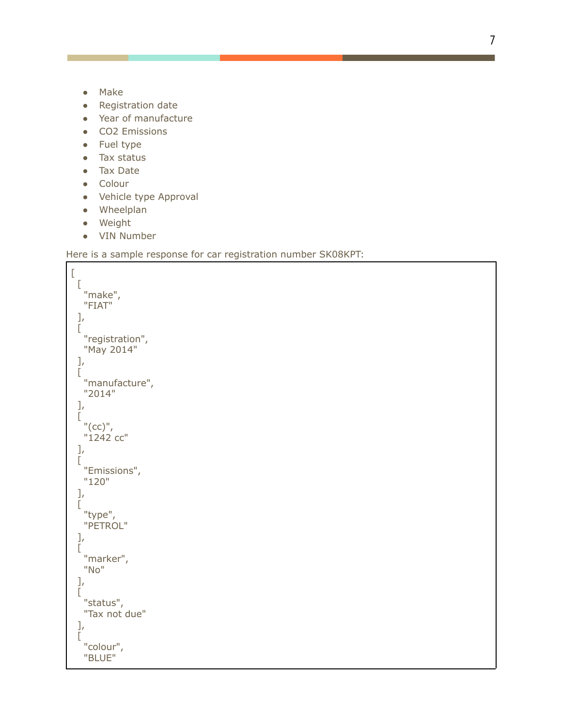- Make
- Registration date
- Year of manufacture
- CO2 Emissions
- F u el t y p e
- Tax status
- Tax Date
- Colour
- Vehicle type Approval
- Wheelplan
- Weight
- VIN Number

#### Here is a sample response for car registration number SK08KPT:

```
\overline{\text{L}}\lbrack"make", "FIAT" ],[ "registration", "May 2014" ],[ "manufacture", "2014" ],[ "(cc)", "1242 cc" ],[ "Emissions", "120" ],
   "type", "PETROL" ],[ "marker", "No" ],[ "status", "Tax not due" ],[ "colour", "BLUE"
```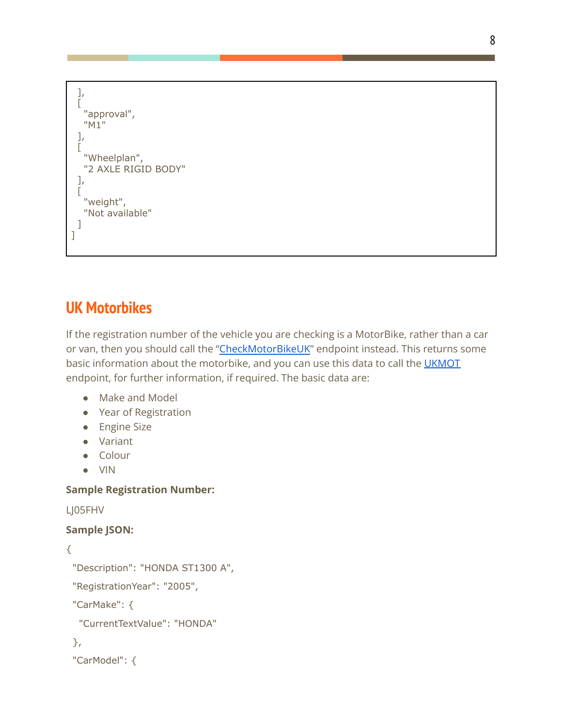```
],
 [
  "approval",
  "M1"
 ],
 [
  "Wheelplan",
  "2 AXLE RIGID BODY"
 ],
 [
  "weight",
  "Not available"
 ]
]
```
## **UK Motorbikes**

If the registration number of the vehicle you are checking is a MotorBike, rather than a car or van, then you should call the ["CheckMotorBikeUK](https://www.regcheck.org.uk/api/reg.asmx?op=CheckMotorBikeUK)" endpoint instead. This returns some basic information about the motorbike, and you can use this data to call the [UKMOT](https://www.regcheck.org.uk/api/reg.asmx?op=UKMOT) endpoint, for further information, if required. The basic data are:

- Make and Model
- Year of Registration
- Engine Size
- Variant
- Colour
- VIN

### **Sample Registration Number:**

LJ05FHV

### **Sample JSON:**

```
{
```

```
"Description": "HONDA ST1300 A",
```
"RegistrationYear": "2005",

"CarMake": {

```
"CurrentTextValue": "HONDA"
```

```
},
```

```
"CarModel": {
```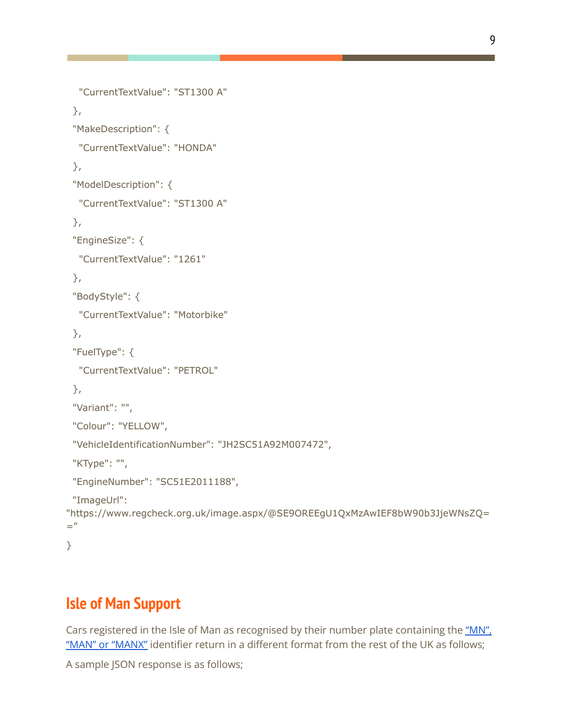```
"CurrentTextValue": "ST1300 A"
 },
 "MakeDescription": {
  "CurrentTextValue": "HONDA"
 },
 "ModelDescription": {
  "CurrentTextValue": "ST1300 A"
 },
 "EngineSize": {
  "CurrentTextValue": "1261"
 },
 "BodyStyle": {
  "CurrentTextValue": "Motorbike"
 },
 "FuelType": {
  "CurrentTextValue": "PETROL"
 },
 "Variant": "",
 "Colour": "YELLOW",
 "VehicleIdentificationNumber": "JH2SC51A92M007472",
 "KType": "",
 "EngineNumber": "SC51E2011188",
 "ImageUrl":
"https://www.regcheck.org.uk/image.aspx/@SE9OREEgU1QxMzAwIEF8bW90b3JjeWNsZQ=
="
```
}

## **Isle of Man Support**

Cars registered in the Isle of Man as recognised by their number plate containing the "MN". "MAN" or ["MANX"](https://en.wikipedia.org/wiki/Vehicle_registration_plates_of_the_Isle_of_Man) identifier return in a different format from the rest of the UK as follows;

A sample JSON response is as follows;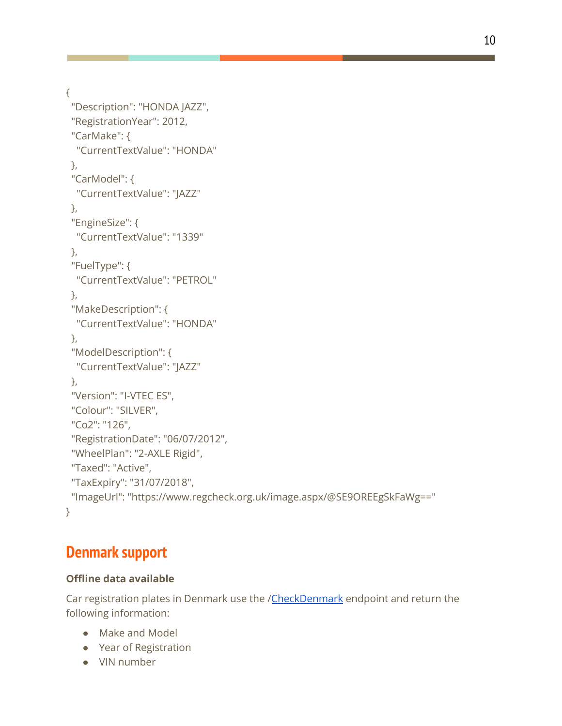{

```
"Description": "HONDA JAZZ",
 "RegistrationYear": 2012,
 "CarMake": {
  "CurrentTextValue": "HONDA"
 },
 "CarModel": {
  "CurrentTextValue": "JAZZ"
 },
 "EngineSize": {
  "CurrentTextValue": "1339"
 },
 "FuelType": {
  "CurrentTextValue": "PETROL"
 },
 "MakeDescription": {
  "CurrentTextValue": "HONDA"
 },
 "ModelDescription": {
  "CurrentTextValue": "JAZZ"
 },
 "Version": "I-VTEC ES",
 "Colour": "SILVER",
 "Co2": "126",
 "RegistrationDate": "06/07/2012",
 "WheelPlan": "2-AXLE Rigid",
 "Taxed": "Active",
 "TaxExpiry": "31/07/2018",
 "ImageUrl": "https://www.regcheck.org.uk/image.aspx/@SE9OREEgSkFaWg=="
}
```
# **Denmark support**

### **Offline data available**

Car registration plates in Denmark use the /[CheckDenmark](http://dk.registreringsnummerapi.com/api/reg.asmx?op=CheckDenmark) endpoint and return the following information:

- Make and Model
- Year of Registration
- VIN number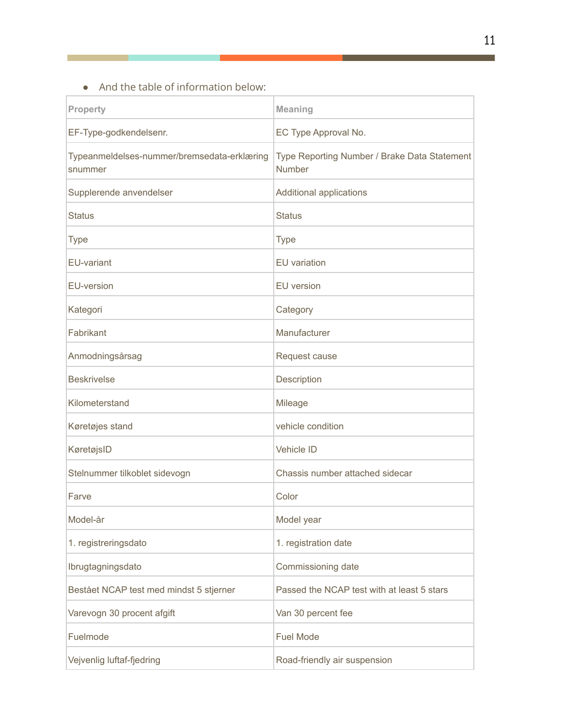● And the table of information below:

| <b>Property</b>                                        | <b>Meaning</b>                                                |
|--------------------------------------------------------|---------------------------------------------------------------|
| EF-Type-godkendelsenr.                                 | EC Type Approval No.                                          |
| Typeanmeldelses-nummer/bremsedata-erklæring<br>snummer | Type Reporting Number / Brake Data Statement<br><b>Number</b> |
| Supplerende anvendelser                                | <b>Additional applications</b>                                |
| <b>Status</b>                                          | <b>Status</b>                                                 |
| <b>Type</b>                                            | <b>Type</b>                                                   |
| <b>EU-variant</b>                                      | <b>EU</b> variation                                           |
| <b>EU-version</b>                                      | <b>EU</b> version                                             |
| Kategori                                               | Category                                                      |
| Fabrikant                                              | Manufacturer                                                  |
| Anmodningsårsag                                        | Request cause                                                 |
| <b>Beskrivelse</b>                                     | Description                                                   |
| Kilometerstand                                         | Mileage                                                       |
| Køretøjes stand                                        | vehicle condition                                             |
| KøretøjsID                                             | <b>Vehicle ID</b>                                             |
| Stelnummer tilkoblet sidevogn                          | Chassis number attached sidecar                               |
| Farve                                                  | Color                                                         |
| Model-år                                               | Model year                                                    |
| 1. registreringsdato                                   | 1. registration date                                          |
| Ibrugtagningsdato                                      | Commissioning date                                            |
| Bestået NCAP test med mindst 5 stjerner                | Passed the NCAP test with at least 5 stars                    |
| Varevogn 30 procent afgift                             | Van 30 percent fee                                            |
| Fuelmode                                               | <b>Fuel Mode</b>                                              |
| Vejvenlig luftaf-fjedring                              | Road-friendly air suspension                                  |

an an I

<u>i</u> bilan kacamatan ing Kabupatèn Kabupatèn Kabupatèn Kabupatèn Kabupatèn Kabupatèn Kabupatèn Kabupatèn Kabupatèn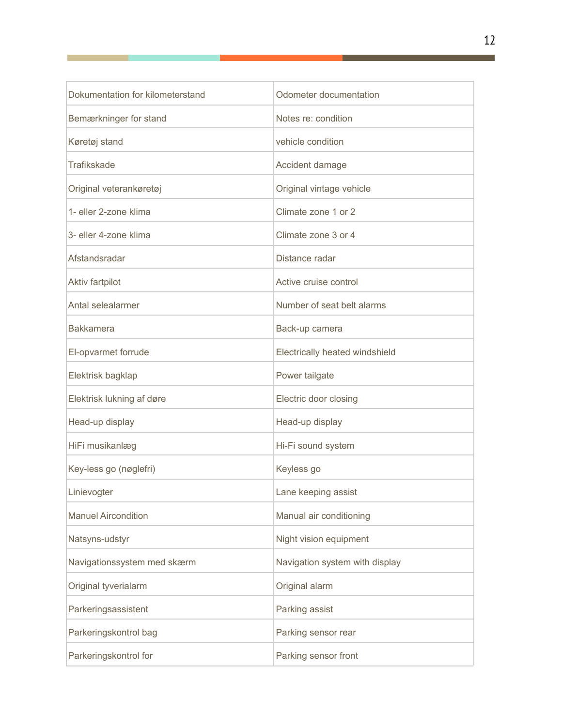| Dokumentation for kilometerstand | Odometer documentation         |
|----------------------------------|--------------------------------|
| Bemærkninger for stand           | Notes re: condition            |
| Køretøj stand                    | vehicle condition              |
| Trafikskade                      | Accident damage                |
| Original veterankøretøj          | Original vintage vehicle       |
| 1- eller 2-zone klima            | Climate zone 1 or 2            |
| 3- eller 4-zone klima            | Climate zone 3 or 4            |
| Afstandsradar                    | Distance radar                 |
| Aktiv fartpilot                  | Active cruise control          |
| Antal selealarmer                | Number of seat belt alarms     |
| <b>Bakkamera</b>                 | Back-up camera                 |
| El-opvarmet forrude              | Electrically heated windshield |
| Elektrisk bagklap                | Power tailgate                 |
| Elektrisk lukning af døre        | Electric door closing          |
| Head-up display                  | Head-up display                |
| HiFi musikanlæg                  | Hi-Fi sound system             |
| Key-less go (nøglefri)           | Keyless go                     |
| Linievogter                      | Lane keeping assist            |
| <b>Manuel Aircondition</b>       | Manual air conditioning        |
| Natsyns-udstyr                   | Night vision equipment         |
| Navigationssystem med skærm      | Navigation system with display |
| Original tyverialarm             | Original alarm                 |
| Parkeringsassistent              | Parking assist                 |
| Parkeringskontrol bag            | Parking sensor rear            |
| Parkeringskontrol for            | Parking sensor front           |

L

 $\mathbb{R}^n$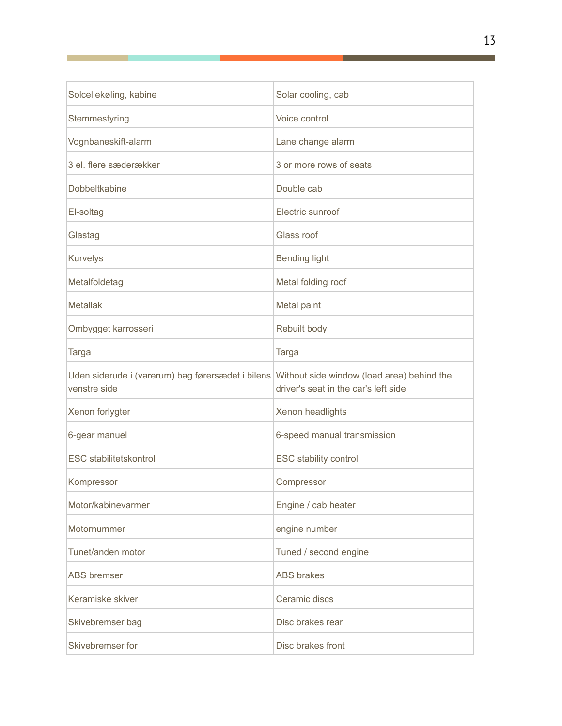| Solcellekøling, kabine                                            | Solar cooling, cab                                                                 |
|-------------------------------------------------------------------|------------------------------------------------------------------------------------|
| Stemmestyring                                                     | Voice control                                                                      |
| Vognbaneskift-alarm                                               | Lane change alarm                                                                  |
| 3 el. flere sæderækker                                            | 3 or more rows of seats                                                            |
| Dobbeltkabine                                                     | Double cab                                                                         |
| El-soltag                                                         | Electric sunroof                                                                   |
| Glastag                                                           | Glass roof                                                                         |
| Kurvelys                                                          | <b>Bending light</b>                                                               |
| Metalfoldetag                                                     | Metal folding roof                                                                 |
| <b>Metallak</b>                                                   | Metal paint                                                                        |
| Ombygget karrosseri                                               | Rebuilt body                                                                       |
| <b>Targa</b>                                                      | <b>Targa</b>                                                                       |
| Uden siderude i (varerum) bag førersædet i bilens<br>venstre side | Without side window (load area) behind the<br>driver's seat in the car's left side |
| Xenon forlygter                                                   | Xenon headlights                                                                   |
| 6-gear manuel                                                     | 6-speed manual transmission                                                        |
| <b>ESC</b> stabilitetskontrol                                     | <b>ESC stability control</b>                                                       |
| Kompressor                                                        | Compressor                                                                         |
| Motor/kabinevarmer                                                | Engine / cab heater                                                                |
| Motornummer                                                       | engine number                                                                      |
| Tunet/anden motor                                                 | Tuned / second engine                                                              |
| <b>ABS</b> bremser                                                | <b>ABS</b> brakes                                                                  |
| Keramiske skiver                                                  | Ceramic discs                                                                      |
| Skivebremser bag                                                  | Disc brakes rear                                                                   |
| Skivebremser for                                                  | Disc brakes front                                                                  |

F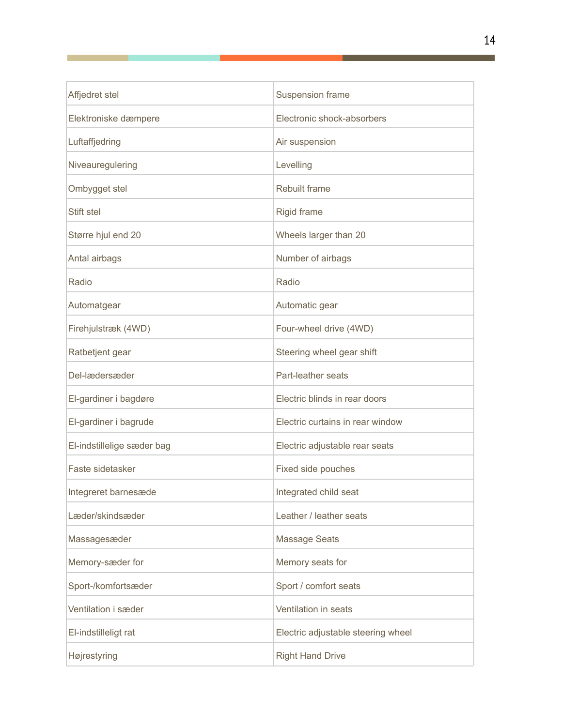| Affjedret stel             | Suspension frame                   |
|----------------------------|------------------------------------|
| Elektroniske dæmpere       | Electronic shock-absorbers         |
| Luftaffjedring             | Air suspension                     |
| Niveauregulering           | Levelling                          |
| Ombygget stel              | <b>Rebuilt frame</b>               |
| Stift stel                 | <b>Rigid frame</b>                 |
| Større hjul end 20         | Wheels larger than 20              |
| Antal airbags              | Number of airbags                  |
| Radio                      | Radio                              |
| Automatgear                | Automatic gear                     |
| Firehjulstræk (4WD)        | Four-wheel drive (4WD)             |
| Ratbetjent gear            | Steering wheel gear shift          |
| Del-lædersæder             | Part-leather seats                 |
| El-gardiner i bagdøre      | Electric blinds in rear doors      |
| El-gardiner i bagrude      | Electric curtains in rear window   |
| El-indstillelige sæder bag | Electric adjustable rear seats     |
| Faste sidetasker           | Fixed side pouches                 |
| Integreret barnesæde       | Integrated child seat              |
| Læder/skindsæder           | Leather / leather seats            |
| Massagesæder               | <b>Massage Seats</b>               |
| Memory-sæder for           | Memory seats for                   |
| Sport-/komfortsæder        | Sport / comfort seats              |
| Ventilation i sæder        | Ventilation in seats               |
| El-indstilleligt rat       | Electric adjustable steering wheel |
| Højrestyring               | <b>Right Hand Drive</b>            |

Г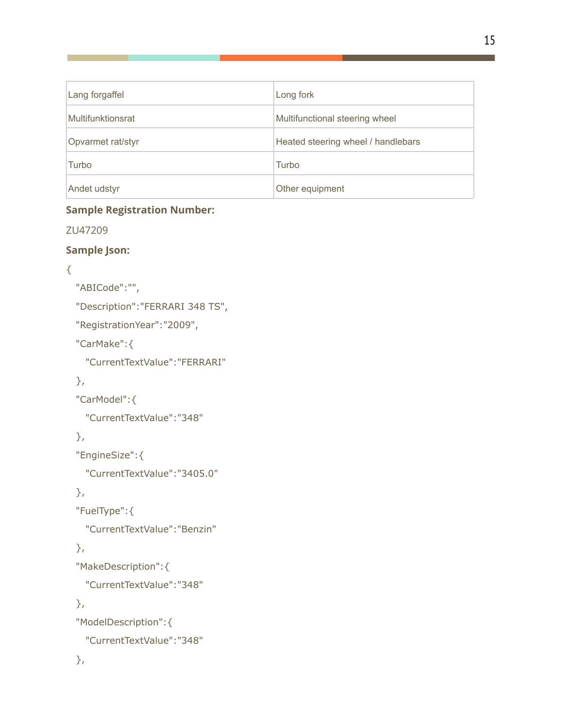| Lang forgaffel    | Long fork                          |
|-------------------|------------------------------------|
| Multifunktionsrat | Multifunctional steering wheel     |
| Opvarmet rat/styr | Heated steering wheel / handlebars |
| Turbo             | Turbo                              |
| Andet udstyr      | Other equipment                    |

### **Sample Registration Number:**

ZU47209

### **Sample Json:**

```
{
```

```
"ABICode":"",
```

```
"Description":"FERRARI 348 TS",
```
"RegistrationYear":"2009",

"CarMake":{

"CurrentTextValue":"FERRARI"

### },

"CarModel":{

"CurrentTextValue":"348"

### },

```
"EngineSize":{
```
"CurrentTextValue":"3405.0"

### },

```
"FuelType":{
```
"CurrentTextValue":"Benzin"

### },

```
"MakeDescription":{
```
"CurrentTextValue":"348"

### },

```
"ModelDescription":{
```

```
"CurrentTextValue":"348"
```

```
},
```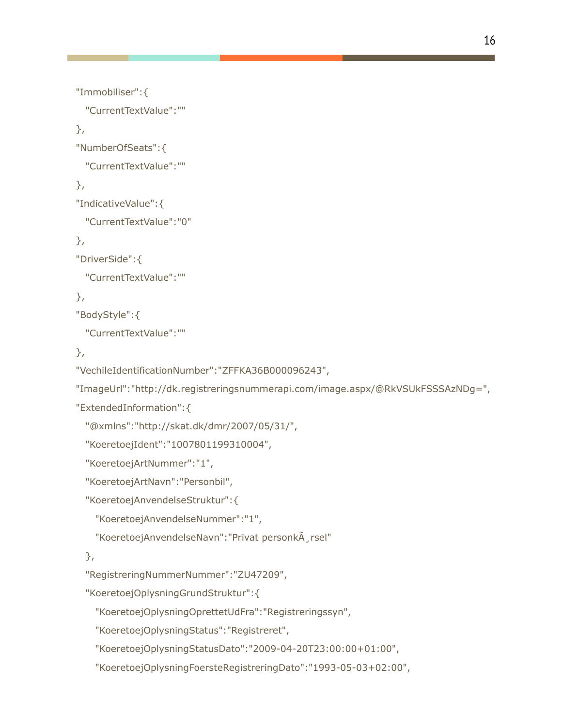```
"Immobiliser":{
  "CurrentTextValue":""
"NumberOfSeats":{
 "CurrentTextValue":""
"IndicativeValue":{
 "CurrentTextValue":"0"
"DriverSide":{
 "CurrentTextValue":""
"BodyStyle":{
 "CurrentTextValue":""
"VechileIdentificationNumber":"ZFFKA36B000096243",
"ImageUrl":"http://dk.registreringsnummerapi.com/image.aspx/@RkVSUkFSSSAzNDg=",
"ExtendedInformation":{
  "@xmlns":"http://skat.dk/dmr/2007/05/31/",
  "KoeretoejIdent":"1007801199310004",
 "KoeretoejArtNummer":"1",
  "KoeretoejArtNavn":"Personbil",
  "KoeretoejAnvendelseStruktur":{
    "KoeretoejAnvendelseNummer":"1",
   "KoeretoejAnvendelseNavn": "Privat personk\tilde{A}, rsel"
  "RegistreringNummerNummer":"ZU47209",
  "KoeretoejOplysningGrundStruktur":{
    "KoeretoejOplysningOprettetUdFra":"Registreringssyn",
   "KoeretoejOplysningStatus":"Registreret",
    "KoeretoejOplysningStatusDato":"2009-04-20T23:00:00+01:00",
```
},

},

},

},

},

},

"KoeretoejOplysningFoersteRegistreringDato":"1993-05-03+02:00",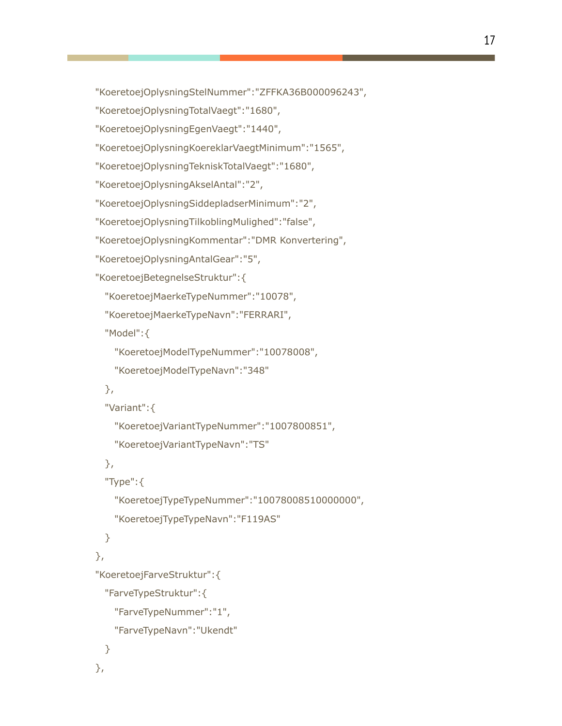```
"KoeretoejOplysningStelNummer":"ZFFKA36B000096243",
```

```
"KoeretoejOplysningTotalVaegt":"1680",
```

```
"KoeretoejOplysningEgenVaegt":"1440",
```

```
"KoeretoejOplysningKoereklarVaegtMinimum":"1565",
```
"KoeretoejOplysningTekniskTotalVaegt":"1680",

```
"KoeretoejOplysningAkselAntal":"2",
```

```
"KoeretoejOplysningSiddepladserMinimum":"2",
```

```
"KoeretoejOplysningTilkoblingMulighed":"false",
```

```
"KoeretoejOplysningKommentar":"DMR Konvertering",
```

```
"KoeretoejOplysningAntalGear":"5",
```

```
"KoeretoejBetegnelseStruktur":{
```

```
"KoeretoejMaerkeTypeNummer":"10078",
```

```
"KoeretoejMaerkeTypeNavn":"FERRARI",
```
"Model":{

```
"KoeretoejModelTypeNummer":"10078008",
```

```
"KoeretoejModelTypeNavn":"348"
```
### },

```
"Variant":{
```

```
"KoeretoejVariantTypeNummer":"1007800851",
```

```
"KoeretoejVariantTypeNavn":"TS"
```
### },

```
"Type":{
```

```
"KoeretoejTypeTypeNummer":"10078008510000000",
```

```
"KoeretoejTypeTypeNavn":"F119AS"
```
### }

### },

```
"KoeretoejFarveStruktur":{
```

```
"FarveTypeStruktur":{
```

```
"FarveTypeNummer":"1",
```

```
"FarveTypeNavn":"Ukendt"
```
### } },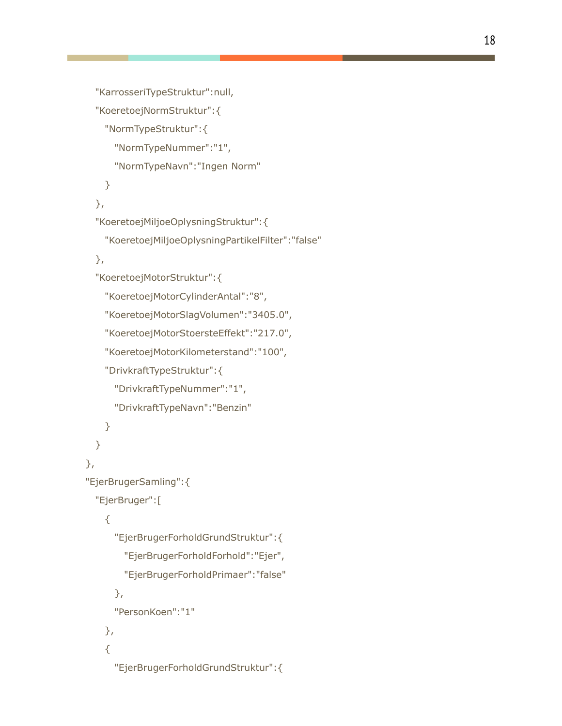```
"KarrosseriTypeStruktur":null,
  "KoeretoejNormStruktur":{
    "NormTypeStruktur":{
      "NormTypeNummer":"1",
     "NormTypeNavn":"Ingen Norm"
   }
  },
  "KoeretoejMiljoeOplysningStruktur":{
   "KoeretoejMiljoeOplysningPartikelFilter":"false"
  },
  "KoeretoejMotorStruktur":{
   "KoeretoejMotorCylinderAntal":"8",
   "KoeretoejMotorSlagVolumen":"3405.0",
   "KoeretoejMotorStoersteEffekt":"217.0",
    "KoeretoejMotorKilometerstand":"100",
   "DrivkraftTypeStruktur":{
     "DrivkraftTypeNummer":"1",
     "DrivkraftTypeNavn":"Benzin"
   }
 }
},
"EjerBrugerSamling":{
  "EjerBruger":[
    {
      "EjerBrugerForholdGrundStruktur":{
       "EjerBrugerForholdForhold":"Ejer",
       "EjerBrugerForholdPrimaer":"false"
     },
      "PersonKoen":"1"
   },
   {
      "EjerBrugerForholdGrundStruktur":{
```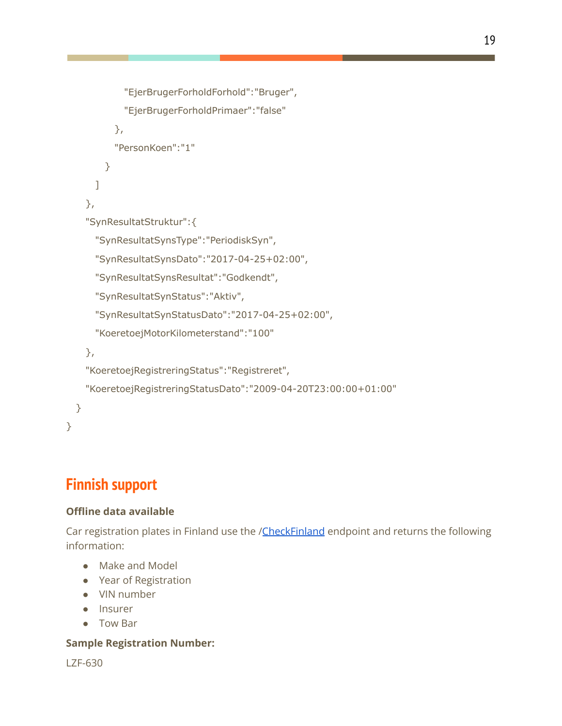```
"EjerBrugerForholdPrimaer":"false"
         },
          "PersonKoen":"1"
       }
     ]
    },
    "SynResultatStruktur":{
      "SynResultatSynsType":"PeriodiskSyn",
      "SynResultatSynsDato":"2017-04-25+02:00",
      "SynResultatSynsResultat":"Godkendt",
      "SynResultatSynStatus":"Aktiv",
      "SynResultatSynStatusDato":"2017-04-25+02:00",
      "KoeretoejMotorKilometerstand":"100"
   },
   "KoeretoejRegistreringStatus":"Registreret",
   "KoeretoejRegistreringStatusDato":"2009-04-20T23:00:00+01:00"
 }
}
```
"EjerBrugerForholdForhold":"Bruger",

# **Finnish support**

### **Offline data available**

Car registration plates in Finland use the /[CheckFinland](http://www.rekisterinumeroapi.com/api/reg.asmx?op=CheckFinland) endpoint and returns the following information:

- Make and Model
- Year of Registration
- VIN number
- Insurer
- Tow Bar

### **Sample Registration Number:**

LZF-630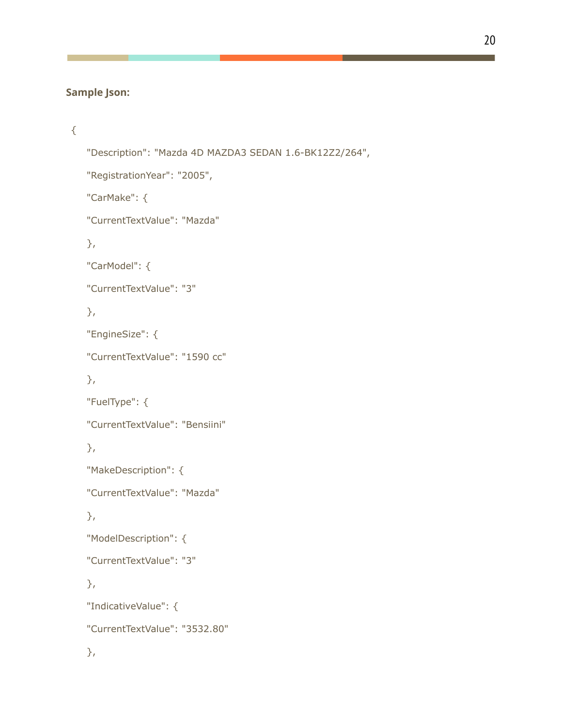### **Sample Json:**

```
{
   "Description": "Mazda 4D MAZDA3 SEDAN 1.6-BK12Z2/264",
   "RegistrationYear": "2005",
   "CarMake": {
   "CurrentTextValue": "Mazda"
   },
   "CarModel": {
   "CurrentTextValue": "3"
   },
   "EngineSize": {
   "CurrentTextValue": "1590 cc"
   },
   "FuelType": {
   "CurrentTextValue": "Bensiini"
   },
   "MakeDescription": {
   "CurrentTextValue": "Mazda"
   },
   "ModelDescription": {
   "CurrentTextValue": "3"
   },
   "IndicativeValue": {
   "CurrentTextValue": "3532.80"
   },
```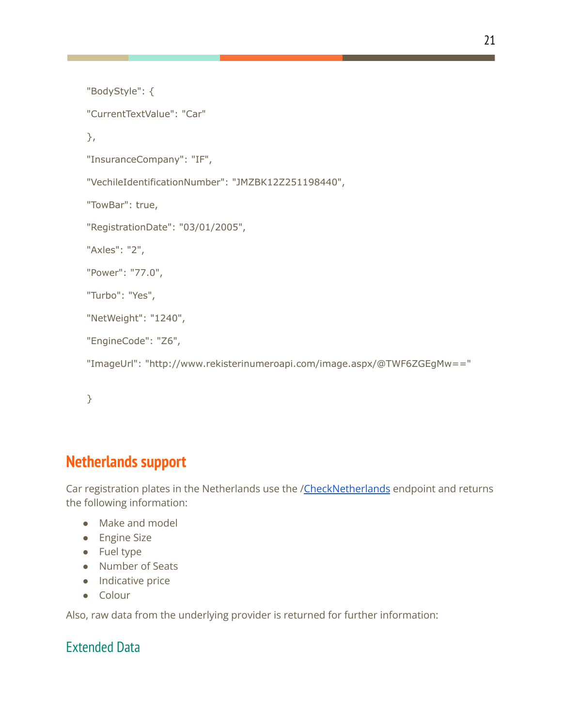```
"BodyStyle": {
"CurrentTextValue": "Car"
},
"InsuranceCompany": "IF",
"VechileIdentificationNumber": "JMZBK12Z251198440",
"TowBar": true,
"RegistrationDate": "03/01/2005",
"Axles": "2",
"Power": "77.0",
"Turbo": "Yes",
"NetWeight": "1240",
"EngineCode": "Z6",
"ImageUrl": "http://www.rekisterinumeroapi.com/image.aspx/@TWF6ZGEgMw=="
```

```
}
```
# **Netherlands support**

Car registration plates in the Netherlands use the [/CheckNetherlands](http://www.kentekenapi.com/api/reg.asmx?op=CheckNetherlands) endpoint and returns the following information:

- Make and model
- Engine Size
- Fuel type
- Number of Seats
- Indicative price
- Colour

Also, raw data from the underlying provider is returned for further information:

### Extended Data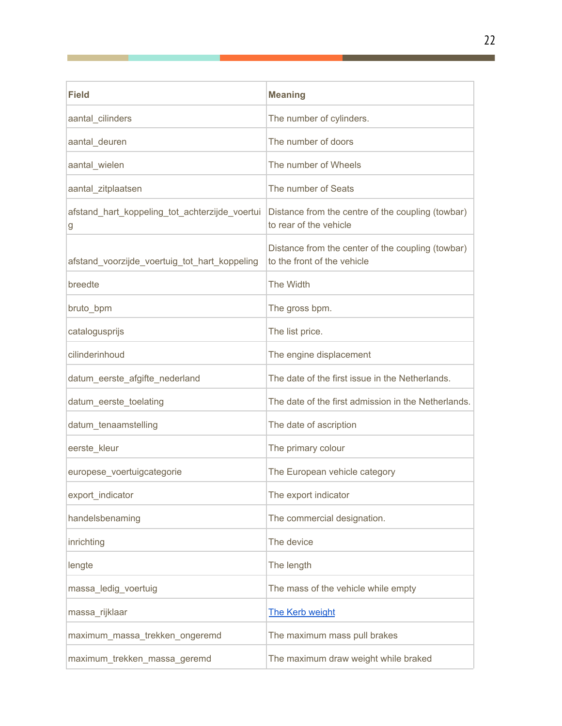| <b>Field</b>                                        | <b>Meaning</b>                                                                   |
|-----------------------------------------------------|----------------------------------------------------------------------------------|
| aantal_cilinders                                    | The number of cylinders.                                                         |
| aantal_deuren                                       | The number of doors                                                              |
| aantal_wielen                                       | The number of Wheels                                                             |
| aantal_zitplaatsen                                  | The number of Seats                                                              |
| afstand_hart_koppeling_tot_achterzijde_voertui<br>g | Distance from the centre of the coupling (towbar)<br>to rear of the vehicle      |
| afstand_voorzijde_voertuig_tot_hart_koppeling       | Distance from the center of the coupling (towbar)<br>to the front of the vehicle |
| breedte                                             | The Width                                                                        |
| bruto_bpm                                           | The gross bpm.                                                                   |
| catalogusprijs                                      | The list price.                                                                  |
| cilinderinhoud                                      | The engine displacement                                                          |
| datum_eerste_afgifte_nederland                      | The date of the first issue in the Netherlands.                                  |
| datum_eerste_toelating                              | The date of the first admission in the Netherlands.                              |
| datum_tenaamstelling                                | The date of ascription                                                           |
| eerste_kleur                                        | The primary colour                                                               |
| europese_voertuigcategorie                          | The European vehicle category                                                    |
| export_indicator                                    | The export indicator                                                             |
| handelsbenaming                                     | The commercial designation.                                                      |
| inrichting                                          | The device                                                                       |
| lengte                                              | The length                                                                       |
| massa_ledig_voertuig                                | The mass of the vehicle while empty                                              |
| massa_rijklaar                                      | The Kerb weight                                                                  |
| maximum_massa_trekken_ongeremd                      | The maximum mass pull brakes                                                     |
| maximum_trekken_massa_geremd                        | The maximum draw weight while braked                                             |

Г

Г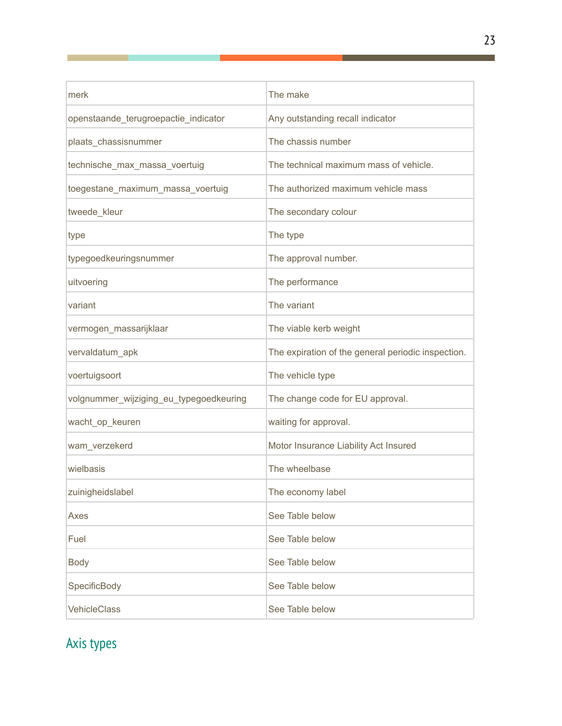| merk                                    | The make                                           |
|-----------------------------------------|----------------------------------------------------|
| openstaande_terugroepactie_indicator    | Any outstanding recall indicator                   |
| plaats_chassisnummer                    | The chassis number                                 |
| technische_max_massa_voertuig           | The technical maximum mass of vehicle.             |
| toegestane_maximum_massa_voertuig       | The authorized maximum vehicle mass                |
| tweede_kleur                            | The secondary colour                               |
| type                                    | The type                                           |
| typegoedkeuringsnummer                  | The approval number.                               |
| uitvoering                              | The performance                                    |
| variant                                 | The variant                                        |
| vermogen_massarijklaar                  | The viable kerb weight                             |
| vervaldatum_apk                         | The expiration of the general periodic inspection. |
| voertuigsoort                           | The vehicle type                                   |
| volgnummer_wijziging_eu_typegoedkeuring | The change code for EU approval.                   |
| wacht_op_keuren                         | waiting for approval.                              |
| wam_verzekerd                           | Motor Insurance Liability Act Insured              |
| wielbasis                               | The wheelbase                                      |
| zuinigheidslabel                        | The economy label                                  |
| Axes                                    | See Table below                                    |
| Fuel                                    | See Table below                                    |
| <b>Body</b>                             | See Table below                                    |
| SpecificBody                            | See Table below                                    |
| VehicleClass                            | See Table below                                    |

# Axis types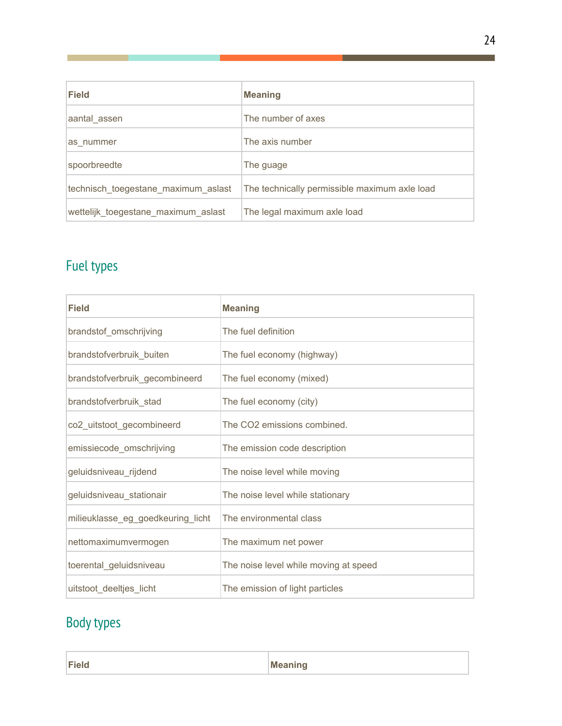| Field                               | <b>Meaning</b>                                |
|-------------------------------------|-----------------------------------------------|
| aantal_assen                        | The number of axes                            |
| as nummer                           | The axis number                               |
| spoorbreedte                        | The guage                                     |
| technisch toegestane maximum aslast | The technically permissible maximum axle load |
| wettelijk_toegestane_maximum_aslast | The legal maximum axle load                   |

# Fuel types

| <b>Field</b>                      | <b>Meaning</b>                        |
|-----------------------------------|---------------------------------------|
| brandstof_omschrijving            | The fuel definition                   |
| brandstofverbruik_buiten          | The fuel economy (highway)            |
| brandstofverbruik_gecombineerd    | The fuel economy (mixed)              |
| brandstofverbruik_stad            | The fuel economy (city)               |
| co2_uitstoot_gecombineerd         | The CO2 emissions combined.           |
| emissiecode_omschrijving          | The emission code description         |
| geluidsniveau_rijdend             | The noise level while moving          |
| geluidsniveau_stationair          | The noise level while stationary      |
| milieuklasse_eg_goedkeuring_licht | The environmental class               |
| nettomaximumvermogen              | The maximum net power                 |
| toerental_geluidsniveau           | The noise level while moving at speed |
| uitstoot deeltjes licht           | The emission of light particles       |

# Body types

| <b>Field</b> | - - |
|--------------|-----|
|              |     |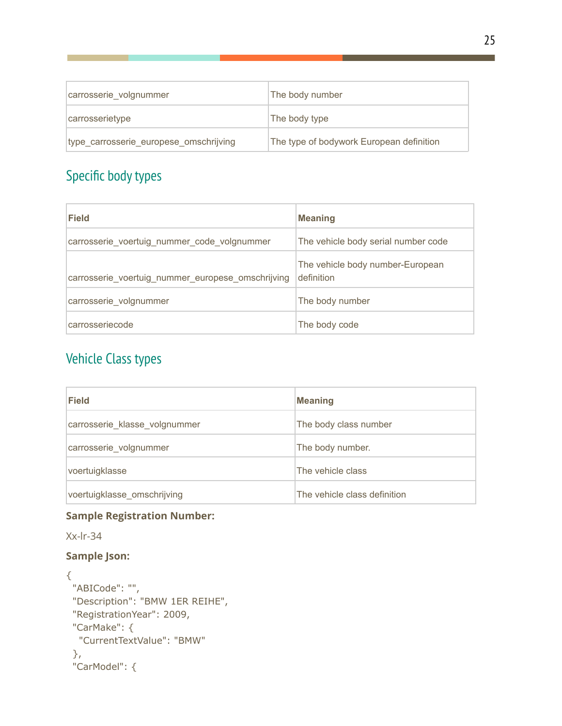| carrosserie volgnummer                 | The body number                          |
|----------------------------------------|------------------------------------------|
| carrosserietype                        | The body type                            |
| type carrosserie europese omschrijving | The type of bodywork European definition |

# Specific body types

| Field                                             | <b>Meaning</b>                                 |
|---------------------------------------------------|------------------------------------------------|
| carrosserie voertuig nummer code volgnummer       | The vehicle body serial number code            |
| carrosserie_voertuig_nummer_europese_omschrijving | The vehicle body number-European<br>definition |
| carrosserie_volgnummer                            | The body number                                |
| carrosseriecode                                   | The body code                                  |

# Vehicle Class types

| Field                         | <b>Meaning</b>               |
|-------------------------------|------------------------------|
| carrosserie_klasse_volgnummer | The body class number        |
| carrosserie_volgnummer        | The body number.             |
| voertuigklasse                | The vehicle class            |
| voertuigklasse_omschrijving   | The vehicle class definition |

### **Sample Registration Number:**

Xx-lr-34

### **Sample Json:**

```
{
 "ABICode": "",
"Description": "BMW 1ER REIHE",
"RegistrationYear": 2009,
 "CarMake": {
  "CurrentTextValue": "BMW"
 },
 "CarModel": {
```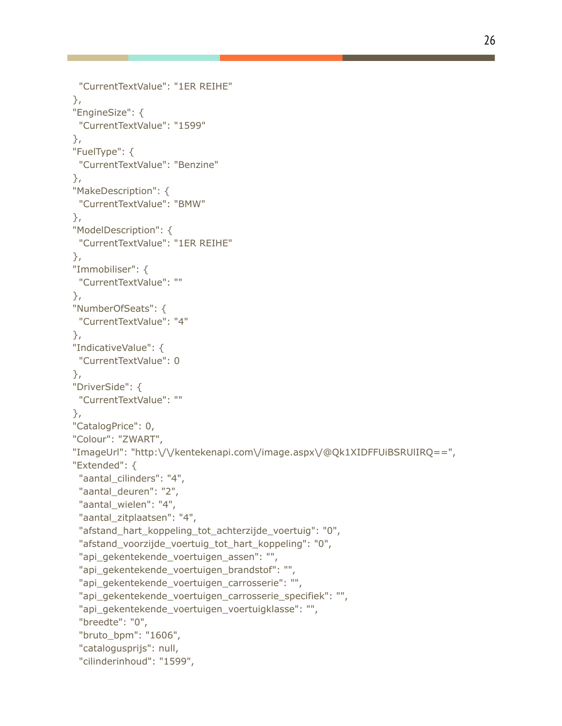```
"CurrentTextValue": "1ER REIHE"
},
"EngineSize": {
 "CurrentTextValue": "1599"
},
"FuelType": {
 "CurrentTextValue": "Benzine"
},
"MakeDescription": {
 "CurrentTextValue": "BMW"
},
"ModelDescription": {
 "CurrentTextValue": "1ER REIHE"
},
"Immobiliser": {
 "CurrentTextValue": ""
},
"NumberOfSeats": {
 "CurrentTextValue": "4"
},
"IndicativeValue": {
 "CurrentTextValue": 0
},
"DriverSide": {
 "CurrentTextValue": ""
},
"CatalogPrice": 0,
"Colour": "ZWART",
"ImageUrl": "http:\/\/kentekenapi.com\/image.aspx\/@Qk1XIDFFUiBSRUlIRQ==",
"Extended": {
 "aantal_cilinders": "4",
 "aantal_deuren": "2",
 "aantal_wielen": "4",
 "aantal_zitplaatsen": "4",
 "afstand_hart_koppeling_tot_achterzijde_voertuig": "0",
 "afstand_voorzijde_voertuig_tot_hart_koppeling": "0",
 "api_gekentekende_voertuigen_assen": "",
 "api_gekentekende_voertuigen_brandstof": "",
 "api_gekentekende_voertuigen_carrosserie": "",
 "api_gekentekende_voertuigen_carrosserie_specifiek": "",
 "api_gekentekende_voertuigen_voertuigklasse": "",
 "breedte": "0",
 "bruto_bpm": "1606",
 "catalogusprijs": null,
 "cilinderinhoud": "1599",
```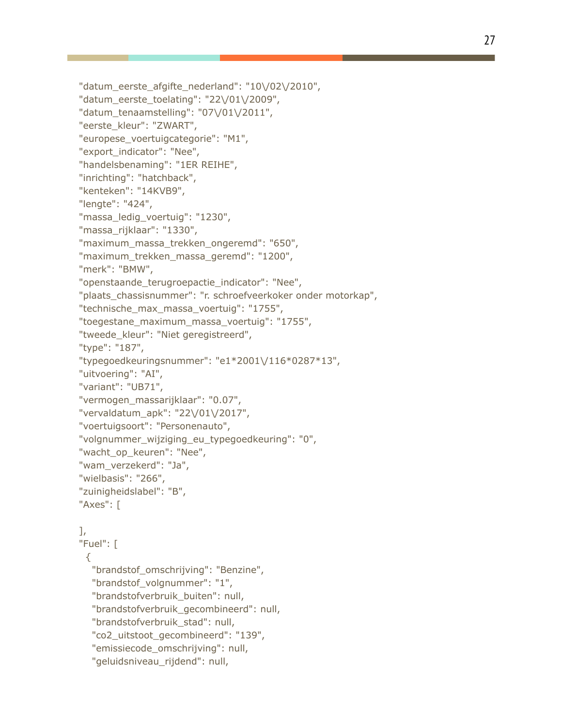"datum\_eerste\_afgifte\_nederland": "10\/02\/2010", "datum\_eerste\_toelating": "22\/01\/2009", "datum\_tenaamstelling": "07\/01\/2011", "eerste\_kleur": "ZWART", "europese\_voertuigcategorie": "M1", "export\_indicator": "Nee", "handelsbenaming": "1ER REIHE", "inrichting": "hatchback", "kenteken": "14KVB9", "lengte": "424", "massa\_ledig\_voertuig": "1230", "massa\_rijklaar": "1330", "maximum\_massa\_trekken\_ongeremd": "650", "maximum\_trekken\_massa\_geremd": "1200", "merk": "BMW", "openstaande\_terugroepactie\_indicator": "Nee", "plaats\_chassisnummer": "r. schroefveerkoker onder motorkap", "technische\_max\_massa\_voertuig": "1755", "toegestane\_maximum\_massa\_voertuig": "1755", "tweede\_kleur": "Niet geregistreerd", "type": "187", "typegoedkeuringsnummer": "e1\*2001\/116\*0287\*13", "uitvoering": "AI", "variant": "UB71", "vermogen\_massarijklaar": "0.07", "vervaldatum\_apk": "22\/01\/2017", "voertuigsoort": "Personenauto", "volgnummer\_wijziging\_eu\_typegoedkeuring": "0", "wacht op keuren": "Nee", "wam\_verzekerd": "Ja", "wielbasis": "266", "zuinigheidslabel": "B", "Axes": [ ], "Fuel": [ { "brandstof\_omschrijving": "Benzine",

"brandstof\_volgnummer": "1",

"brandstofverbruik\_buiten": null,

"brandstofverbruik\_gecombineerd": null,

"brandstofverbruik\_stad": null,

"co2\_uitstoot\_gecombineerd": "139",

"emissiecode\_omschrijving": null,

"geluidsniveau rijdend": null,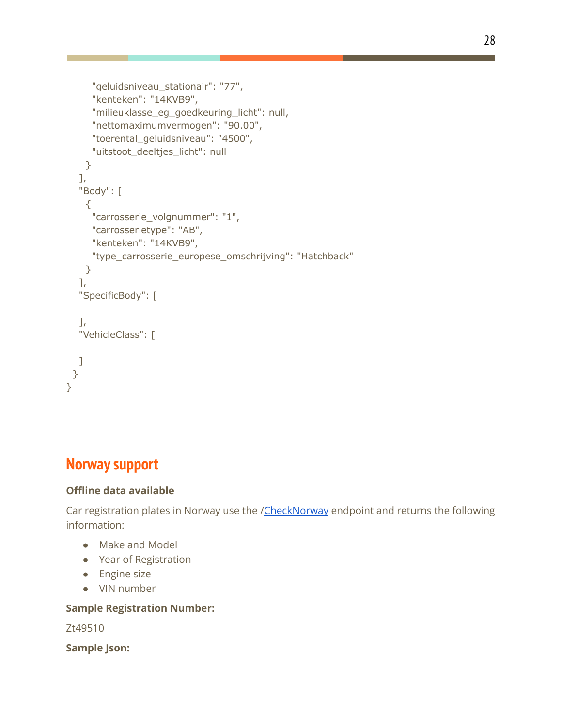```
"geluidsniveau_stationair": "77",
     "kenteken": "14KVB9",
     "milieuklasse_eg_goedkeuring_licht": null,
     "nettomaximumvermogen": "90.00",
     "toerental_geluidsniveau": "4500",
     "uitstoot deeltjes licht": null
   }
  ],
  "Body": [
   \{"carrosserie_volgnummer": "1",
     "carrosserietype": "AB",
     "kenteken": "14KVB9",
     "type_carrosserie_europese_omschrijving": "Hatchback"
   }
  ],
  "SpecificBody": [
  ],
  "VehicleClass": [
  ]
 }
}
```
# **Norway support**

### **Offline data available**

Car registration plates in Norway use the /[CheckNorway](http://no.registreringsnummerapi.com/api/reg.asmx?op=CheckNorway) endpoint and returns the following information:

- Make and Model
- Year of Registration
- Engine size
- VIN number

### **Sample Registration Number:**

Zt49510

**Sample Json:**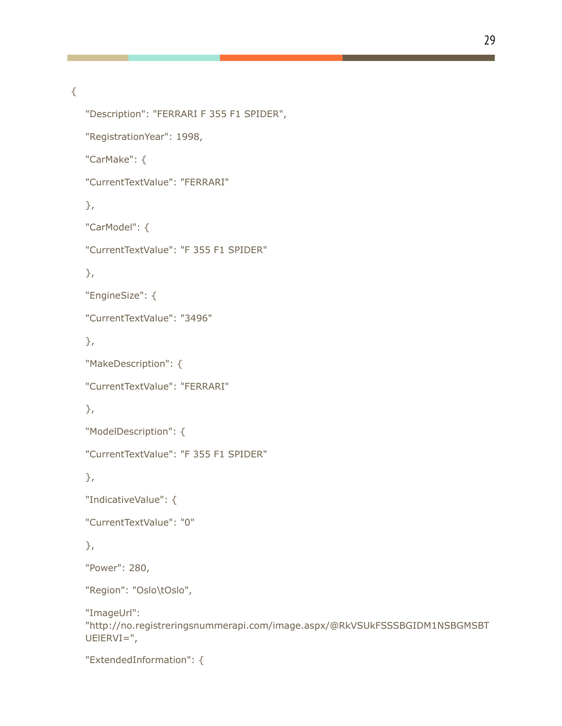{

```
"Description": "FERRARI F 355 F1 SPIDER",
"RegistrationYear": 1998,
"CarMake": {
"CurrentTextValue": "FERRARI"
},
"CarModel": {
"CurrentTextValue": "F 355 F1 SPIDER"
},
"EngineSize": {
"CurrentTextValue": "3496"
},
"MakeDescription": {
"CurrentTextValue": "FERRARI"
},
"ModelDescription": {
"CurrentTextValue": "F 355 F1 SPIDER"
},
"IndicativeValue": {
"CurrentTextValue": "0"
},
"Power": 280,
"Region": "Oslo\tOslo",
"ImageUrl":
"http://no.registreringsnummerapi.com/image.aspx/@RkVSUkFSSSBGIDM1NSBGMSBT
UElERVI=",
"ExtendedInformation": {
```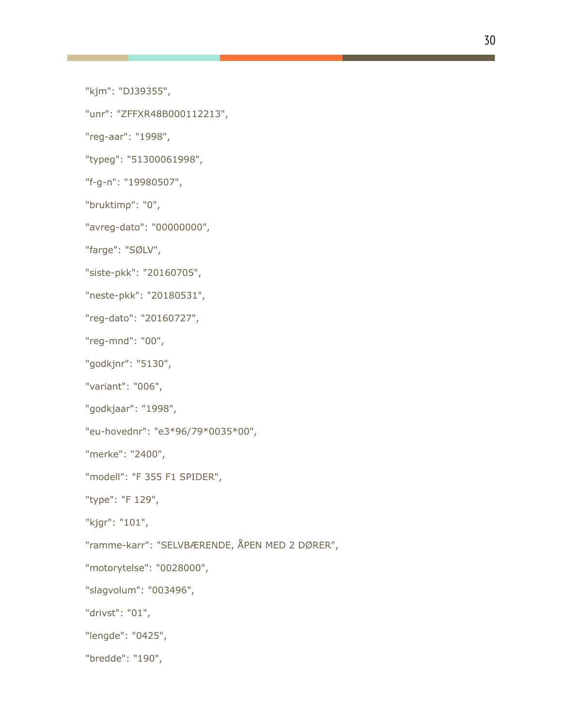"kjm": "DJ39355",

"unr": "ZFFXR48B000112213",

"reg-aar": "1998",

"typeg": "51300061998",

"f-g-n": "19980507",

"bruktimp": "0",

"avreg-dato": "00000000",

"farge": "SØLV",

"siste-pkk": "20160705",

"neste-pkk": "20180531",

"reg-dato": "20160727",

"reg-mnd": "00",

"godkjnr": "5130",

"variant": "006",

"godkjaar": "1998",

"eu-hovednr": "e3\*96/79\*0035\*00",

"merke": "2400",

"modell": "F 355 F1 SPIDER",

"type": "F 129",

"kjgr": "101",

"ramme-karr": "SELVBÆRENDE, ÅPEN MED 2 DØRER",

"motorytelse": "0028000",

"slagvolum": "003496",

"drivst": "01",

"lengde": "0425",

"bredde": "190",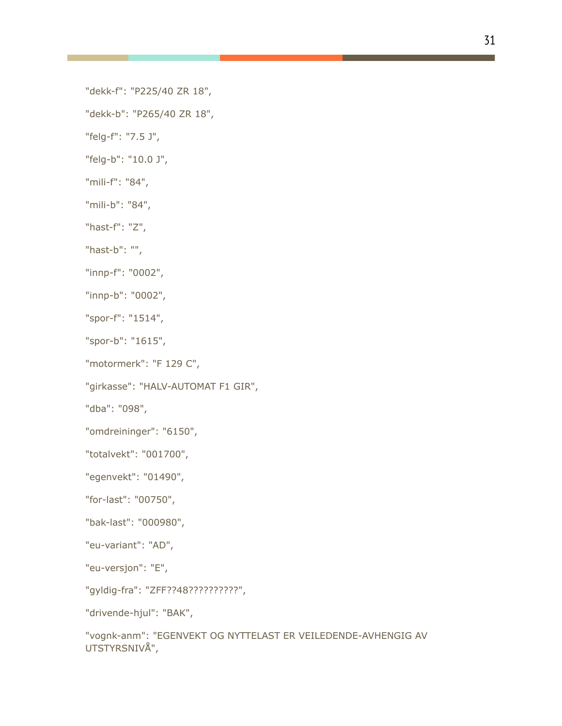"dekk-f": "P225/40 ZR 18",

"dekk-b": "P265/40 ZR 18",

"felg-f": "7.5 J",

"felg-b": "10.0 J",

"mili-f": "84",

"mili-b": "84",

"hast-f": "Z",

"hast-b": "",

"innp-f": "0002",

"innp-b": "0002",

"spor-f": "1514",

"spor-b": "1615",

"motormerk": "F 129 C",

"girkasse": "HALV-AUTOMAT F1 GIR",

"dba": "098",

"omdreininger": "6150",

"totalvekt": "001700",

"egenvekt": "01490",

"for-last": "00750",

"bak-last": "000980",

"eu-variant": "AD",

"eu-versjon": "E",

"gyldig-fra": "ZFF??48??????????",

"drivende-hjul": "BAK",

"vognk-anm": "EGENVEKT OG NYTTELAST ER VEILEDENDE-AVHENGIG AV UTSTYRSNIVÅ",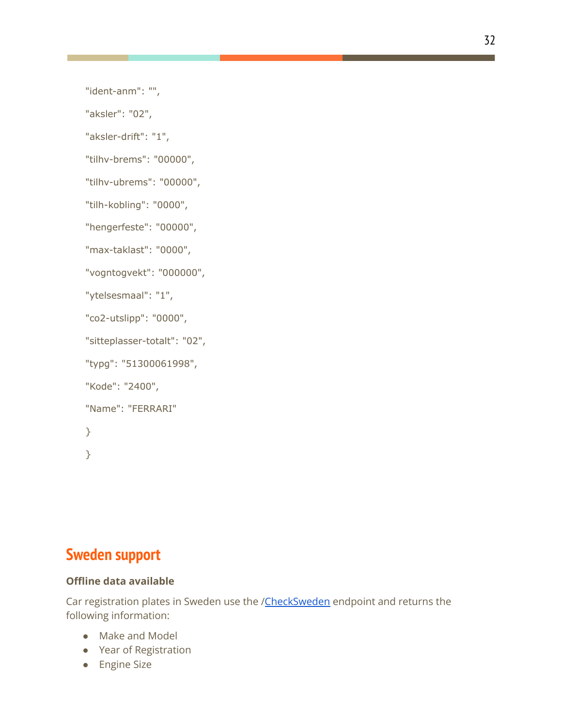"ident-anm": "",

"aksler": "02",

"aksler-drift": "1",

"tilhv-brems": "00000",

"tilhv-ubrems": "00000",

"tilh-kobling": "0000",

"hengerfeste": "00000",

"max-taklast": "0000",

"vogntogvekt": "000000",

"ytelsesmaal": "1",

"co2-utslipp": "0000",

"sitteplasser-totalt": "02",

"typg": "51300061998",

"Kode": "2400",

"Name": "FERRARI"

}

}

### **Sweden support**

### **Offline data available**

Car registration plates in Sweden use the /[CheckSweden](http://se.registreringsnummerapi.com/api/reg.asmx?op=CheckSweden) endpoint and returns the following information:

- Make and Model
- Year of Registration
- Engine Size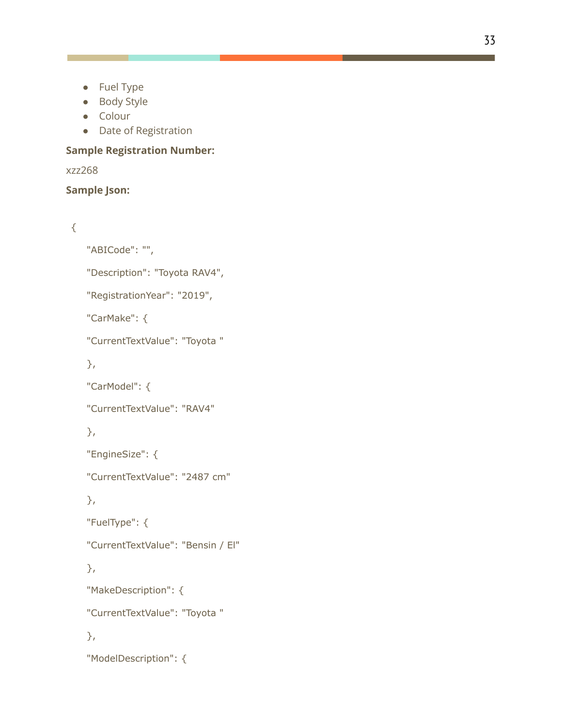- Fuel Type
- Body Style
- Colour
- Date of Registration

### **Sample Registration Number:**

#### xzz268

### **Sample Json:**

### {

"ABICode": "",

"Description": "Toyota RAV4",

"RegistrationYear": "2019",

"CarMake": {

"CurrentTextValue": "Toyota "

},

"CarModel": {

"CurrentTextValue": "RAV4"

### },

"EngineSize": {

"CurrentTextValue": "2487 cm"

### },

"FuelType": {

"CurrentTextValue": "Bensin / El"

### },

"MakeDescription": {

"CurrentTextValue": "Toyota "

### },

"ModelDescription": {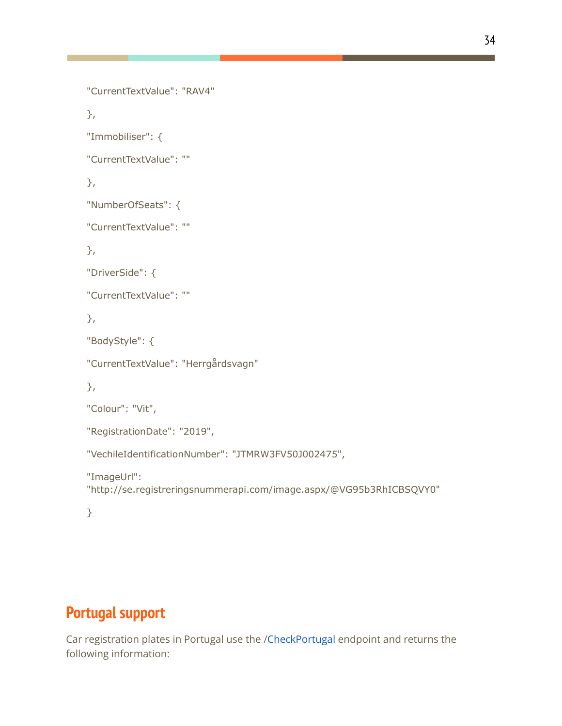```
"CurrentTextValue": "RAV4"
},
"Immobiliser": {
"CurrentTextValue": ""
},
"NumberOfSeats": {
"CurrentTextValue": ""
},
"DriverSide": {
"CurrentTextValue": ""
},
"BodyStyle": {
"CurrentTextValue": "Herrgårdsvagn"
},
"Colour": "Vit",
"RegistrationDate": "2019",
"VechileIdentificationNumber": "JTMRW3FV50J002475",
"ImageUrl":
"http://se.registreringsnummerapi.com/image.aspx/@VG95b3RhICBSQVY0"
}
```
# **Portugal support**

Car registration plates in Portugal use the [/CheckPortugal](http://www.matricula.co.pt/api/reg.asmx?op=CheckPortugal) endpoint and returns the following information: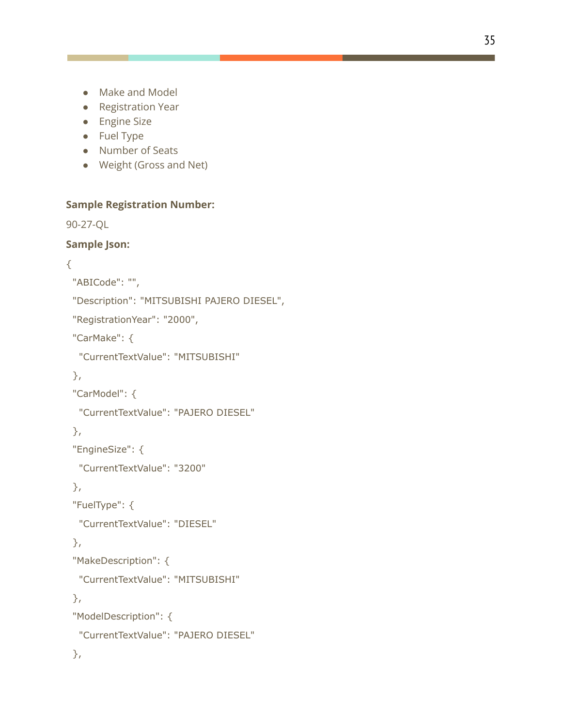- Make and Model
- Registration Year
- Engine Size
- Fuel Type
- Number of Seats
- Weight (Gross and Net)

### **Sample Registration Number:**

90-27-QL

### **Sample Json:**

### {

```
"ABICode": "",
```
"Description": "MITSUBISHI PAJERO DIESEL",

"RegistrationYear": "2000",

"CarMake": {

"CurrentTextValue": "MITSUBISHI"

### },

"CarModel": {

```
"CurrentTextValue": "PAJERO DIESEL"
```
### },

```
"EngineSize": {
```
"CurrentTextValue": "3200"

### },

```
"FuelType": {
```
"CurrentTextValue": "DIESEL"

### },

```
"MakeDescription": {
```
"CurrentTextValue": "MITSUBISHI"

### },

```
"ModelDescription": {
 "CurrentTextValue": "PAJERO DIESEL"
```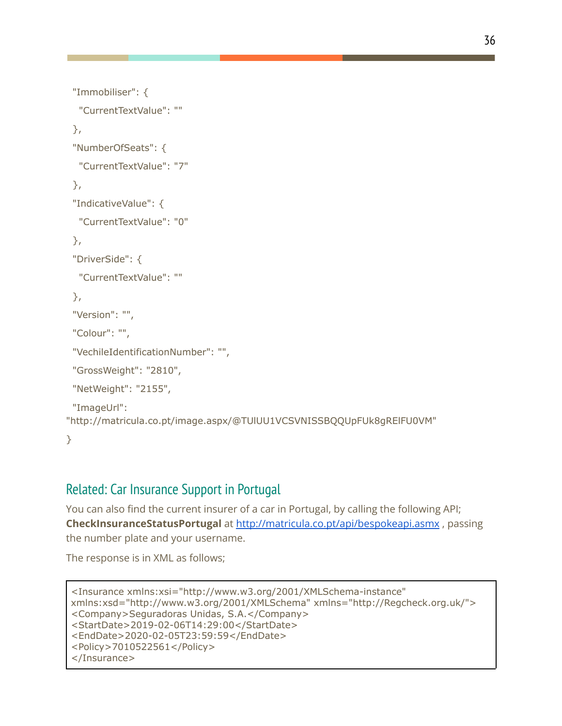```
"Immobiliser": {
  "CurrentTextValue": ""
 },
 "NumberOfSeats": {
  "CurrentTextValue": "7"
 },
 "IndicativeValue": {
  "CurrentTextValue": "0"
 },
 "DriverSide": {
  "CurrentTextValue": ""
 },
 "Version": "",
 "Colour": "",
 "VechileIdentificationNumber": "",
 "GrossWeight": "2810",
 "NetWeight": "2155",
 "ImageUrl":
"http://matricula.co.pt/image.aspx/@TUlUU1VCSVNISSBQQUpFUk8gRElFU0VM"
}
```
## Related: Car Insurance Support in Portugal

You can also find the current insurer of a car in Portugal, by calling the following API; **CheckInsuranceStatusPortugal** at <http://matricula.co.pt/api/bespokeapi.asmx> , passing the number plate and your username.

The response is in XML as follows;

```
<Insurance xmlns:xsi="http://www.w3.org/2001/XMLSchema-instance"
xmlns:xsd="http://www.w3.org/2001/XMLSchema" xmlns="http://Regcheck.org.uk/">
<Company>Seguradoras Unidas, S.A.</Company>
<StartDate>2019-02-06T14:29:00</StartDate>
<EndDate>2020-02-05T23:59:59</EndDate>
<Policy>7010522561</Policy>
</Insurance>
```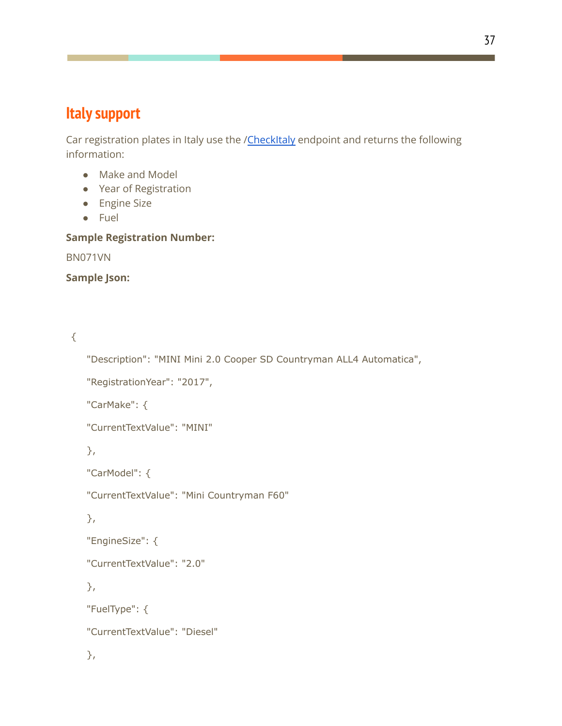# **Italy support**

Car registration plates in Italy use the /[CheckItaly](http://www.targa.co.it/api/reg.asmx?op=CheckItaly) endpoint and returns the following information:

- Make and Model
- Year of Registration
- Engine Size
- Fuel

### **Sample Registration Number:**

BN071VN

**Sample Json:**

{

```
"Description": "MINI Mini 2.0 Cooper SD Countryman ALL4 Automatica",
```

```
"RegistrationYear": "2017",
```
"CarMake": {

"CurrentTextValue": "MINI"

},

```
"CarModel": {
```
"CurrentTextValue": "Mini Countryman F60"

```
},
```

```
"EngineSize": {
```
"CurrentTextValue": "2.0"

},

"FuelType": {

"CurrentTextValue": "Diesel"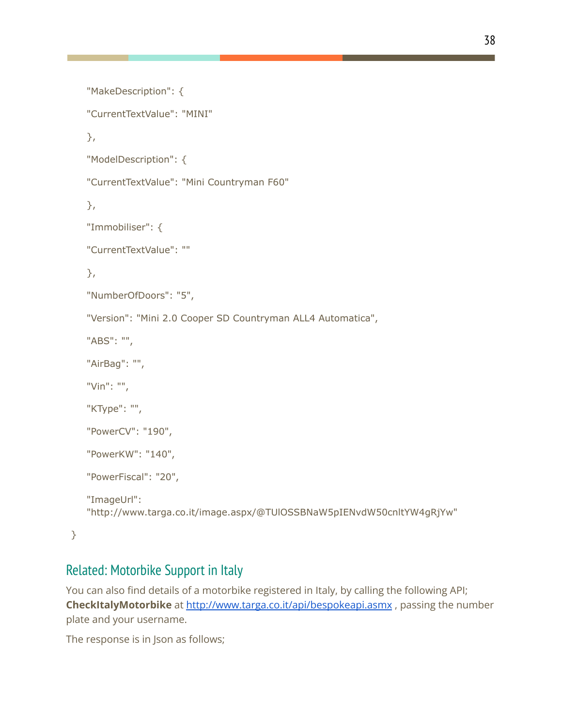```
"MakeDescription": {
"CurrentTextValue": "MINI"
},
"ModelDescription": {
"CurrentTextValue": "Mini Countryman F60"
},
"Immobiliser": {
"CurrentTextValue": ""
},
"NumberOfDoors": "5",
"Version": "Mini 2.0 Cooper SD Countryman ALL4 Automatica",
"ABS": "",
"AirBag": "",
"Vin": "",
"KType": "",
"PowerCV": "190",
"PowerKW": "140",
"PowerFiscal": "20",
"ImageUrl":
"http://www.targa.co.it/image.aspx/@TUlOSSBNaW5pIENvdW50cnltYW4gRjYw"
```
}

## Related: Motorbike Support in Italy

You can also find details of a motorbike registered in Italy, by calling the following API; **CheckItalyMotorbike** at <http://www.targa.co.it/api/bespokeapi.asmx> , passing the number plate and your username.

The response is in Json as follows;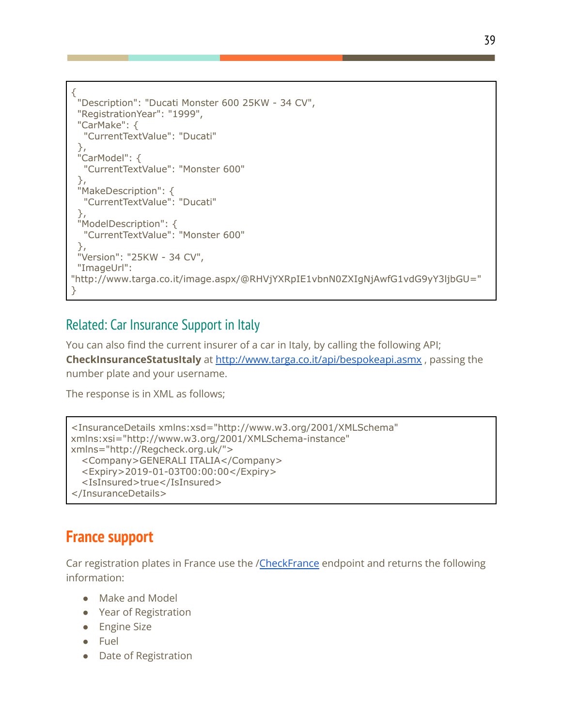```
{
 "Description": "Ducati Monster 600 25KW - 34 CV",
 "RegistrationYear": "1999",
 "CarMake": {
  "CurrentTextValue": "Ducati"
 },
 "CarModel": {
  "CurrentTextValue": "Monster 600"
 },
 "MakeDescription": {
  "CurrentTextValue": "Ducati"
 },
 "ModelDescription": {
  "CurrentTextValue": "Monster 600"
 },
 "Version": "25KW - 34 CV",
 "ImageUrl":
"http://www.targa.co.it/image.aspx/@RHVjYXRpIE1vbnN0ZXIgNjAwfG1vdG9yY3ljbGU="
}
```
## Related: Car Insurance Support in Italy

You can also find the current insurer of a car in Italy, by calling the following API;

**CheckInsuranceStatusItaly** at <http://www.targa.co.it/api/bespokeapi.asmx> , passing the number plate and your username.

The response is in XML as follows;

```
<InsuranceDetails xmlns:xsd="http://www.w3.org/2001/XMLSchema"
xmlns:xsi="http://www.w3.org/2001/XMLSchema-instance"
xmlns="http://Regcheck.org.uk/">
  <Company>GENERALI ITALIA</Company>
  <Expiry>2019-01-03T00:00:00</Expiry>
  <IsInsured>true</IsInsured>
</InsuranceDetails>
```
## **France support**

Car registration plates in France use the /[CheckFrance](http://www.immatriculationapi.com/api/reg.asmx?op=CheckFrance) endpoint and returns the following information:

- Make and Model
- Year of Registration
- Engine Size
- Fuel
- Date of Registration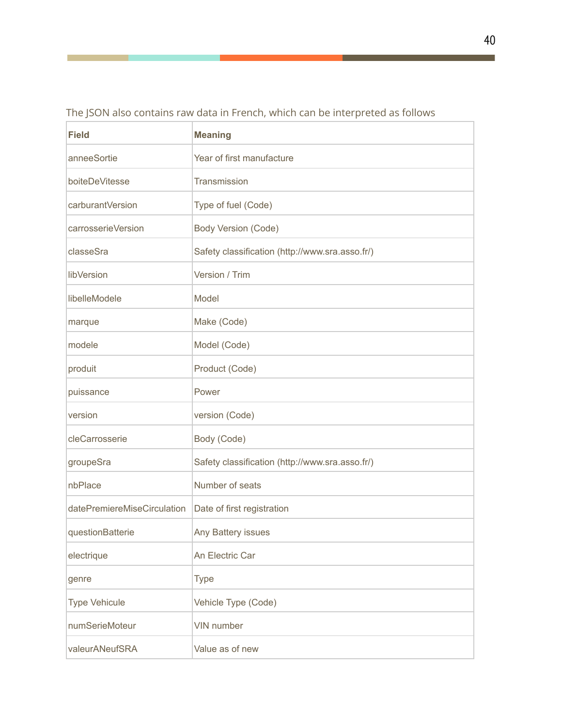| <b>Field</b>                | <b>Meaning</b>                                  |
|-----------------------------|-------------------------------------------------|
| anneeSortie                 | Year of first manufacture                       |
| boiteDeVitesse              | Transmission                                    |
| carburantVersion            | Type of fuel (Code)                             |
| carrosserieVersion          | Body Version (Code)                             |
| classeSra                   | Safety classification (http://www.sra.asso.fr/) |
| libVersion                  | Version / Trim                                  |
| libelleModele               | Model                                           |
| marque                      | Make (Code)                                     |
| modele                      | Model (Code)                                    |
| produit                     | Product (Code)                                  |
| puissance                   | Power                                           |
| version                     | version (Code)                                  |
| cleCarrosserie              | Body (Code)                                     |
| groupeSra                   | Safety classification (http://www.sra.asso.fr/) |
| nbPlace                     | Number of seats                                 |
| datePremiereMiseCirculation | Date of first registration                      |
| questionBatterie            | Any Battery issues                              |
| electrique                  | An Electric Car                                 |
| genre                       | <b>Type</b>                                     |
| <b>Type Vehicule</b>        | Vehicle Type (Code)                             |
| numSerieMoteur              | VIN number                                      |
| valeurANeufSRA              | Value as of new                                 |

The JSON also contains raw data in French, which can be interpreted as follows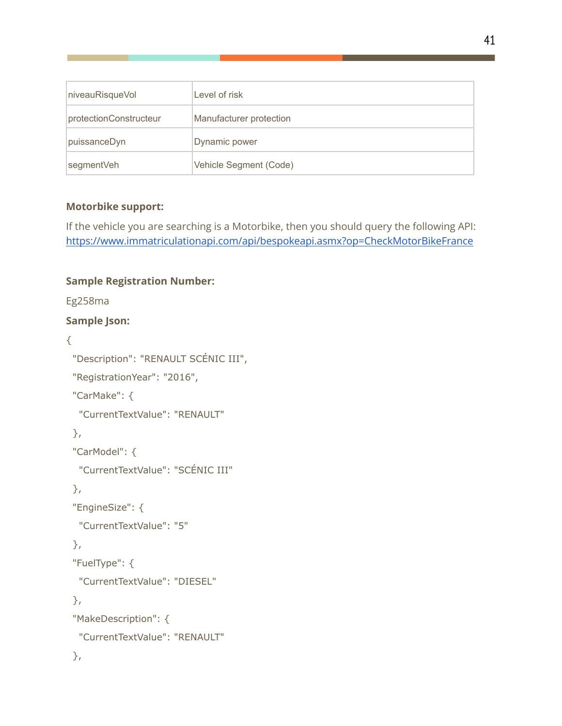| niveauRisqueVol        | Level of risk           |
|------------------------|-------------------------|
| protectionConstructeur | Manufacturer protection |
| puissanceDyn           | Dynamic power           |
| segmentVeh             | Vehicle Segment (Code)  |

### **Motorbike support:**

If the vehicle you are searching is a Motorbike, then you should query the following API: <https://www.immatriculationapi.com/api/bespokeapi.asmx?op=CheckMotorBikeFrance>

### **Sample Registration Number:**

Eg258ma

### **Sample Json:**

{

```
"Description": "RENAULT SCÉNIC III",
"RegistrationYear": "2016",
"CarMake": {
 "CurrentTextValue": "RENAULT"
},
"CarModel": {
 "CurrentTextValue": "SCÉNIC III"
},
"EngineSize": {
 "CurrentTextValue": "5"
},
"FuelType": {
 "CurrentTextValue": "DIESEL"
},
"MakeDescription": {
 "CurrentTextValue": "RENAULT"
},
```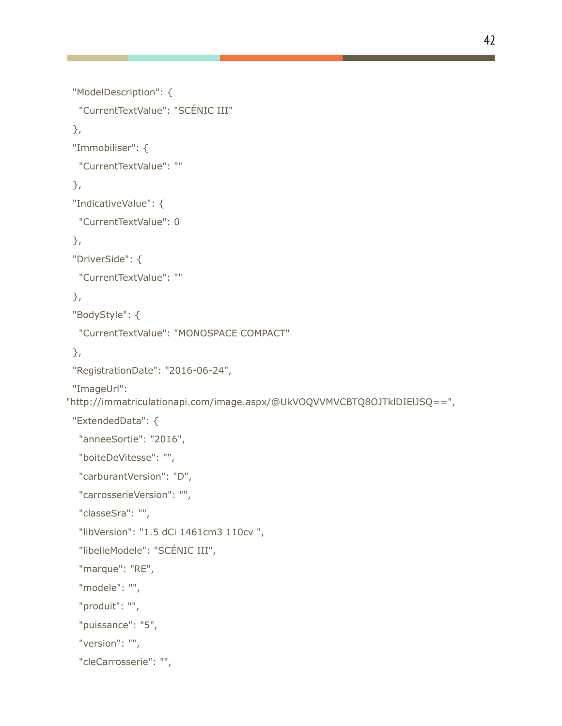```
"ModelDescription": {
  "CurrentTextValue": "SCÉNIC III"
 },
 "Immobiliser": {
  "CurrentTextValue": ""
 },
 "IndicativeValue": {
  "CurrentTextValue": 0
 },
 "DriverSide": {
  "CurrentTextValue": ""
 },
 "BodyStyle": {
  "CurrentTextValue": "MONOSPACE COMPACT"
 },
 "RegistrationDate": "2016-06-24",
 "ImageUrl":
"http://immatriculationapi.com/image.aspx/@UkVOQVVMVCBTQ8OJTklDIElJSQ==",
 "ExtendedData": {
  "anneeSortie": "2016",
  "boiteDeVitesse": "",
  "carburantVersion": "D",
  "carrosserieVersion": "",
  "classeSra": "",
  "libVersion": "1.5 dCi 1461cm3 110cv ",
  "libelleModele": "SCÉNIC III",
  "marque": "RE",
  "modele": "",
  "produit": "",
  "puissance": "5",
  "version": "",
  "cleCarrosserie": "",
```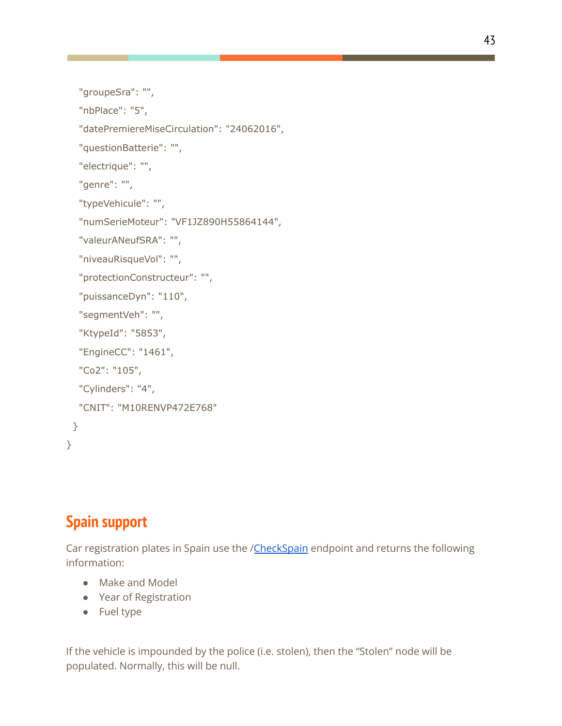```
"groupeSra": "",
```
"nbPlace": "5",

"datePremiereMiseCirculation": "24062016",

"questionBatterie": "",

"electrique": "",

"genre": "",

```
"typeVehicule": "",
```
"numSerieMoteur": "VF1JZ890H55864144",

```
"valeurANeufSRA": "",
```

```
"niveauRisqueVol": "",
```

```
"protectionConstructeur": "",
```

```
"puissanceDyn": "110",
```

```
"segmentVeh": "",
```

```
"KtypeId": "5853",
```

```
"EngineCC": "1461",
```

```
"Co2": "105",
```

```
"Cylinders": "4",
```

```
"CNIT": "M10RENVP472E768"
```

```
}
}
```
# **Spain support**

Car registration plates in Spain use the /[CheckSpain](http://www.matriculaapi.com/api/reg.asmx?op=CheckSpain) endpoint and returns the following information:

- Make and Model
- Year of Registration
- Fuel type

If the vehicle is impounded by the police (i.e. stolen), then the "Stolen" node will be populated. Normally, this will be null.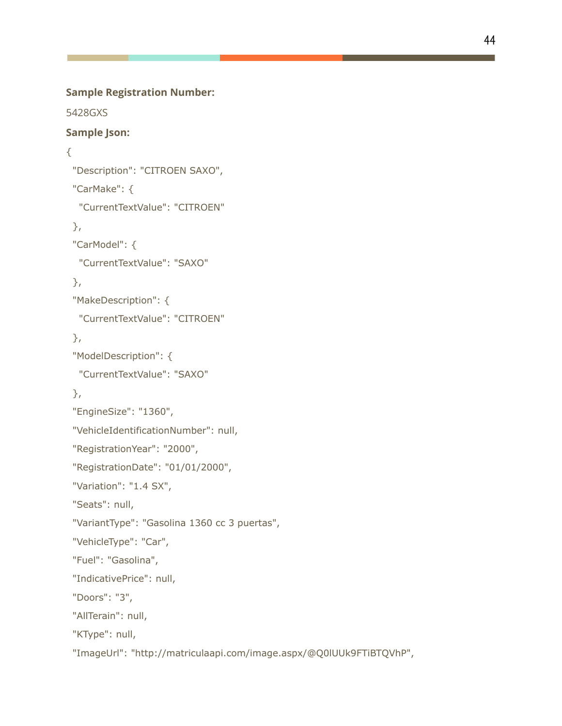#### **Sample Registration Number:**

5428GXS

### **Sample Json:**

```
{
```

```
"Description": "CITROEN SAXO",
"CarMake": {
 "CurrentTextValue": "CITROEN"
},
"CarModel": {
 "CurrentTextValue": "SAXO"
},
"MakeDescription": {
 "CurrentTextValue": "CITROEN"
},
"ModelDescription": {
 "CurrentTextValue": "SAXO"
},
"EngineSize": "1360",
"VehicleIdentificationNumber": null,
"RegistrationYear": "2000",
"RegistrationDate": "01/01/2000",
"Variation": "1.4 SX",
"Seats": null,
"VariantType": "Gasolina 1360 cc 3 puertas",
"VehicleType": "Car",
"Fuel": "Gasolina",
"IndicativePrice": null,
"Doors": "3",
"AllTerain": null,
"KType": null,
"ImageUrl": "http://matriculaapi.com/image.aspx/@Q0lUUk9FTiBTQVhP",
```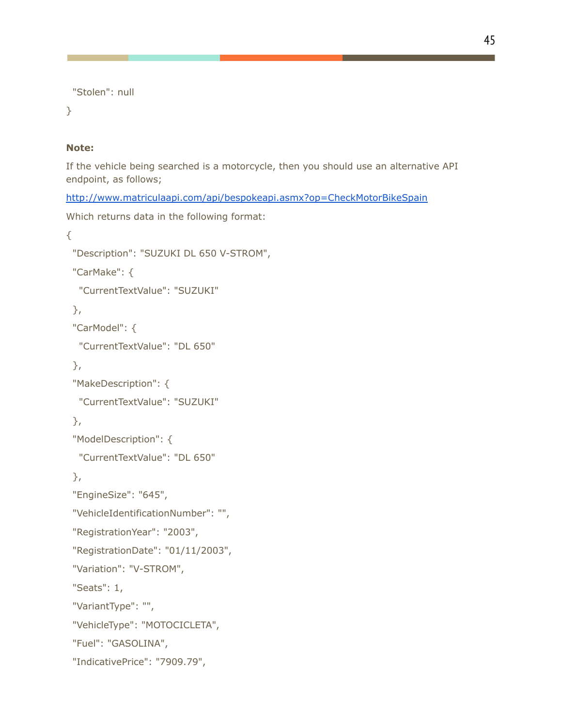```
"Stolen": null
```
}

### **Note:**

If the vehicle being searched is a motorcycle, then you should use an alternative API endpoint, as follows;

<http://www.matriculaapi.com/api/bespokeapi.asmx?op=CheckMotorBikeSpain>

Which returns data in the following format:

```
{
 "Description": "SUZUKI DL 650 V-STROM",
 "CarMake": {
  "CurrentTextValue": "SUZUKI"
 },
 "CarModel": {
  "CurrentTextValue": "DL 650"
 },
 "MakeDescription": {
  "CurrentTextValue": "SUZUKI"
 },
 "ModelDescription": {
  "CurrentTextValue": "DL 650"
 },
 "EngineSize": "645",
 "VehicleIdentificationNumber": "",
 "RegistrationYear": "2003",
 "RegistrationDate": "01/11/2003",
 "Variation": "V-STROM",
 "Seats": 1,
 "VariantType": "",
 "VehicleType": "MOTOCICLETA",
 "Fuel": "GASOLINA",
 "IndicativePrice": "7909.79",
```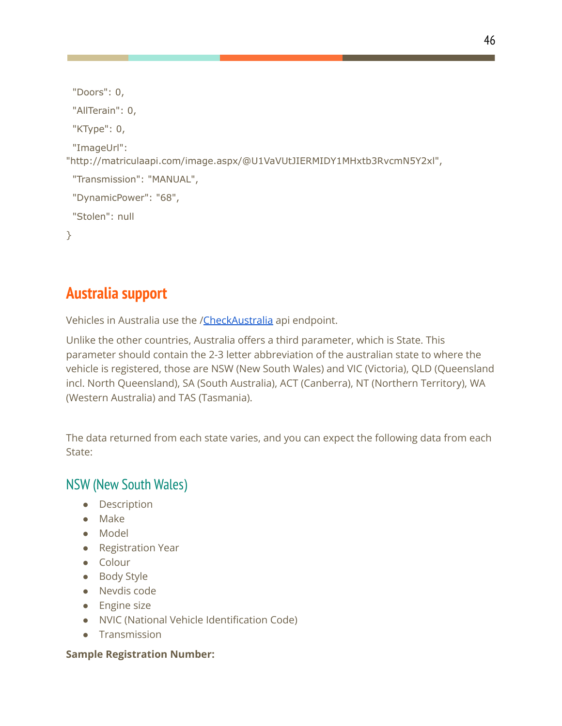```
"Doors": 0,
 "AllTerain": 0,
 "KType": 0,
 "ImageUrl":
"http://matriculaapi.com/image.aspx/@U1VaVUtJIERMIDY1MHxtb3RvcmN5Y2xl",
 "Transmission": "MANUAL",
 "DynamicPower": "68",
 "Stolen": null
}
```
# **Australia support**

Vehicles in Australia use the /[CheckAustralia](http://www.carregistrationapi.com/api/reg.asmx?op=CheckAustralia) api endpoint.

Unlike the other countries, Australia offers a third parameter, which is State. This parameter should contain the 2-3 letter abbreviation of the australian state to where the vehicle is registered, those are NSW (New South Wales) and VIC (Victoria), QLD (Queensland incl. North Queensland), SA (South Australia), ACT (Canberra), NT (Northern Territory), WA (Western Australia) and TAS (Tasmania).

The data returned from each state varies, and you can expect the following data from each State:

## NSW (New South Wales)

- Description
- Make
- Model
- Registration Year
- Colour
- Body Style
- Nevdis code
- Engine size
- NVIC (National Vehicle Identification Code)
- Transmission

### **Sample Registration Number:**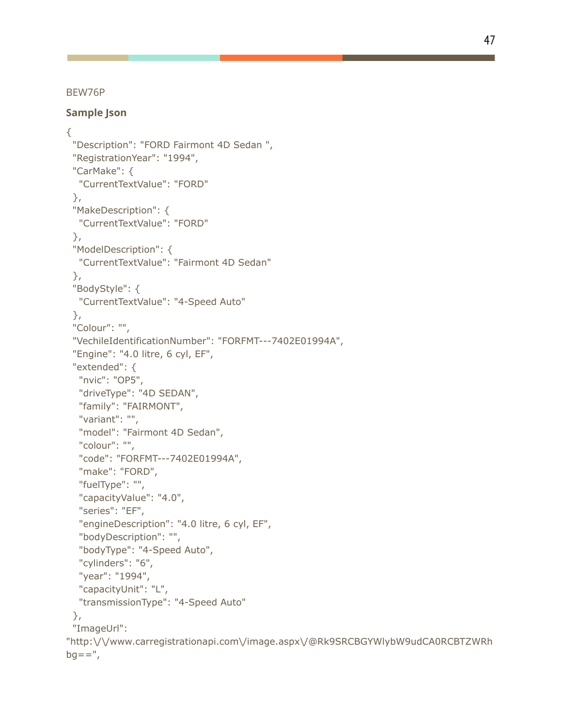BEW76P

#### **Sample Json**

```
{
 "Description": "FORD Fairmont 4D Sedan ",
 "RegistrationYear": "1994",
 "CarMake": {
  "CurrentTextValue": "FORD"
 },
 "MakeDescription": {
  "CurrentTextValue": "FORD"
 },
 "ModelDescription": {
  "CurrentTextValue": "Fairmont 4D Sedan"
 },
 "BodyStyle": {
  "CurrentTextValue": "4-Speed Auto"
 },
 "Colour": "",
 "VechileIdentificationNumber": "FORFMT---7402E01994A",
 "Engine": "4.0 litre, 6 cyl, EF",
 "extended": {
  "nvic": "OP5",
  "driveType": "4D SEDAN",
  "family": "FAIRMONT",
  "variant": "",
  "model": "Fairmont 4D Sedan",
  "colour": "",
  "code": "FORFMT---7402E01994A",
  "make": "FORD",
  "fuelType": "",
  "capacityValue": "4.0",
  "series": "EF",
  "engineDescription": "4.0 litre, 6 cyl, EF",
  "bodyDescription": "",
  "bodyType": "4-Speed Auto",
  "cylinders": "6",
  "year": "1994",
  "capacityUnit": "L",
  "transmissionType": "4-Speed Auto"
 },
 "ImageUrl":
"http:\/\/www.carregistrationapi.com\/image.aspx\/@Rk9SRCBGYWlybW9udCA0RCBTZWRh
bg==",
```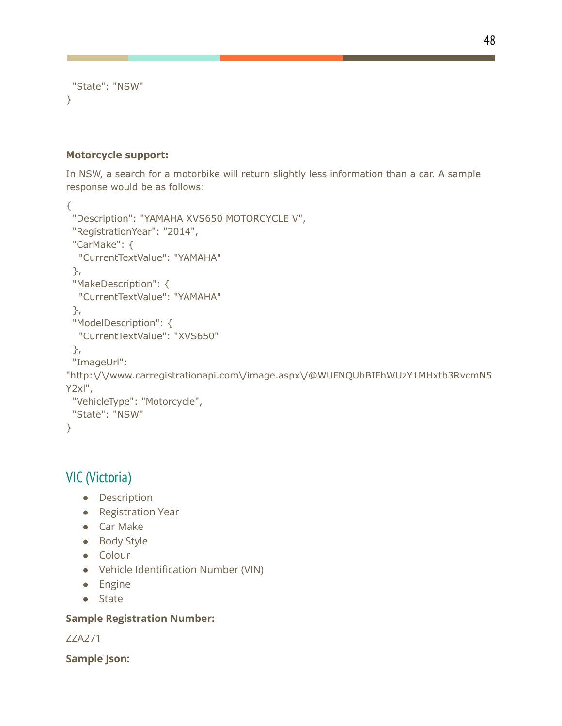```
"State": "NSW"
}
```
#### **Motorcycle support:**

In NSW, a search for a motorbike will return slightly less information than a car. A sample response would be as follows:

```
{
 "Description": "YAMAHA XVS650 MOTORCYCLE V",
 "RegistrationYear": "2014",
 "CarMake": {
  "CurrentTextValue": "YAMAHA"
 },
 "MakeDescription": {
  "CurrentTextValue": "YAMAHA"
 },
 "ModelDescription": {
  "CurrentTextValue": "XVS650"
 },
 "ImageUrl":
"http:\/\/www.carregistrationapi.com\/image.aspx\/@WUFNQUhBIFhWUzY1MHxtb3RvcmN5
Y2xl",
 "VehicleType": "Motorcycle",
 "State": "NSW"
}
```
## VIC (Victoria)

- Description
- Registration Year
- Car Make
- Body Style
- Colour
- Vehicle Identification Number (VIN)
- Engine
- State

#### **Sample Registration Number:**

ZZA271

**Sample Json:**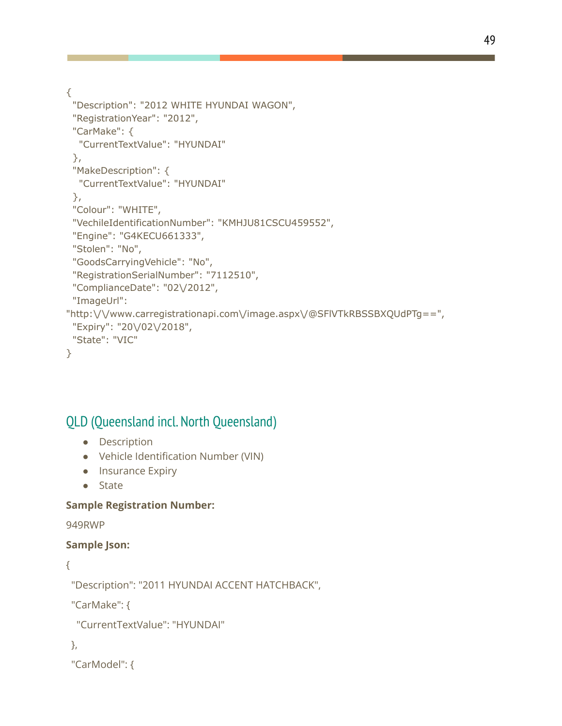{

```
"Description": "2012 WHITE HYUNDAI WAGON",
 "RegistrationYear": "2012",
 "CarMake": {
  "CurrentTextValue": "HYUNDAI"
 },
 "MakeDescription": {
  "CurrentTextValue": "HYUNDAI"
 },
 "Colour": "WHITE",
 "VechileIdentificationNumber": "KMHJU81CSCU459552",
 "Engine": "G4KECU661333",
 "Stolen": "No",
 "GoodsCarryingVehicle": "No",
 "RegistrationSerialNumber": "7112510",
 "ComplianceDate": "02\/2012",
 "ImageUrl":
"http:\/\/www.carregistrationapi.com\/image.aspx\/@SFlVTkRBSSBXQUdPTg==",
 "Expiry": "20\/02\/2018",
 "State": "VIC"
}
```
## QLD (Queensland incl. North Queensland)

- Description
- Vehicle Identification Number (VIN)
- Insurance Expiry
- State

### **Sample Registration Number:**

949RWP

### **Sample Json:**

```
{
```

```
"Description": "2011 HYUNDAI ACCENT HATCHBACK",
```
"CarMake": {

```
"CurrentTextValue": "HYUNDAI"
```
},

```
"CarModel": {
```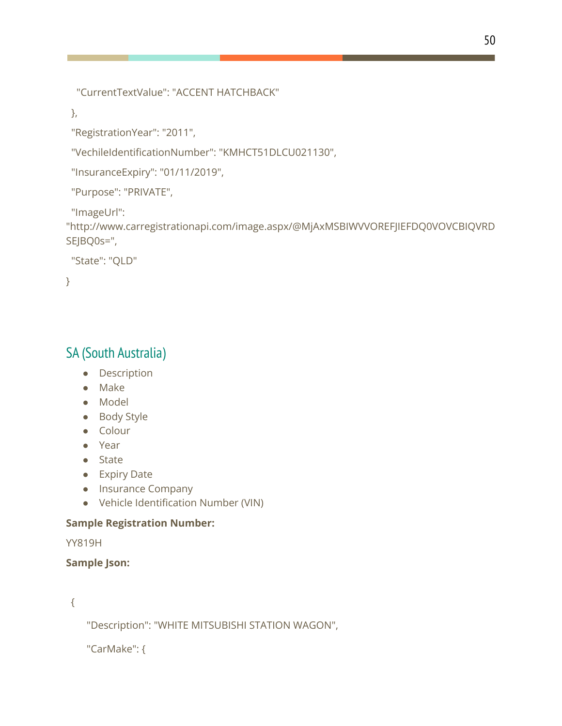"CurrentTextValue": "ACCENT HATCHBACK"

},

"RegistrationYear": "2011",

"VechileIdentificationNumber": "KMHCT51DLCU021130",

```
"InsuranceExpiry": "01/11/2019",
```
"Purpose": "PRIVATE",

"ImageUrl":

```
"http://www.carregistrationapi.com/image.aspx/@MjAxMSBIWVVOREFJIEFDQ0VOVCBIQVRD
SEJBQ0s=",
```

```
"State": "QLD"
```
}

# SA (South Australia)

- Description
- Make
- Model
- Body Style
- Colour
- Year
- State
- Expiry Date
- Insurance Company
- Vehicle Identification Number (VIN)

## **Sample Registration Number:**

YY819H

### **Sample Json:**

{

"Description": "WHITE MITSUBISHI STATION WAGON",

```
"CarMake": {
```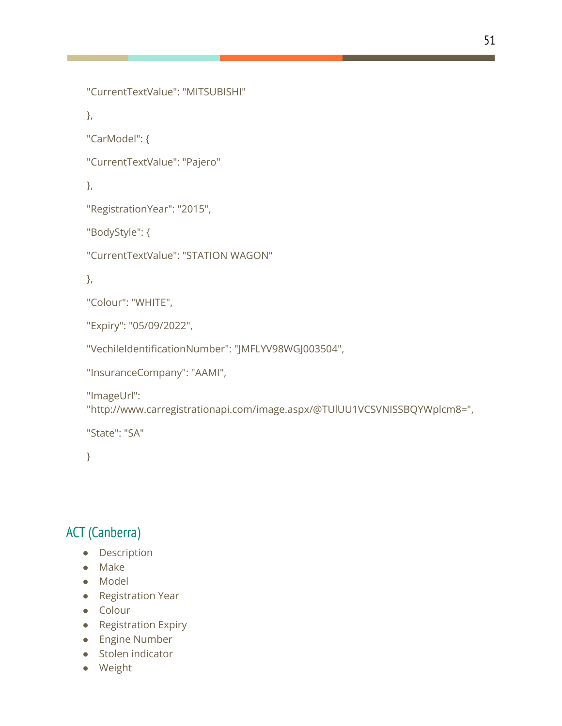```
"CurrentTextValue": "MITSUBISHI"
```
},

```
"CarModel": {
```
"CurrentTextValue": "Pajero"

},

```
"RegistrationYear": "2015",
```
"BodyStyle": {

"CurrentTextValue": "STATION WAGON"

},

"Colour": "WHITE",

"Expiry": "05/09/2022",

"VechileIdentificationNumber": "JMFLYV98WGJ003504",

```
"InsuranceCompany": "AAMI",
```
"ImageUrl":

"http://www.carregistrationapi.com/image.aspx/@TUlUU1VCSVNISSBQYWplcm8=",

"State": "SA"

}

# ACT (Canberra)

- Description
- Make
- Model
- Registration Year
- Colour
- Registration Expiry
- Engine Number
- Stolen indicator
- Weight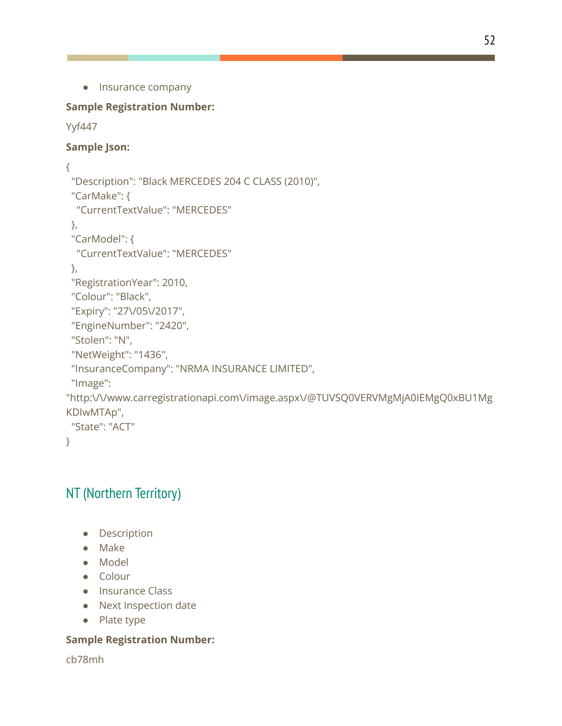```
● Insurance company
```
### **Sample Registration Number:**

```
Yyf447
```
### **Sample Json:**

```
{
 "Description": "Black MERCEDES 204 C CLASS (2010)",
 "CarMake": {
  "CurrentTextValue": "MERCEDES"
 },
 "CarModel": {
  "CurrentTextValue": "MERCEDES"
 },
 "RegistrationYear": 2010,
 "Colour": "Black",
 "Expiry": "27\/05\/2017",
 "EngineNumber": "2420",
 "Stolen": "N",
 "NetWeight": "1436",
 "InsuranceCompany": "NRMA INSURANCE LIMITED",
 "Image":
"http:\/\/www.carregistrationapi.com\/image.aspx\/@TUVSQ0VERVMgMjA0IEMgQ0xBU1Mg
KDIwMTAp",
 "State": "ACT"
}
```
# NT (Northern Territory)

- Description
- Make
- Model
- Colour
- Insurance Class
- Next Inspection date
- Plate type

### **Sample Registration Number:**

cb78mh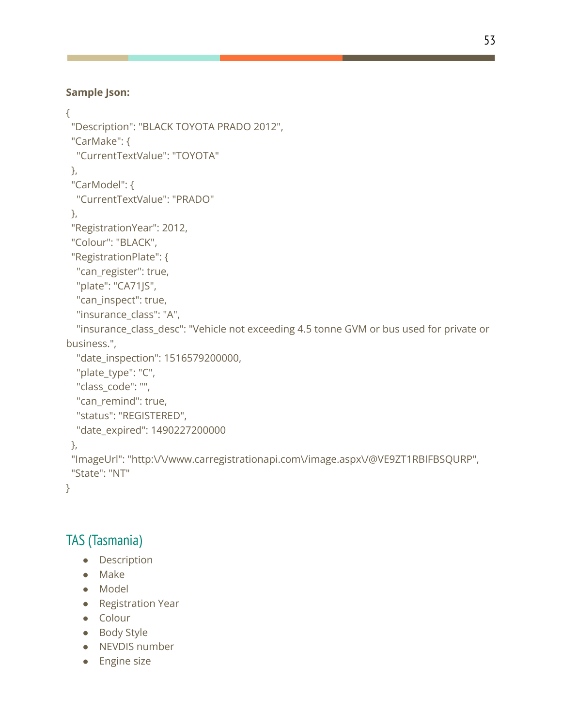### **Sample Json:**

```
{
 "Description": "BLACK TOYOTA PRADO 2012",
 "CarMake": {
  "CurrentTextValue": "TOYOTA"
 },
 "CarModel": {
  "CurrentTextValue": "PRADO"
},
 "RegistrationYear": 2012,
 "Colour": "BLACK",
 "RegistrationPlate": {
  "can_register": true,
  "plate": "CA71JS",
  "can_inspect": true,
  "insurance_class": "A",
  "insurance_class_desc": "Vehicle not exceeding 4.5 tonne GVM or bus used for private or
business.",
  "date_inspection": 1516579200000,
  "plate_type": "C",
  "class_code": "",
  "can_remind": true,
  "status": "REGISTERED",
  "date_expired": 1490227200000
 },
 "ImageUrl": "http:\/\/www.carregistrationapi.com\/image.aspx\/@VE9ZT1RBIFBSQURP",
 "State": "NT"
```

```
}
```
## TAS (Tasmania)

- Description
- Make
- Model
- Registration Year
- Colour
- Body Style
- NEVDIS number
- Engine size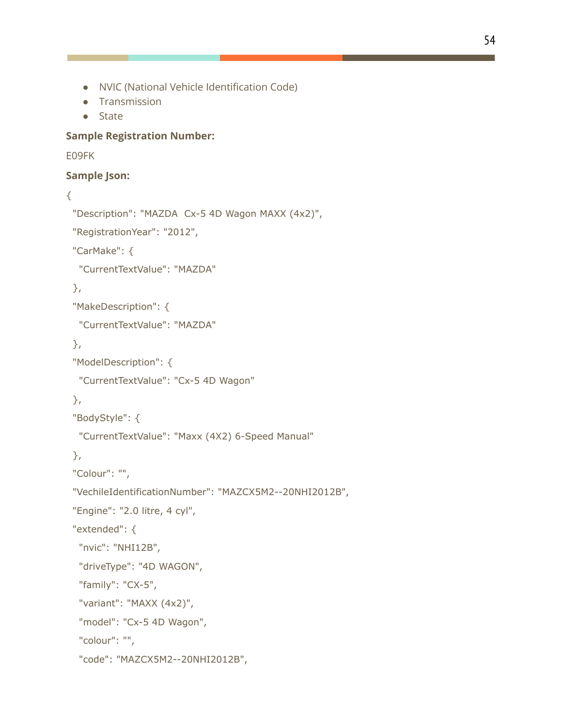- NVIC (National Vehicle Identification Code)
- Transmission
- State

#### **Sample Registration Number:**

E09FK

#### **Sample Json:**

#### {

```
"Description": "MAZDA Cx-5 4D Wagon MAXX (4x2)",
"RegistrationYear": "2012",
"CarMake": {
 "CurrentTextValue": "MAZDA"
},
"MakeDescription": {
 "CurrentTextValue": "MAZDA"
},
"ModelDescription": {
 "CurrentTextValue": "Cx-5 4D Wagon"
},
"BodyStyle": {
 "CurrentTextValue": "Maxx (4X2) 6-Speed Manual"
},
"Colour": "",
"VechileIdentificationNumber": "MAZCX5M2--20NHI2012B",
"Engine": "2.0 litre, 4 cyl",
```
"extended": {

"nvic": "NHI12B",

```
"driveType": "4D WAGON",
```
"family": "CX-5",

```
"variant": "MAXX (4x2)",
```

```
"model": "Cx-5 4D Wagon",
```

```
"colour": "",
```

```
"code": "MAZCX5M2--20NHI2012B",
```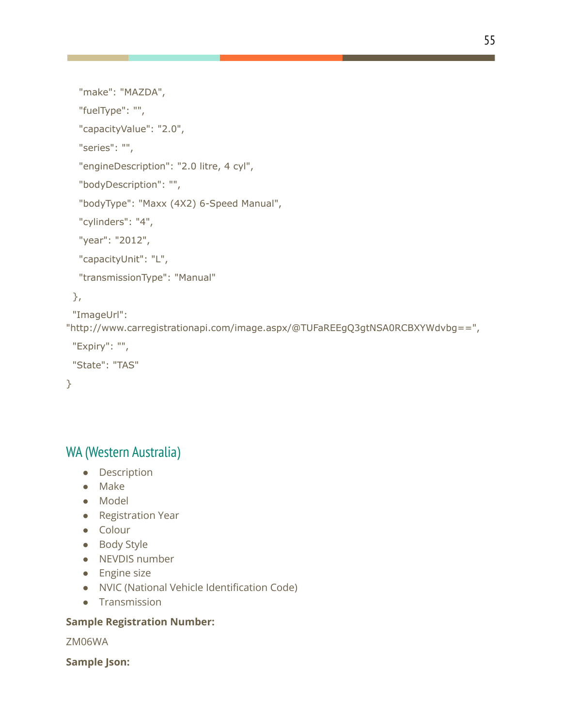```
"make": "MAZDA",
```
"fuelType": "",

"capacityValue": "2.0",

"series": "",

"engineDescription": "2.0 litre, 4 cyl",

"bodyDescription": "",

"bodyType": "Maxx (4X2) 6-Speed Manual",

"cylinders": "4",

"year": "2012",

"capacityUnit": "L",

"transmissionType": "Manual"

### },

"ImageUrl":

"http://www.carregistrationapi.com/image.aspx/@TUFaREEgQ3gtNSA0RCBXYWdvbg==",

```
"Expiry": "",
```

```
"State": "TAS"
```
}

# WA (Western Australia)

- Description
- Make
- Model
- Registration Year
- Colour
- Body Style
- NEVDIS number
- Engine size
- NVIC (National Vehicle Identification Code)
- Transmission

### **Sample Registration Number:**

ZM06WA

**Sample Json:**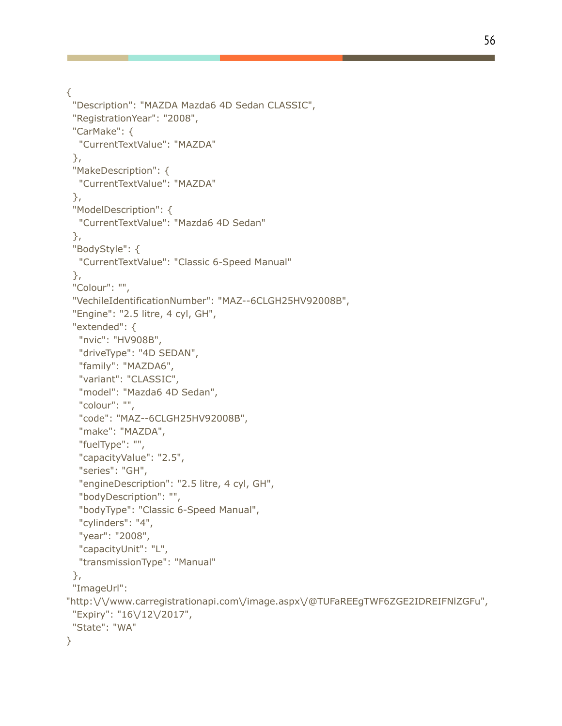{

```
"Description": "MAZDA Mazda6 4D Sedan CLASSIC",
 "RegistrationYear": "2008",
 "CarMake": {
  "CurrentTextValue": "MAZDA"
 },
 "MakeDescription": {
  "CurrentTextValue": "MAZDA"
 },
 "ModelDescription": {
  "CurrentTextValue": "Mazda6 4D Sedan"
 },
 "BodyStyle": {
  "CurrentTextValue": "Classic 6-Speed Manual"
 },
 "Colour": "",
 "VechileIdentificationNumber": "MAZ--6CLGH25HV92008B",
 "Engine": "2.5 litre, 4 cyl, GH",
 "extended": {
  "nvic": "HV908B",
  "driveType": "4D SEDAN",
  "family": "MAZDA6",
  "variant": "CLASSIC",
  "model": "Mazda6 4D Sedan",
  "colour": "",
  "code": "MAZ--6CLGH25HV92008B",
  "make": "MAZDA",
  "fuelType": "",
  "capacityValue": "2.5",
  "series": "GH",
  "engineDescription": "2.5 litre, 4 cyl, GH",
  "bodyDescription": "",
  "bodyType": "Classic 6-Speed Manual",
  "cylinders": "4",
  "year": "2008",
  "capacityUnit": "L",
  "transmissionType": "Manual"
 },
 "ImageUrl":
"http:\/\/www.carregistrationapi.com\/image.aspx\/@TUFaREEgTWF6ZGE2IDREIFNlZGFu",
 "Expiry": "16\/12\/2017",
 "State": "WA"
}
```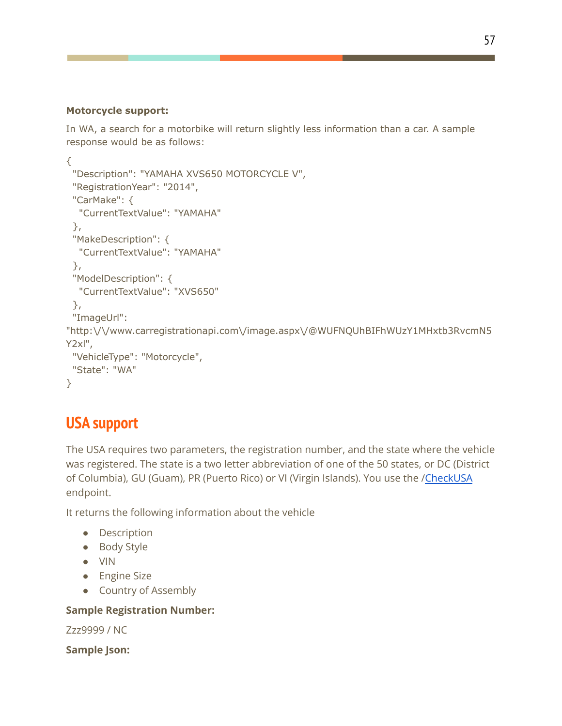#### **Motorcycle support:**

In WA, a search for a motorbike will return slightly less information than a car. A sample response would be as follows:

```
{
 "Description": "YAMAHA XVS650 MOTORCYCLE V",
 "RegistrationYear": "2014",
 "CarMake": {
  "CurrentTextValue": "YAMAHA"
 },
 "MakeDescription": {
  "CurrentTextValue": "YAMAHA"
 },
 "ModelDescription": {
  "CurrentTextValue": "XVS650"
 },
 "ImageUrl":
"http:\/\/www.carregistrationapi.com\/image.aspx\/@WUFNQUhBIFhWUzY1MHxtb3RvcmN5
Y2xl",
 "VehicleType": "Motorcycle",
 "State": "WA"
}
```
# **USA support**

The USA requires two parameters, the registration number, and the state where the vehicle was registered. The state is a two letter abbreviation of one of the 50 states, or DC (District of Columbia), GU (Guam), PR (Puerto Rico) or VI (Virgin Islands). You use the [/CheckUSA](http://www.vehicleregistrationapi.com/api/reg.asmx?op=CheckUSA) endpoint.

It returns the following information about the vehicle

- Description
- Body Style
- VIN
- Engine Size
- Country of Assembly

### **Sample Registration Number:**

Zzz9999 / NC

**Sample Json:**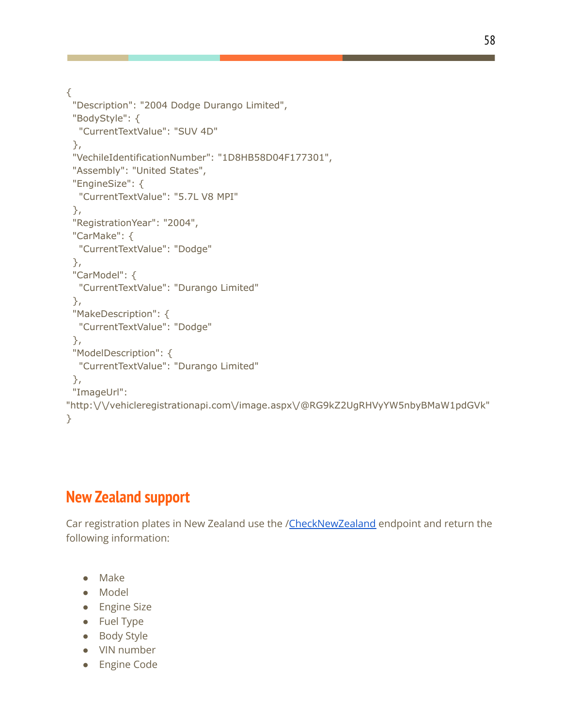{

```
"Description": "2004 Dodge Durango Limited",
 "BodyStyle": {
  "CurrentTextValue": "SUV 4D"
 },
 "VechileIdentificationNumber": "1D8HB58D04F177301",
 "Assembly": "United States",
 "EngineSize": {
  "CurrentTextValue": "5.7L V8 MPI"
 },
 "RegistrationYear": "2004",
 "CarMake": {
  "CurrentTextValue": "Dodge"
 },
 "CarModel": {
  "CurrentTextValue": "Durango Limited"
 },
 "MakeDescription": {
  "CurrentTextValue": "Dodge"
 },
 "ModelDescription": {
  "CurrentTextValue": "Durango Limited"
 },
 "ImageUrl":
"http:\/\/vehicleregistrationapi.com\/image.aspx\/@RG9kZ2UgRHVyYW5nbyBMaW1pdGVk"
}
```
# **New Zealand support**

Car registration plates in New Zealand use the /[CheckNewZealand](http://carregistrationapi.nz/api/reg.asmx?op=CheckNewZealand) endpoint and return the following information:

- Make
- Model
- Engine Size
- Fuel Type
- Body Style
- VIN number
- Engine Code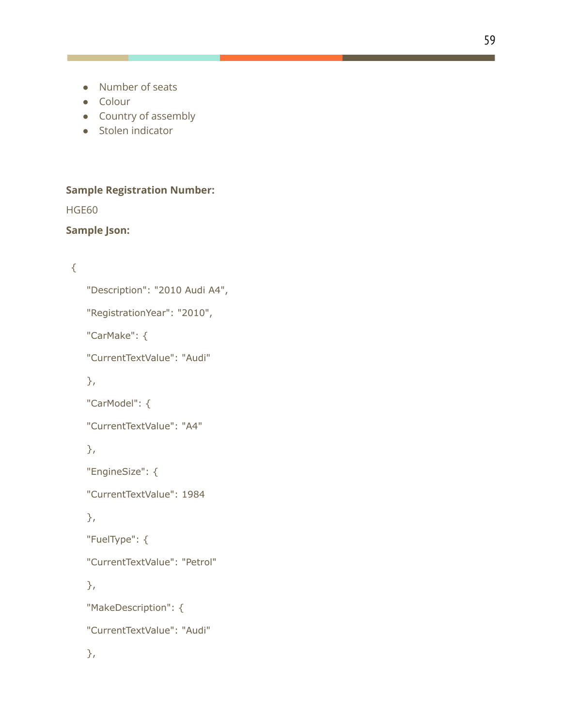- Number of seats
- Colour
- Country of assembly
- Stolen indicator

### **Sample Registration Number:**

HGE60

### **Sample Json:**

## {

```
"Description": "2010 Audi A4",
"RegistrationYear": "2010",
"CarMake": {
"CurrentTextValue": "Audi"
},
"CarModel": {
"CurrentTextValue": "A4"
},
"EngineSize": {
"CurrentTextValue": 1984
},
"FuelType": {
"CurrentTextValue": "Petrol"
},
"MakeDescription": {
"CurrentTextValue": "Audi"
},
```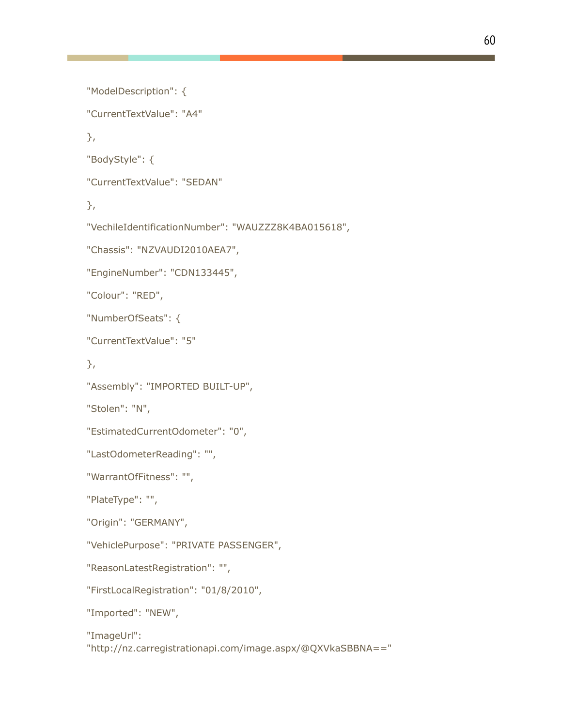```
"ModelDescription": {
"CurrentTextValue": "A4"
},
"BodyStyle": {
"CurrentTextValue": "SEDAN"
},
"VechileIdentificationNumber": "WAUZZZ8K4BA015618",
"Chassis": "NZVAUDI2010AEA7",
"EngineNumber": "CDN133445",
"Colour": "RED",
"NumberOfSeats": {
"CurrentTextValue": "5"
},
"Assembly": "IMPORTED BUILT-UP",
"Stolen": "N",
"EstimatedCurrentOdometer": "0",
"LastOdometerReading": "",
"WarrantOfFitness": "",
"PlateType": "",
"Origin": "GERMANY",
"VehiclePurpose": "PRIVATE PASSENGER",
"ReasonLatestRegistration": "",
"FirstLocalRegistration": "01/8/2010",
"Imported": "NEW",
"ImageUrl":
"http://nz.carregistrationapi.com/image.aspx/@QXVkaSBBNA=="
```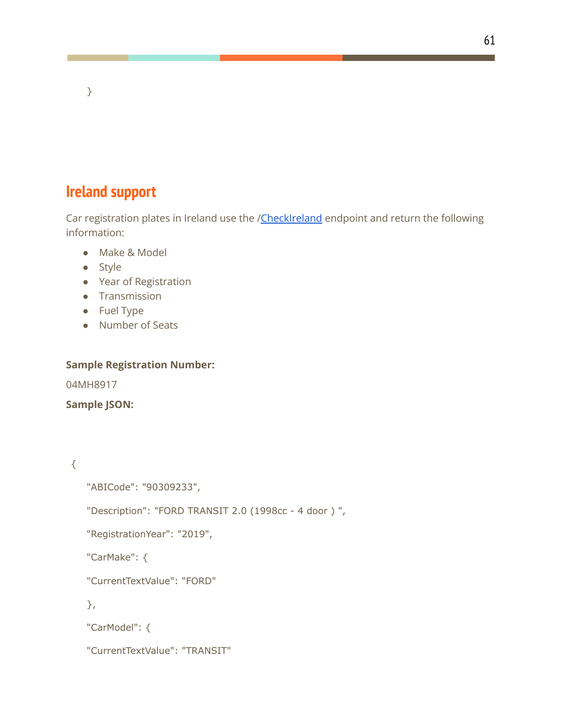# **Ireland support**

}

Car registration plates in Ireland use the [/CheckIreland](http://www.carregistrationapi.ie/api/reg.asmx?op=CheckIreland) endpoint and return the following information:

- Make & Model
- Style
- Year of Registration
- Transmission
- Fuel Type
- Number of Seats

#### **Sample Registration Number:**

04MH8917

**Sample JSON:**

{

"ABICode": "90309233",

"Description": "FORD TRANSIT 2.0 (1998cc - 4 door ) ",

"RegistrationYear": "2019",

"CarMake": {

"CurrentTextValue": "FORD"

},

"CarModel": {

"CurrentTextValue": "TRANSIT"

61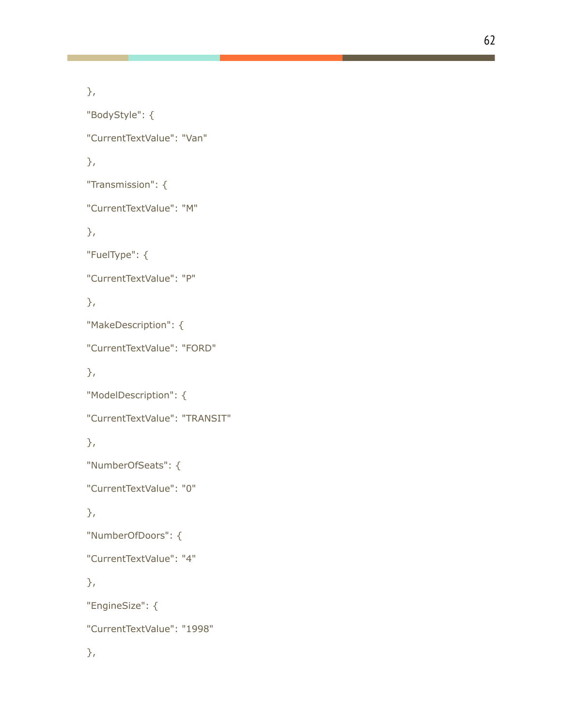```
},
"BodyStyle": {
"CurrentTextValue": "Van"
},
"Transmission": {
"CurrentTextValue": "M"
},
"FuelType": {
"CurrentTextValue": "P"
},
"MakeDescription": {
"CurrentTextValue": "FORD"
},
"ModelDescription": {
"CurrentTextValue": "TRANSIT"
},
"NumberOfSeats": {
"CurrentTextValue": "0"
},
"NumberOfDoors": {
"CurrentTextValue": "4"
},
"EngineSize": {
"CurrentTextValue": "1998"
},
```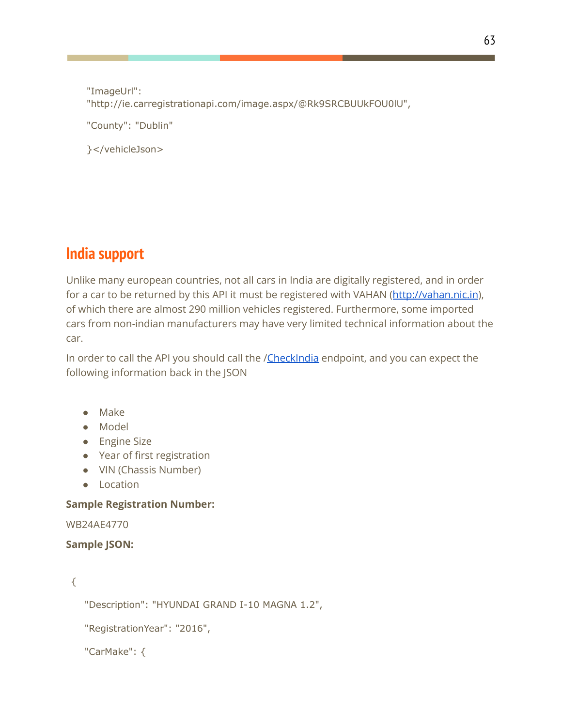"ImageUrl": "http://ie.carregistrationapi.com/image.aspx/@Rk9SRCBUUkFOU0lU", "County": "Dublin"

}</vehicleJson>

# **India support**

Unlike many european countries, not all cars in India are digitally registered, and in order for a car to be returned by this API it must be registered with VAHAN (<http://vahan.nic.in>), of which there are almost 290 million vehicles registered. Furthermore, some imported cars from non-indian manufacturers may have very limited technical information about the car.

In order to call the API you should call the [/CheckIndia](http://www.carregistrationapi.in/api/reg.asmx?op=CheckIndia) endpoint, and you can expect the following information back in the JSON

- Make
- Model
- Engine Size
- Year of first registration
- VIN (Chassis Number)
- Location

### **Sample Registration Number:**

WB24AE4770

### **Sample JSON:**

{

"Description": "HYUNDAI GRAND I-10 MAGNA 1.2",

"RegistrationYear": "2016",

```
"CarMake": {
```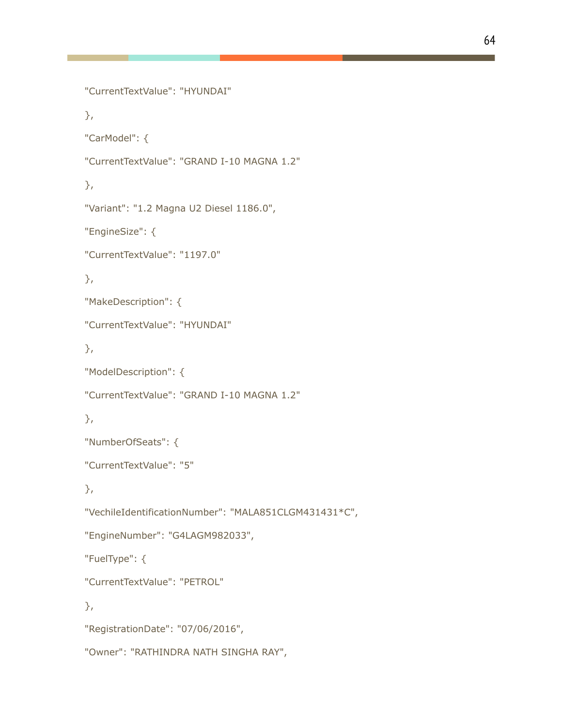```
"CurrentTextValue": "HYUNDAI"
},
"CarModel": {
"CurrentTextValue": "GRAND I-10 MAGNA 1.2"
},
"Variant": "1.2 Magna U2 Diesel 1186.0",
"EngineSize": {
"CurrentTextValue": "1197.0"
},
"MakeDescription": {
"CurrentTextValue": "HYUNDAI"
},
"ModelDescription": {
"CurrentTextValue": "GRAND I-10 MAGNA 1.2"
},
"NumberOfSeats": {
"CurrentTextValue": "5"
},
"VechileIdentificationNumber": "MALA851CLGM431431*C",
"EngineNumber": "G4LAGM982033",
"FuelType": {
"CurrentTextValue": "PETROL"
},
"RegistrationDate": "07/06/2016",
"Owner": "RATHINDRA NATH SINGHA RAY",
```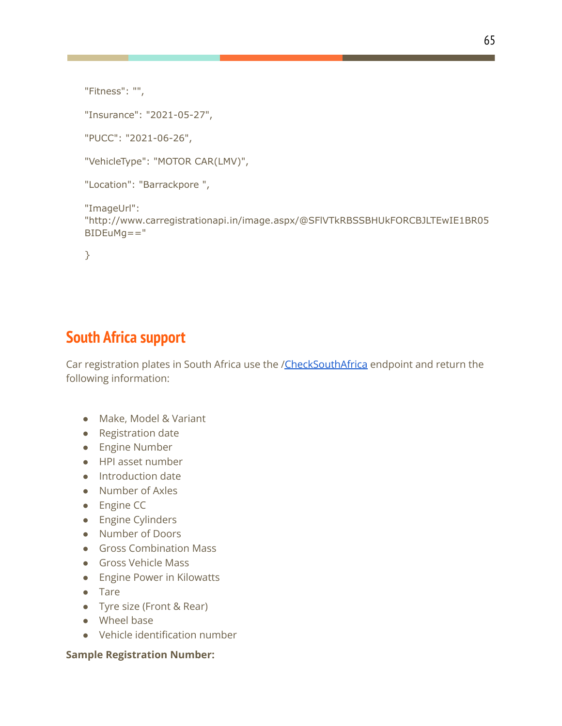```
"Fitness": "",
```
"Insurance": "2021-05-27",

"PUCC": "2021-06-26",

"VehicleType": "MOTOR CAR(LMV)",

```
"Location": "Barrackpore ",
```
"ImageUrl":

"http://www.carregistrationapi.in/image.aspx/@SFlVTkRBSSBHUkFORCBJLTEwIE1BR05  $BIDEuMq = = "$ 

}

# **South Africa support**

Car registration plates in South Africa use the [/CheckSouthAfrica](http://www.carregistrationapi.co.za/api/reg.asmx?op=CheckSouthAfrica) endpoint and return the following information:

- Make, Model & Variant
- Registration date
- Engine Number
- HPI asset number
- Introduction date
- Number of Axles
- Engine CC
- Engine Cylinders
- Number of Doors
- Gross Combination Mass
- Gross Vehicle Mass
- Engine Power in Kilowatts
- Tare
- Tyre size (Front & Rear)
- Wheel base
- Vehicle identification number

#### **Sample Registration Number:**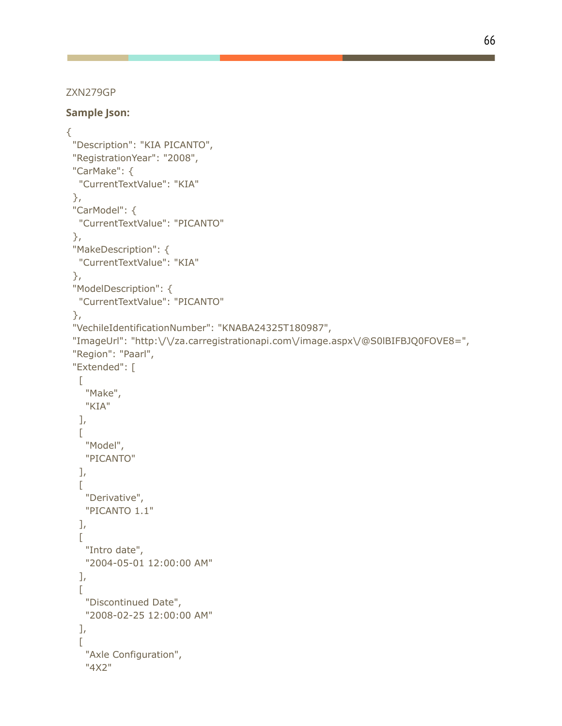66

#### ZXN279GP

**Sample Json:**

```
{
 "Description": "KIA PICANTO",
 "RegistrationYear": "2008",
 "CarMake": {
  "CurrentTextValue": "KIA"
 },
 "CarModel": {
  "CurrentTextValue": "PICANTO"
 },
 "MakeDescription": {
  "CurrentTextValue": "KIA"
 },
 "ModelDescription": {
  "CurrentTextValue": "PICANTO"
 },
 "VechileIdentificationNumber": "KNABA24325T180987",
 "ImageUrl": "http:\/\/za.carregistrationapi.com\/image.aspx\/@S0lBIFBJQ0FOVE8=",
 "Region": "Paarl",
 "Extended": [
  \lceil"Make",
   "KIA"
  ],
  \Gamma"Model",
   "PICANTO"
  ],
  \Gamma"Derivative",
   "PICANTO 1.1"
  ],
  \Gamma"Intro date",
   "2004-05-01 12:00:00 AM"
  ],
  \Gamma"Discontinued Date",
   "2008-02-25 12:00:00 AM"
  ],
  \Gamma"Axle Configuration",
    "4X2"
```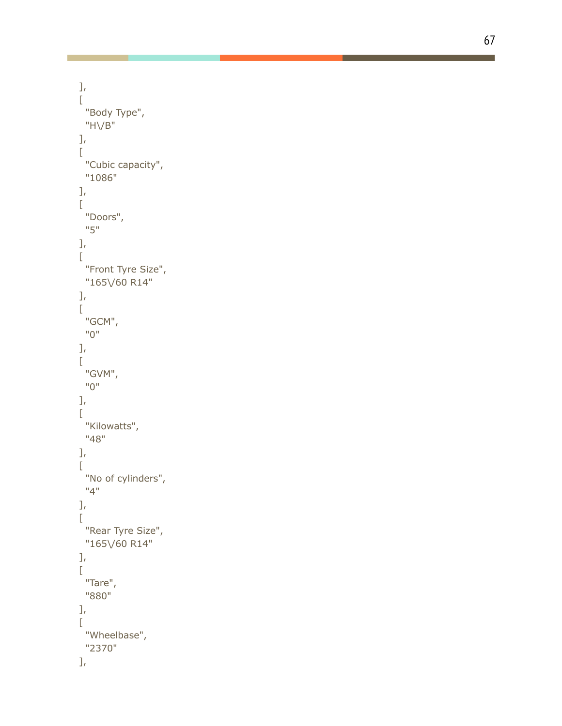```
]
,
\overline{L}"Body Type",
   "H \vee B"
]
,
\overline{L}"Cubic capacity",
   "1086"
]
,
\overline{L}"Doors",
   "
5
"
]
,
\mathbb{R}"Front Tyre Size",
   "165\/60 R14"
]
,
\mathbb{R}"
G
C
M
"
,
   "
0
"
]
,
\mathbb{L}"
G
V
M
"
,
   "
0
"
]
,
\Gamma"Kilowatts",
   "
4
8
"
]
,
\mathbb{R}"No of cylinders",
   "
4
"
]
,
\mathbb{I}"Rear Tyre Size",
   "165\/60 R14"
]
,
\mathbb{R}"Tare",
   "880"
]
,
\overline{L}"Wheelbase",
   "2370"
]
,
```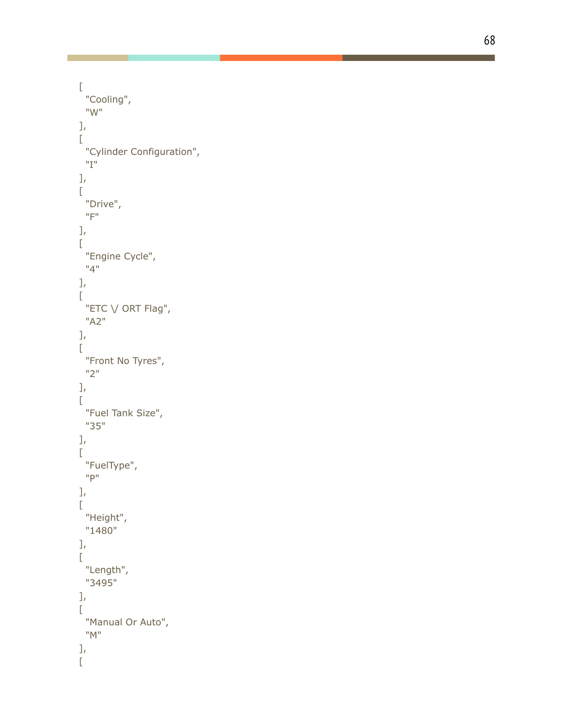```
\overline{\mathbb{L}}"Cooling",
   "
W
"
]
,
\overline{L}"Cylinder Configuration",
   "
I
"
]
,
\overline{[}"Drive",
   "
F
"
]
,
\overline{[}"Engine Cycle",
   "
4
"
]
,
\Gamma"ETC \vee ORT Flag",
   "
A
2
"
]
,
\mathbb{R}"Front No Tyres",
   "
2
"
]
,
\mathbf{r}"Fuel Tank Size",
   "
3
5
"
]
,
\overline{\mathbb{L}}"FuelType",
   "
P
"
]
,
\mathbb{R}"Height",
   "1480"
]
,
\mathbb{L}"Length",
   "3495"
]
,
\Gamma"Manual Or Auto",
   "
M
"
]
,
\overline{[}
```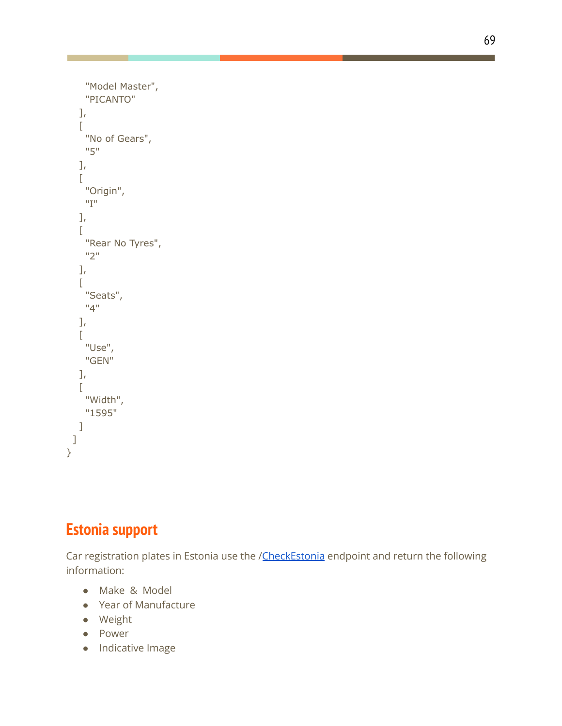```
"Model Master",
    "PICANTO"
   ],
   \Gamma"No of Gears",
    "5"
   ],
   \Gamma"Origin",
    "I"
   ],
   \Gamma"Rear No Tyres",
    "2"
   ],
   \overline{[}"Seats",
    "4"
   ],
   \Gamma"Use",
    "GEN"
   ],
   \Gamma"Width",
    "1595"
   ]
 ]
}
```
# **Estonia support**

Car registration plates in Estonia use the /[CheckEstonia](http://www.xn--siduk-dua.com/api/reg.asmx?op=CheckEstonia) endpoint and return the following information:

- Make & Model
- Year of Manufacture
- Weight
- Power
- Indicative Image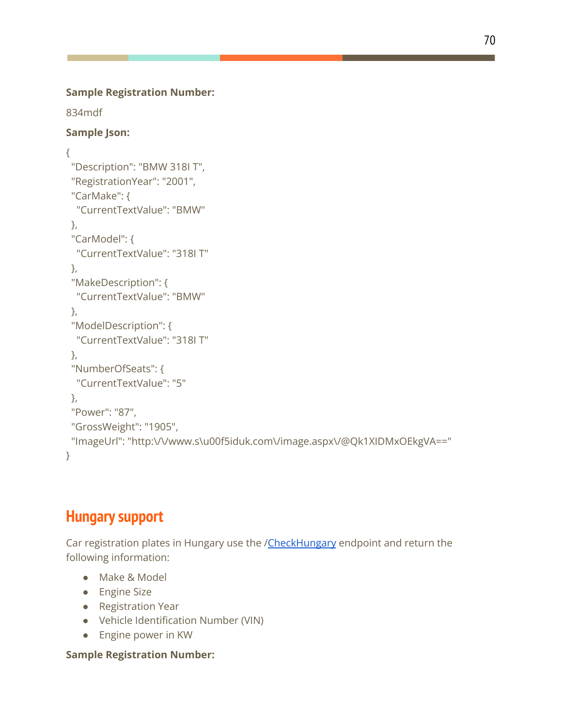834mdf

### **Sample Json:**

```
{
 "Description": "BMW 318I T",
 "RegistrationYear": "2001",
 "CarMake": {
  "CurrentTextValue": "BMW"
 },
 "CarModel": {
  "CurrentTextValue": "318I T"
 },
 "MakeDescription": {
  "CurrentTextValue": "BMW"
 },
 "ModelDescription": {
  "CurrentTextValue": "318I T"
 },
 "NumberOfSeats": {
  "CurrentTextValue": "5"
},
 "Power": "87",
 "GrossWeight": "1905",
 "ImageUrl": "http:\/\/www.s\u00f5iduk.com\/image.aspx\/@Qk1XIDMxOEkgVA=="
}
```
# **Hungary support**

Car registration plates in Hungary use the /[CheckHungary](http://www.xn--rendszm-mwa.com/api/reg.asmx?op=CheckHungary) endpoint and return the following information:

- Make & Model
- Engine Size
- Registration Year
- Vehicle Identification Number (VIN)
- Engine power in KW

### **Sample Registration Number:**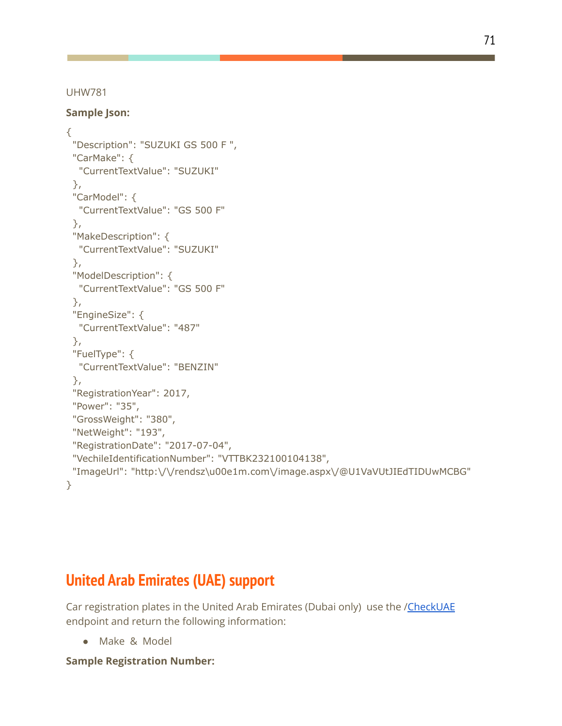UHW781

**Sample Json:**

```
{
 "Description": "SUZUKI GS 500 F ",
 "CarMake": {
  "CurrentTextValue": "SUZUKI"
 },
 "CarModel": {
  "CurrentTextValue": "GS 500 F"
 },
 "MakeDescription": {
  "CurrentTextValue": "SUZUKI"
 },
 "ModelDescription": {
  "CurrentTextValue": "GS 500 F"
 },
 "EngineSize": {
  "CurrentTextValue": "487"
 },
 "FuelType": {
  "CurrentTextValue": "BENZIN"
 },
 "RegistrationYear": 2017,
 "Power": "35",
 "GrossWeight": "380",
 "NetWeight": "193",
 "RegistrationDate": "2017-07-04",
 "VechileIdentificationNumber": "VTTBK232100104138",
 "ImageUrl": "http:\/\/rendsz\u00e1m.com\/image.aspx\/@U1VaVUtJIEdTIDUwMCBG"
}
```
# **United Arab Emirates (UAE) support**

Car registration plates in the United Arab Emirates (Dubai only) use the [/CheckUAE](http://ae.carregistrationapi.com/api/reg.asmx?op=CheckUAE) endpoint and return the following information:

● Make & Model

**Sample Registration Number:**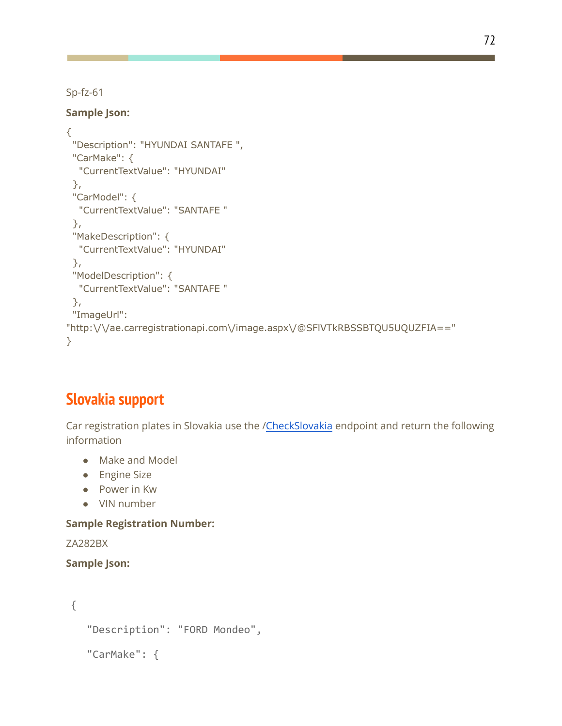Sp-fz-61

### **Sample Json:**

```
{
 "Description": "HYUNDAI SANTAFE ",
 "CarMake": {
  "CurrentTextValue": "HYUNDAI"
 },
 "CarModel": {
  "CurrentTextValue": "SANTAFE "
 },
 "MakeDescription": {
  "CurrentTextValue": "HYUNDAI"
 },
 "ModelDescription": {
  "CurrentTextValue": "SANTAFE "
 },
 "ImageUrl":
"http:\/\/ae.carregistrationapi.com\/image.aspx\/@SFlVTkRBSSBTQU5UQUZFIA=="
}
```
### **Slovakia support**

Car registration plates in Slovakia use the /[CheckSlovakia](http://www.xn--ev-ema.com/api/reg.asmx?op=CheckSlovakia) endpoint and return the following information

- Make and Model
- Engine Size
- Power in Kw
- VIN number

### **Sample Registration Number:**

ZA282BX

```
{
  "Description": "FORD Mondeo",
  "CarMake": {
```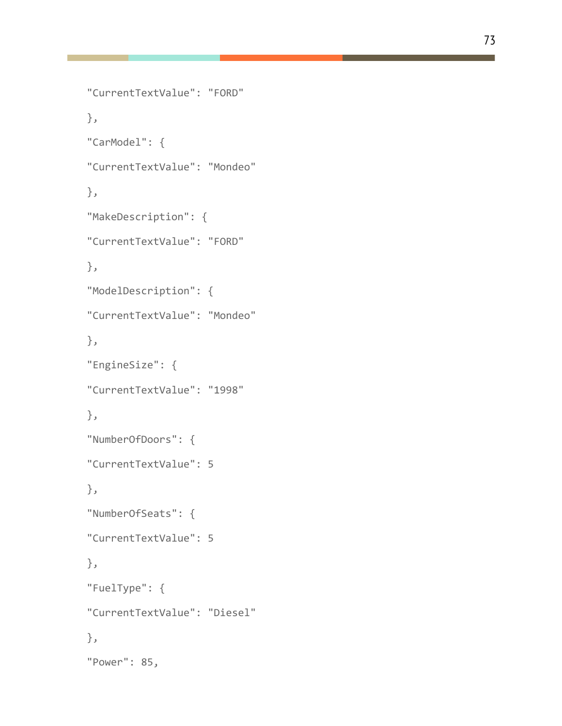```
"CurrentTextValue": "FORD"
},
"CarModel": {
"CurrentTextValue": "Mondeo"
},
"MakeDescription": {
"CurrentTextValue": "FORD"
},
"ModelDescription": {
"CurrentTextValue": "Mondeo"
},
"EngineSize": {
"CurrentTextValue": "1998"
},
"NumberOfDoors": {
"CurrentTextValue": 5
},
"NumberOfSeats": {
"CurrentTextValue": 5
},
"FuelType": {
"CurrentTextValue": "Diesel"
},
```
"Power": 85,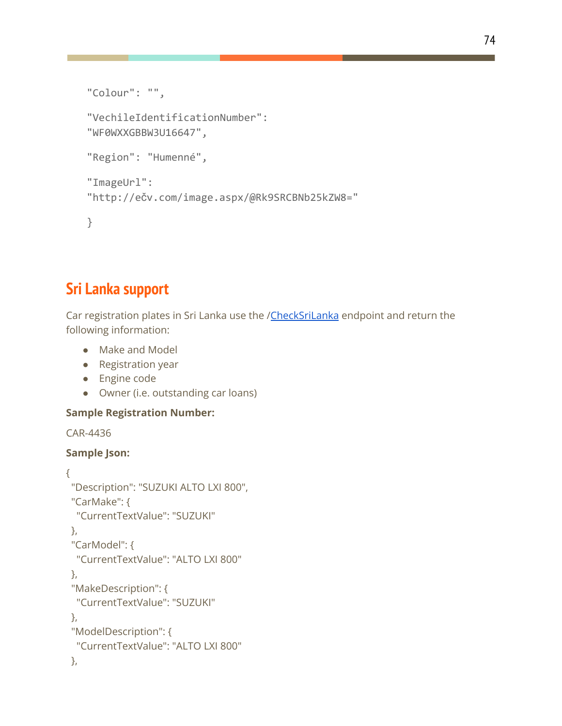```
"Colour": "",
"VechileIdentificationNumber":
"WF0WXXGBBW3U16647",
"Region": "Humenné",
"ImageUrl":
"http://ečv.com/image.aspx/@Rk9SRCBNb25kZW8="
}
```
### **Sri Lanka support**

Car registration plates in Sri Lanka use the /[CheckSriLanka](http://lk.carregistrationapi.com/api/reg.asmx?op=CheckSriLanka) endpoint and return the following information:

- Make and Model
- Registration year
- Engine code
- Owner (i.e. outstanding car loans)

#### **Sample Registration Number:**

CAR-4436

```
{
 "Description": "SUZUKI ALTO LXI 800",
 "CarMake": {
  "CurrentTextValue": "SUZUKI"
},
 "CarModel": {
  "CurrentTextValue": "ALTO LXI 800"
 },
 "MakeDescription": {
  "CurrentTextValue": "SUZUKI"
 },
 "ModelDescription": {
  "CurrentTextValue": "ALTO LXI 800"
},
```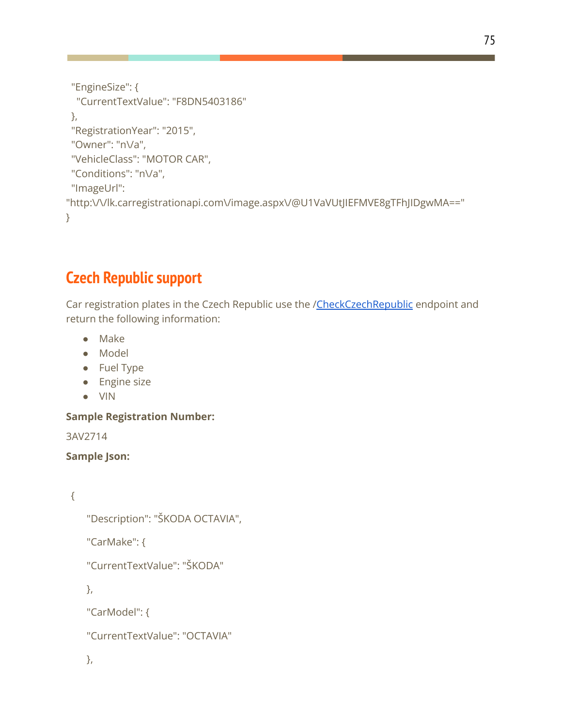```
"EngineSize": {
  "CurrentTextValue": "F8DN5403186"
 },
 "RegistrationYear": "2015",
 "Owner": "n\/a",
 "VehicleClass": "MOTOR CAR",
 "Conditions": "n\/a",
 "ImageUrl":
"http:\/\/lk.carregistrationapi.com\/image.aspx\/@U1VaVUtJIEFMVE8gTFhJIDgwMA=="
}
```
### **Czech Republic support**

Car registration plates in the Czech Republic use the /[CheckCzechRepublic](http://www.spzapi.com/api/reg.asmx?op=CheckCzechRepublic) endpoint and return the following information:

- Make
- Model
- Fuel Type
- Engine size
- VIN

#### **Sample Registration Number:**

3AV2714

```
Sample Json:
```

```
{
```

```
"Description": "ŠKODA OCTAVIA",
```
"CarMake": {

"CurrentTextValue": "ŠKODA"

},

"CarModel": {

"CurrentTextValue": "OCTAVIA"

```
},
```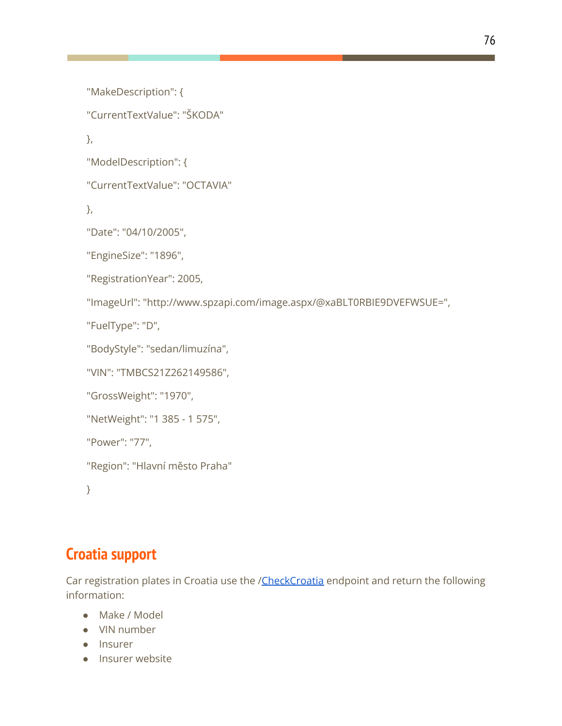```
"MakeDescription": {
"CurrentTextValue": "ŠKODA"
},
"ModelDescription": {
"CurrentTextValue": "OCTAVIA"
},
"Date": "04/10/2005",
"EngineSize": "1896",
"RegistrationYear": 2005,
"ImageUrl": "http://www.spzapi.com/image.aspx/@xaBLT0RBIE9DVEFWSUE=",
"FuelType": "D",
"BodyStyle": "sedan/limuzína",
"VIN": "TMBCS21Z262149586",
"GrossWeight": "1970",
"NetWeight": "1 385 - 1 575",
"Power": "77",
"Region": "Hlavní město Praha"
```
}

### **Croatia support**

Car registration plates in Croatia use the [/CheckCroatia](http://www.provjeraregistracije.com/api/reg.asmx) endpoint and return the following information:

- Make / Model
- VIN number
- Insurer
- Insurer website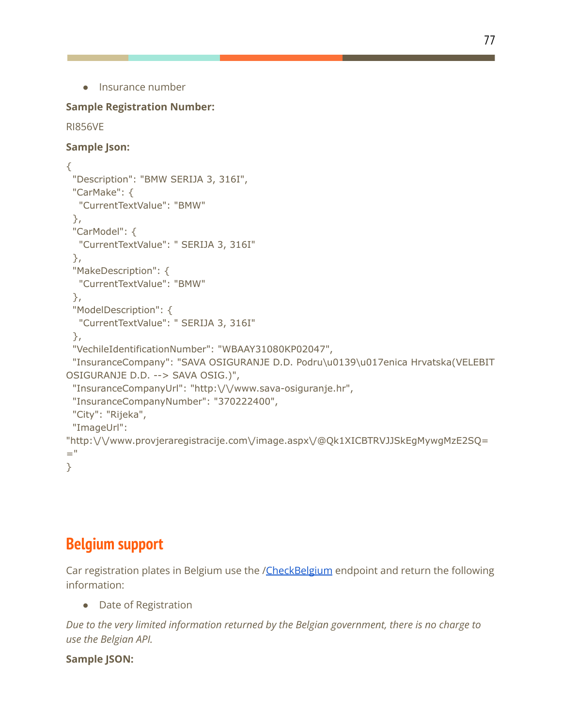```
● Insurance number
```
#### **Sample Registration Number:**

```
RI856VE
Sample Json:
{
 "Description": "BMW SERIJA 3, 316I",
 "CarMake": {
  "CurrentTextValue": "BMW"
 },
 "CarModel": {
  "CurrentTextValue": " SERIJA 3, 316I"
 },
 "MakeDescription": {
  "CurrentTextValue": "BMW"
 },
 "ModelDescription": {
  "CurrentTextValue": " SERIJA 3, 316I"
 },
 "VechileIdentificationNumber": "WBAAY31080KP02047",
 "InsuranceCompany": "SAVA OSIGURANJE D.D. Podru\u0139\u017enica Hrvatska(VELEBIT
OSIGURANJE D.D. --> SAVA OSIG.)",
 "InsuranceCompanyUrl": "http:\/\/www.sava-osiguranje.hr",
 "InsuranceCompanyNumber": "370222400",
 "City": "Rijeka",
 "ImageUrl":
"http:\/\/www.provjeraregistracije.com\/image.aspx\/@Qk1XICBTRVJJSkEgMywgMzE2SQ=
="
}
```
### **Belgium support**

Car registration plates in Belgium use the /[CheckBelgium](http://www.kentekenapi.com/api/reg.asmx?op=CheckBelgium) endpoint and return the following information:

● Date of Registration

*Due to the very limited information returned by the Belgian government, there is no charge to use the Belgian API.*

### **Sample JSON:**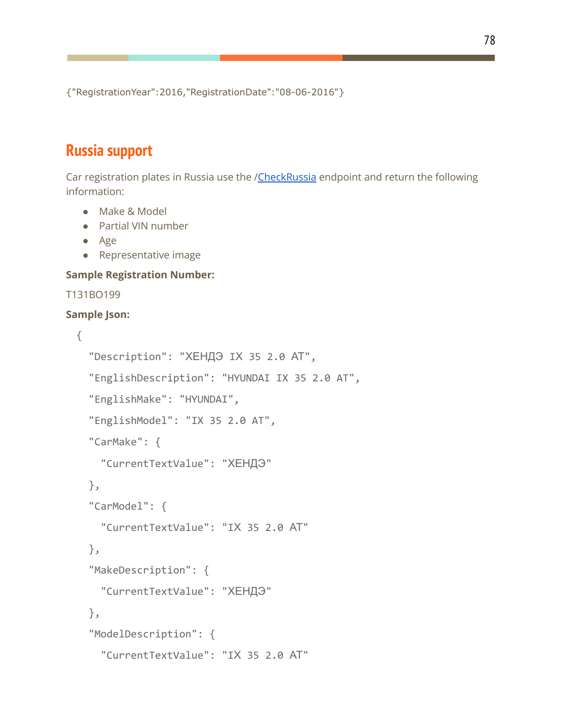{"RegistrationYear":2016,"RegistrationDate":"08-06-2016"}

### **Russia support**

Car registration plates in Russia use the [/CheckRussia](http://www.xn--c1aeudebqd.com/api/reg.asmx?op=CheckRussia) endpoint and return the following information:

- Make & Model
- Partial VIN number
- Age
- Representative image

**Sample Registration Number:**

```
T131BO199
```

```
{
  "Description": "ХЕНДЭ IХ 35 2.0 АТ",
  "EnglishDescription": "HYUNDAI IX 35 2.0 AT",
  "EnglishMake": "HYUNDAI",
  "EnglishModel": "IX 35 2.0 AT",
  "CarMake": {
    "CurrentTextValue": "ХЕНДЭ"
  },
  "CarModel": {
    "CurrentTextValue": "IХ 35 2.0 АТ"
 },
  "MakeDescription": {
    "CurrentTextValue": "ХЕНДЭ"
  },
  "ModelDescription": {
    "CurrentTextValue": "IХ 35 2.0 АТ"
```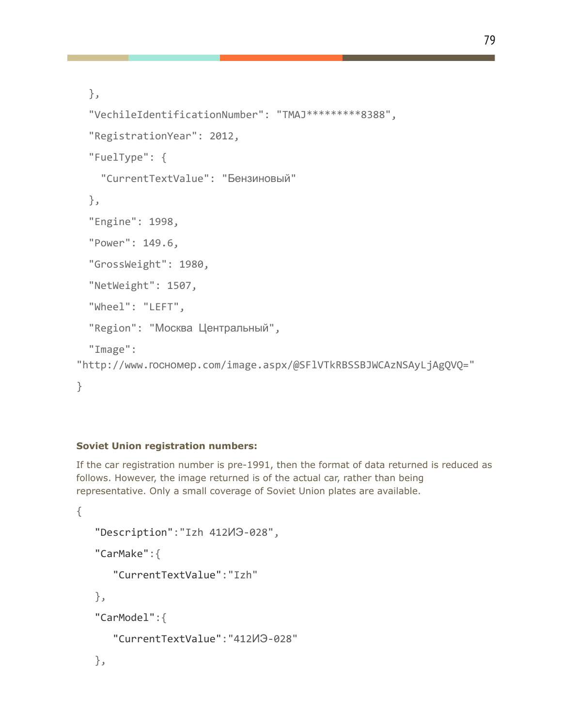```
},
```

```
"VechileIdentificationNumber": "TMAJ*********8388",
 "RegistrationYear": 2012,
 "FuelType": {
    "CurrentTextValue": "Бензиновый"
 },
 "Engine": 1998,
 "Power": 149.6,
 "GrossWeight": 1980,
 "NetWeight": 1507,
 "Wheel": "LEFT",
 "Region": "Москва Центральный",
 "Image":
"http://www.госномер.com/image.aspx/@SFlVTkRBSSBJWCAzNSAyLjAgQVQ="
}
```
#### **Soviet Union registration numbers:**

If the car registration number is pre-1991, then the format of data returned is reduced as follows. However, the image returned is of the actual car, rather than being representative. Only a small coverage of Soviet Union plates are available.

```
{
   "Description":"Izh 412ИЭ-028",
   "CarMake":{
      "CurrentTextValue":"Izh"
   },
   "CarModel":{
      "CurrentTextValue":"412ИЭ-028"
   },
```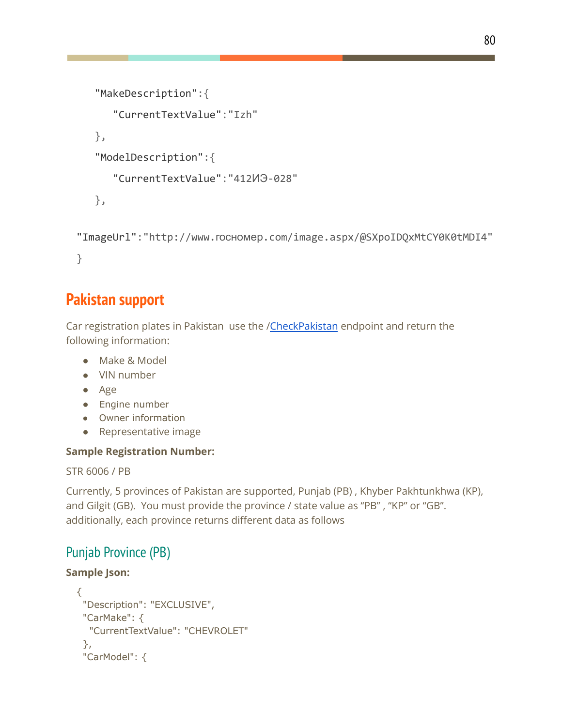```
"MakeDescription":{
   "CurrentTextValue":"Izh"
},
"ModelDescription":{
   "CurrentTextValue":"412ИЭ-028"
},
```

```
"ImageUrl":"http://www.госномер.com/image.aspx/@SXpoIDQxMtCY0K0tMDI4"
}
```
### **Pakistan support**

Car registration plates in Pakistan use the [/CheckPakistan](http://pk.carregistrationapi.com/api/reg.asmx?op=CheckPakistan) endpoint and return the following information:

- Make & Model
- VIN number
- Age
- Engine number
- Owner information
- Representative image

### **Sample Registration Number:**

STR 6006 / PB

Currently, 5 provinces of Pakistan are supported, Punjab (PB) , Khyber Pakhtunkhwa (KP), and Gilgit (GB). You must provide the province / state value as "PB" , "KP" or "GB". additionally, each province returns different data as follows

### Punjab Province (PB)

```
{
 "Description": "EXCLUSIVE",
 "CarMake": {
  "CurrentTextValue": "CHEVROLET"
 },
 "CarModel": {
```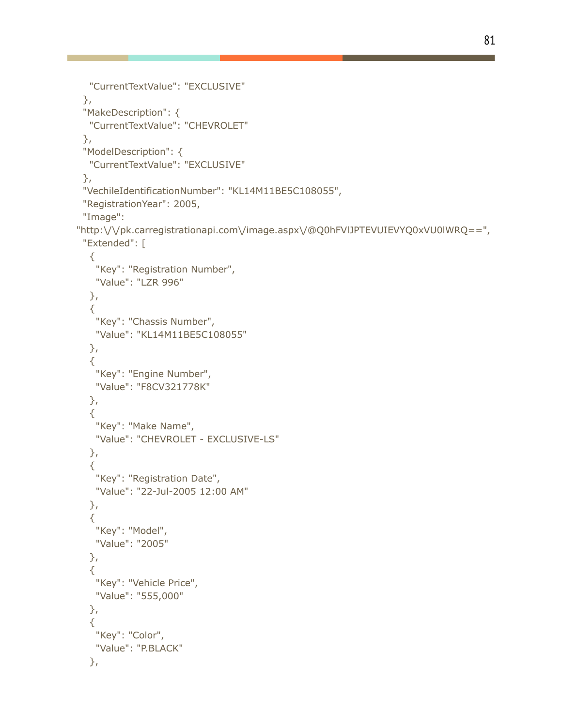```
"CurrentTextValue": "EXCLUSIVE"
 },
 "MakeDescription": {
  "CurrentTextValue": "CHEVROLET"
 },
 "ModelDescription": {
  "CurrentTextValue": "EXCLUSIVE"
 },
 "VechileIdentificationNumber": "KL14M11BE5C108055",
 "RegistrationYear": 2005,
 "Image":
"http:\/\/pk.carregistrationapi.com\/image.aspx\/@Q0hFVlJPTEVUIEVYQ0xVU0lWRQ==",
 "Extended": [
  {
   "Key": "Registration Number",
   "Value": "LZR 996"
  },
  {
   "Key": "Chassis Number",
   "Value": "KL14M11BE5C108055"
  },
  {
   "Key": "Engine Number",
   "Value": "F8CV321778K"
  },
  {
   "Key": "Make Name",
   "Value": "CHEVROLET - EXCLUSIVE-LS"
  },
  {
   "Key": "Registration Date",
   "Value": "22-Jul-2005 12:00 AM"
  },
  {
   "Key": "Model",
   "Value": "2005"
  },
  {
   "Key": "Vehicle Price",
   "Value": "555,000"
  },
  {
   "Key": "Color",
   "Value": "P.BLACK"
  },
```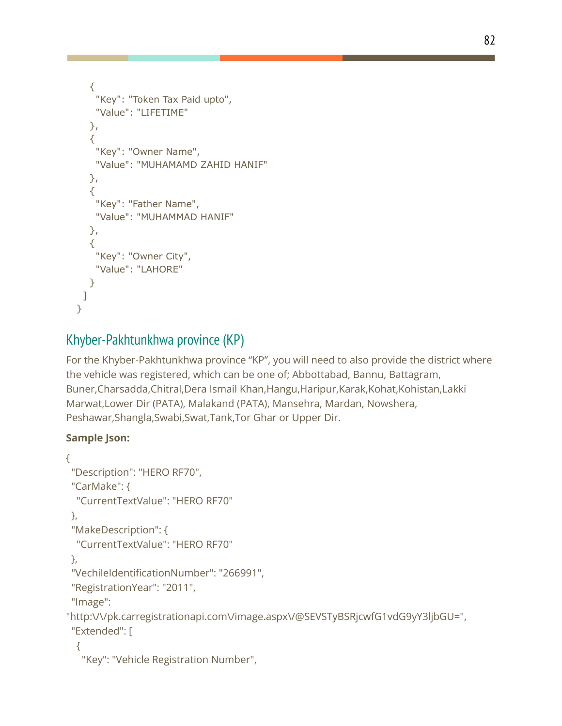```
{
   "Key": "Token Tax Paid upto",
    "Value": "LIFETIME"
  },
  {
   "Key": "Owner Name",
   "Value": "MUHAMAMD ZAHID HANIF"
  },
  {
    "Key": "Father Name",
    "Value": "MUHAMMAD HANIF"
  },
  {
   "Key": "Owner City",
   "Value": "LAHORE"
  }
 ]
}
```
### Khyber-Pakhtunkhwa province (KP)

For the Khyber-Pakhtunkhwa province "KP", you will need to also provide the district where the vehicle was registered, which can be one of; Abbottabad, Bannu, Battagram, Buner,Charsadda,Chitral,Dera Ismail Khan,Hangu,Haripur,Karak,Kohat,Kohistan,Lakki Marwat,Lower Dir (PATA), Malakand (PATA), Mansehra, Mardan, Nowshera, Peshawar,Shangla,Swabi,Swat,Tank,Tor Ghar or Upper Dir.

```
{
 "Description": "HERO RF70",
 "CarMake": {
  "CurrentTextValue": "HERO RF70"
 },
 "MakeDescription": {
  "CurrentTextValue": "HERO RF70"
 },
 "VechileIdentificationNumber": "266991",
 "RegistrationYear": "2011",
 "Image":
"http:\/\/pk.carregistrationapi.com\/image.aspx\/@SEVSTyBSRjcwfG1vdG9yY3ljbGU=",
 "Extended": [
  {
   "Key": "Vehicle Registration Number",
```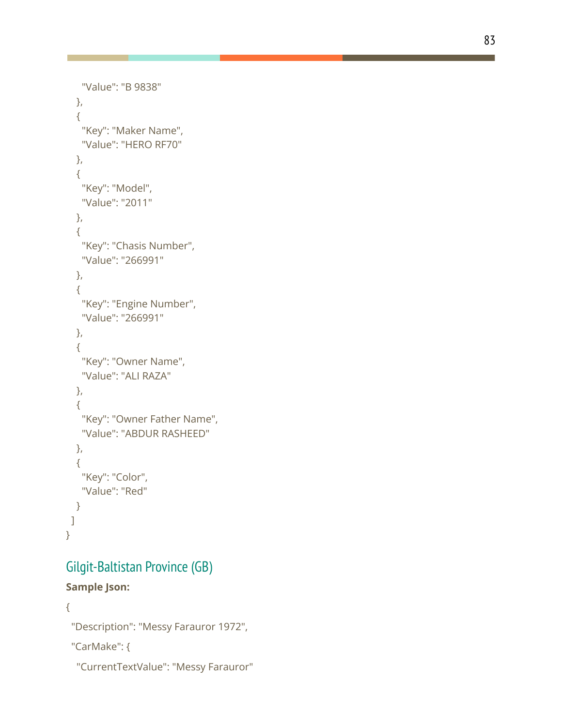```
"Value": "B 9838"
   }
,
  {
    "Key": "Maker Name",
    "Value": "HERO RF70"
   }
,
  {
    "Key": "Model",
    "Value": "2011"
   }
,
  {
    "Key": "Chasis Number",
    "Value": "266991"
   }
,
  {
    "
K
e
y
": "
E
n
gin
e
N
u
m
b
e
r
"
,
    "Value": "266991"
   }
,
  {
    "Key": "Owner Name",
    "Value": "ALI RAZA"
   }
,
  {
    "Key": "Owner Father Name",
    "Value": "ABDUR RASHEED"
   }
,
  {
    "Key": "Color",
    "Value": "Red"
  }
\mathbf{I}}
```
# Gilgit-Baltistan Province (GB)

```
{
 "Description": "Messy Farauror 1972",
```

```
"CarMake": {
```

```
"CurrentTextValue": "Messy Farauror"
```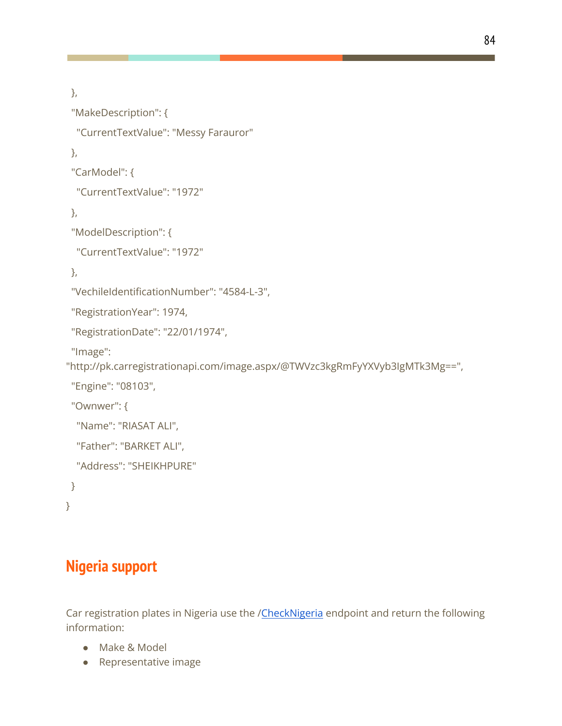```
},
 "MakeDescription": {
  "CurrentTextValue": "Messy Farauror"
 },
 "CarModel": {
  "CurrentTextValue": "1972"
},
 "ModelDescription": {
  "CurrentTextValue": "1972"
},
 "VechileIdentificationNumber": "4584-L-3",
 "RegistrationYear": 1974,
 "RegistrationDate": "22/01/1974",
 "Image":
"http://pk.carregistrationapi.com/image.aspx/@TWVzc3kgRmFyYXVyb3IgMTk3Mg==",
 "Engine": "08103",
 "Ownwer": {
  "Name": "RIASAT ALI",
  "Father": "BARKET ALI",
  "Address": "SHEIKHPURE"
 }
```

```
}
```
## **Nigeria support**

Car registration plates in Nigeria use the /[CheckNigeria](http://ng.carregistrationapi.com/api/reg.asmx?op=CheckNigeria) endpoint and return the following information:

- Make & Model
- Representative image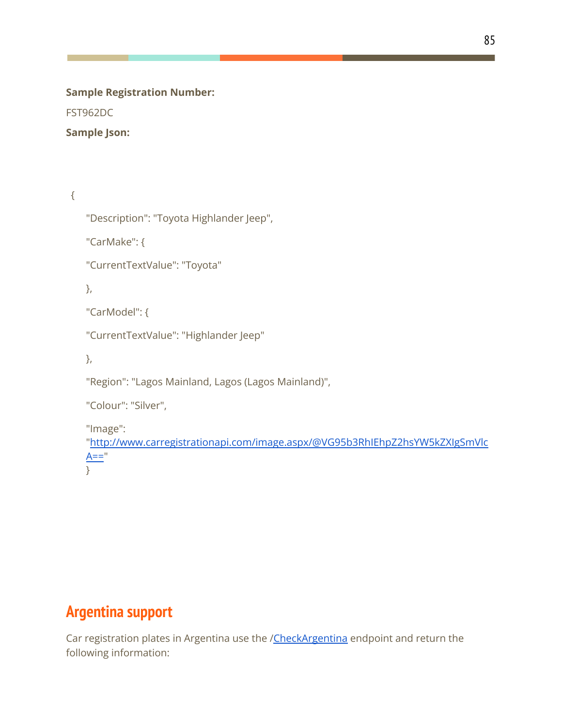#### **Sample Registration Number:**

FST962DC

### **Sample Json:**

{

```
"Description": "Toyota Highlander Jeep",
```
"CarMake": {

"CurrentTextValue": "Toyota"

},

"CarModel": {

"CurrentTextValue": "Highlander Jeep"

},

"Region": "Lagos Mainland, Lagos (Lagos Mainland)",

"Colour": "Silver",

"Image":

["http://www.carregistrationapi.com/image.aspx/@VG95b3RhIEhpZ2hsYW5kZXIgSmVlc](http://www.carregistrationapi.com/image.aspx/@VG95b3RhIEhpZ2hsYW5kZXIgSmVlcA==)  $A==$ "

}

### **Argentina support**

Car registration plates in Argentina use the [/CheckArgentina](http://ar.matriculaapi.com/api/reg.asmx?op=CheckArgentina) endpoint and return the following information: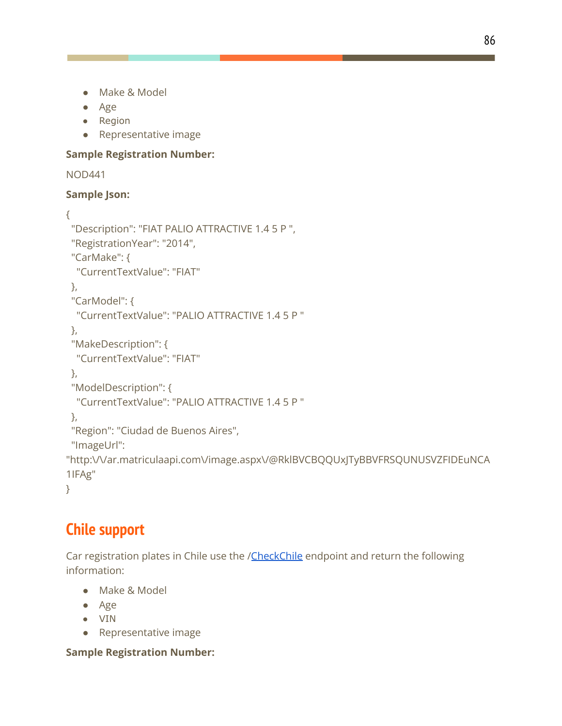- Make & Model
- Age
- Region
- Representative image

#### **Sample Registration Number:**

```
NOD441
```
### **Sample Json:**

```
{
 "Description": "FIAT PALIO ATTRACTIVE 1.4 5 P ",
 "RegistrationYear": "2014",
 "CarMake": {
  "CurrentTextValue": "FIAT"
 },
 "CarModel": {
  "CurrentTextValue": "PALIO ATTRACTIVE 1.4 5 P "
 },
 "MakeDescription": {
  "CurrentTextValue": "FIAT"
 },
 "ModelDescription": {
  "CurrentTextValue": "PALIO ATTRACTIVE 1.4 5 P "
 },
 "Region": "Ciudad de Buenos Aires",
 "ImageUrl":
"http:\/\/ar.matriculaapi.com\/image.aspx\/@RklBVCBQQUxJTyBBVFRSQUNUSVZFIDEuNCA
1IFAg"
}
```
### **Chile support**

Car registration plates in Chile use the /[CheckChile](http://cl.matriculaapi.com/api/reg.asmx?op=CheckChile) endpoint and return the following information:

- Make & Model
- Age
- VIN
- Representative image

**Sample Registration Number:**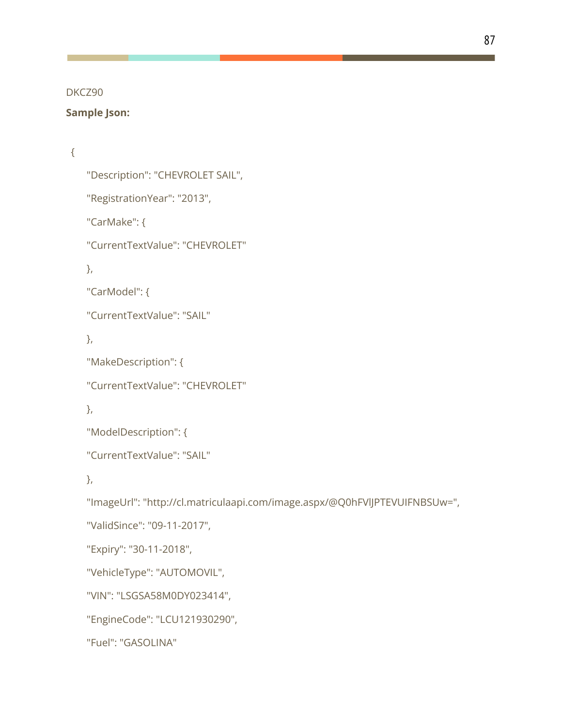DKCZ90

#### **Sample Json:**

### {

```
"Description": "CHEVROLET SAIL",
"RegistrationYear": "2013",
"CarMake": {
"CurrentTextValue": "CHEVROLET"
},
"CarModel": {
"CurrentTextValue": "SAIL"
},
"MakeDescription": {
"CurrentTextValue": "CHEVROLET"
},
"ModelDescription": {
"CurrentTextValue": "SAIL"
},
"ImageUrl": "http://cl.matriculaapi.com/image.aspx/@Q0hFVlJPTEVUIFNBSUw=",
"ValidSince": "09-11-2017",
"Expiry": "30-11-2018",
"VehicleType": "AUTOMOVIL",
"VIN": "LSGSA58M0DY023414",
"EngineCode": "LCU121930290",
"Fuel": "GASOLINA"
```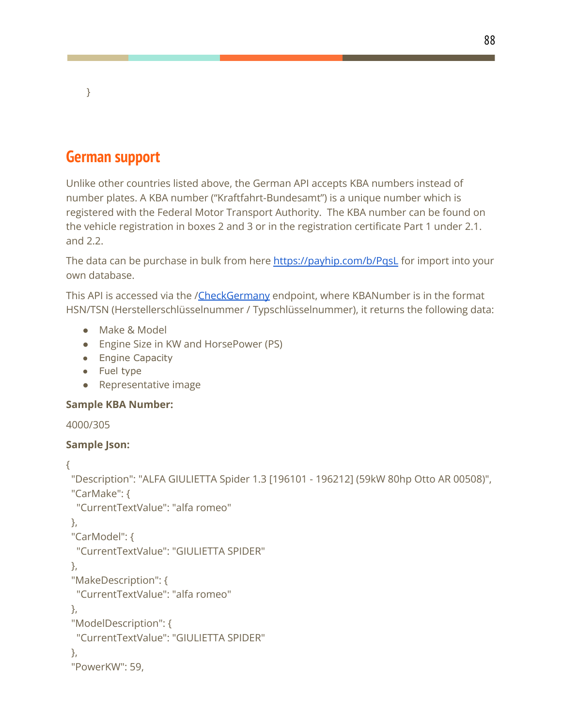### **German support**

}

Unlike other countries listed above, the German API accepts KBA numbers instead of number plates. A KBA number ("Kraftfahrt-Bundesamt") is a unique number which is registered with the Federal Motor Transport Authority. The KBA number can be found on the vehicle registration in boxes 2 and 3 or in the registration certificate Part 1 under 2.1. and 2.2.

The data can be purchase in bulk from here <https://payhip.com/b/PqsL> for import into your own database.

This API is accessed via the *[/CheckGermany](http://www.kbaapi.de/api/reg.asmx?op=CheckGermany)* endpoint, where KBANumber is in the format HSN/TSN (Herstellerschlüsselnummer / Typschlüsselnummer), it returns the following data:

- Make & Model
- Engine Size in KW and HorsePower (PS)
- Engine Capacity
- Fuel type
- Representative image

### **Sample KBA Number:**

```
4000/305
```

```
Sample Json:
{
 "Description": "ALFA GIULIETTA Spider 1.3 [196101 - 196212] (59kW 80hp Otto AR 00508)",
 "CarMake": {
  "CurrentTextValue": "alfa romeo"
 },
 "CarModel": {
  "CurrentTextValue": "GIULIETTA SPIDER"
 },
 "MakeDescription": {
  "CurrentTextValue": "alfa romeo"
 },
 "ModelDescription": {
  "CurrentTextValue": "GIULIETTA SPIDER"
 },
 "PowerKW": 59,
```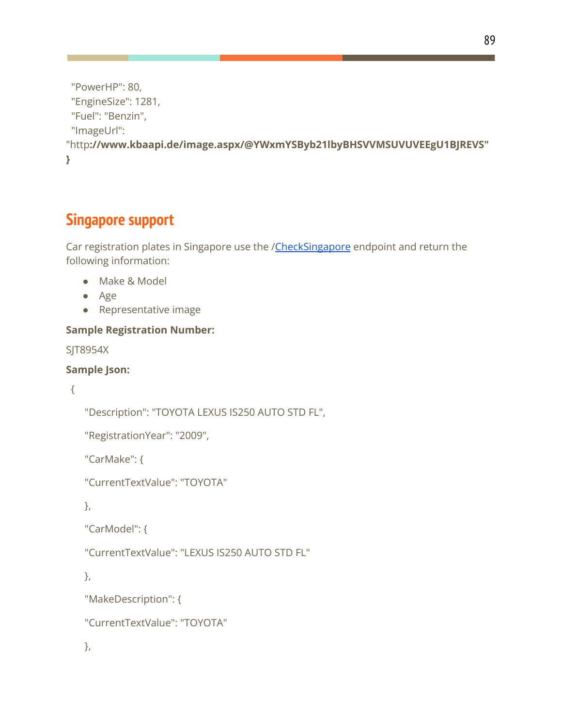```
"PowerHP": 80,
 "EngineSize": 1281,
 "Fuel": "Benzin",
 "ImageUrl":
"http://www.kbaapi.de/image.aspx/@YWxmYSByb21lbyBHSVVMSUVUVEEgU1BJREVS"
}
```
### **Singapore support**

Car registration plates in Singapore use the /[CheckSingapore](http://sg.carregistrationapi.com/api/reg.asmx?op=CheckSingapore) endpoint and return the following information:

- Make & Model
- Age
- Representative image

### **Sample Registration Number:**

SJT8954X

#### **Sample Json:**

```
{
```
"Description": "TOYOTA LEXUS IS250 AUTO STD FL",

```
"RegistrationYear": "2009",
```
"CarMake": {

"CurrentTextValue": "TOYOTA"

},

```
"CarModel": {
```
"CurrentTextValue": "LEXUS IS250 AUTO STD FL"

},

```
"MakeDescription": {
```

```
"CurrentTextValue": "TOYOTA"
```
},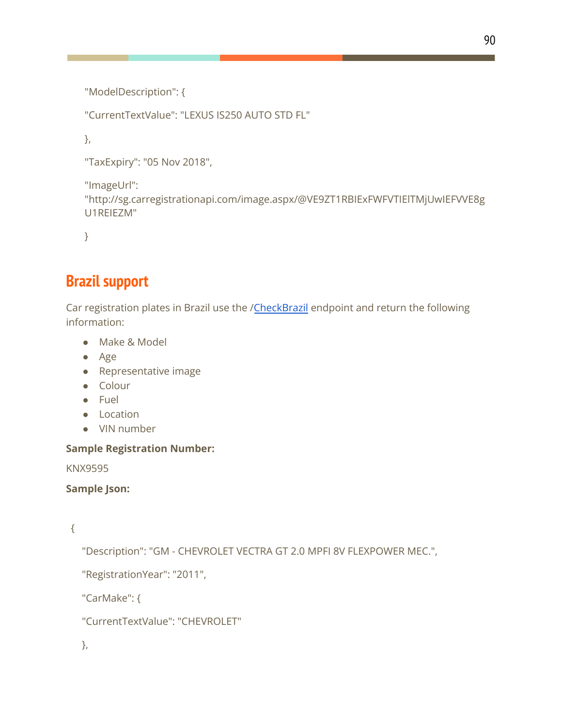```
"ModelDescription": {
```
"CurrentTextValue": "LEXUS IS250 AUTO STD FL"

},

"TaxExpiry": "05 Nov 2018",

"ImageUrl":

"http://sg.carregistrationapi.com/image.aspx/@VE9ZT1RBIExFWFVTIElTMjUwIEFVVE8g U1REIEZM"

}

### **Brazil support**

Car registration plates in Brazil use the /[CheckBrazil](http://www.placaapi.com/api/reg.asmx?op=CheckBrazil) endpoint and return the following information:

- Make & Model
- Age
- Representative image
- Colour
- Fuel
- Location
- VIN number

### **Sample Registration Number:**

KNX9595

### **Sample Json:**

```
{
```
"Description": "GM - CHEVROLET VECTRA GT 2.0 MPFI 8V FLEXPOWER MEC.",

"RegistrationYear": "2011",

"CarMake": {

"CurrentTextValue": "CHEVROLET"

},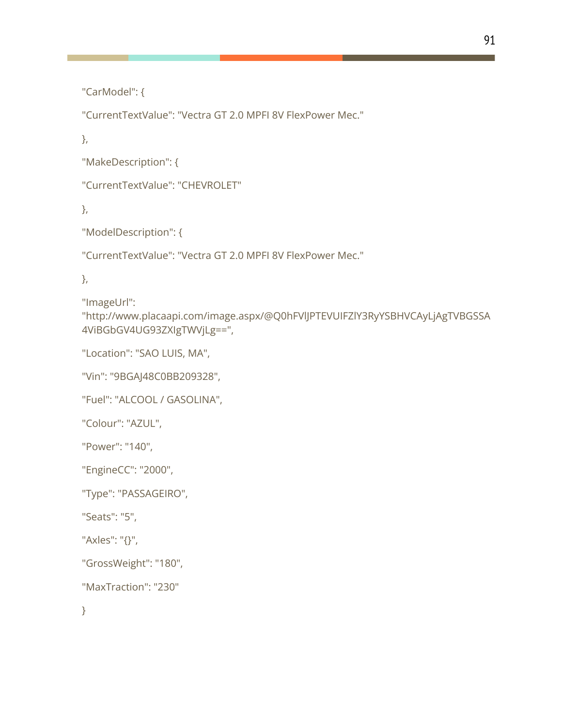"CarModel": {

"CurrentTextValue": "Vectra GT 2.0 MPFI 8V FlexPower Mec."

},

"MakeDescription": {

"CurrentTextValue": "CHEVROLET"

},

"ModelDescription": {

"CurrentTextValue": "Vectra GT 2.0 MPFI 8V FlexPower Mec."

},

"ImageUrl":

"http://www.placaapi.com/image.aspx/@Q0hFVlJPTEVUIFZlY3RyYSBHVCAyLjAgTVBGSSA 4ViBGbGV4UG93ZXIgTWVjLg==",

"Location": "SAO LUIS, MA",

"Vin": "9BGAJ48C0BB209328",

"Fuel": "ALCOOL / GASOLINA",

"Colour": "AZUL",

"Power": "140",

"EngineCC": "2000",

"Type": "PASSAGEIRO",

"Seats": "5",

"Axles": "{}",

"GrossWeight": "180",

"MaxTraction": "230"

}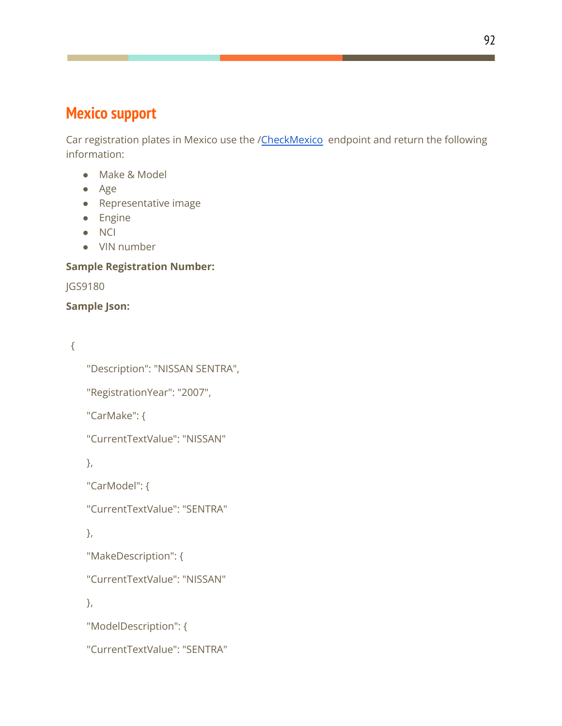### **Mexico support**

Car registration plates in Mexico use the /[CheckMexico](http://mx.placaapi.com/api/reg.asmx?op=CheckMexico) endpoint and return the following information:

- Make & Model
- Age
- Representative image
- Engine
- NCI
- VIN number

### **Sample Registration Number:**

JGS9180

### **Sample Json:**

{

```
"Description": "NISSAN SENTRA",
```
"RegistrationYear": "2007",

"CarMake": {

"CurrentTextValue": "NISSAN"

},

"CarModel": {

"CurrentTextValue": "SENTRA"

},

"MakeDescription": {

"CurrentTextValue": "NISSAN"

},

"ModelDescription": {

"CurrentTextValue": "SENTRA"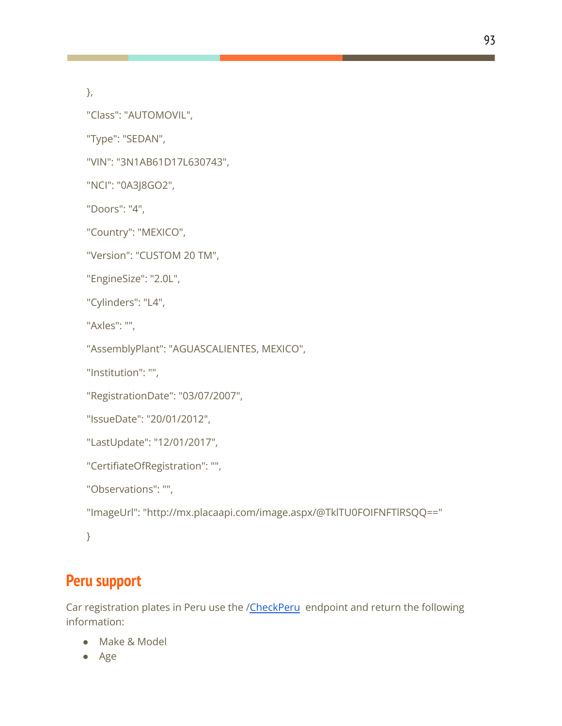},

"Class": "AUTOMOVIL",

"Type": "SEDAN",

"VIN": "3N1AB61D17L630743",

"NCI": "0A3J8GO2",

"Doors": "4",

"Country": "MEXICO",

"Version": "CUSTOM 20 TM",

"EngineSize": "2.0L",

"Cylinders": "L4",

"Axles": "",

"AssemblyPlant": "AGUASCALIENTES, MEXICO",

"Institution": "",

"RegistrationDate": "03/07/2007",

```
"IssueDate": "20/01/2012",
```

```
"LastUpdate": "12/01/2017",
```

```
"CertifiateOfRegistration": "",
```
"Observations": "",

"ImageUrl": "http://mx.placaapi.com/image.aspx/@TklTU0FOIFNFTlRSQQ=="

}

### **Peru support**

Car registration plates in Peru use the [/CheckPeru](http://pe.placaapi.com/api/reg.asmx?op=CheckPeru) endpoint and return the following information:

- Make & Model
- Age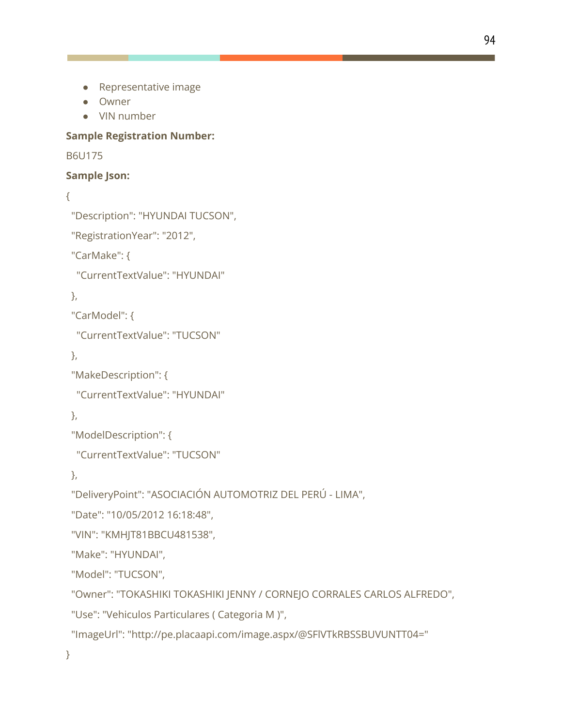- Representative image
- Owner
- VIN number

### **Sample Registration Number:**

#### B6U175

### **Sample Json:**

#### {

```
"Description": "HYUNDAI TUCSON",
```

```
"RegistrationYear": "2012",
```
"CarMake": {

"CurrentTextValue": "HYUNDAI"

### },

"CarModel": {

"CurrentTextValue": "TUCSON"

```
},
```
"MakeDescription": {

"CurrentTextValue": "HYUNDAI"

},

"ModelDescription": {

```
"CurrentTextValue": "TUCSON"
```
},

"DeliveryPoint": "ASOCIACIÓN AUTOMOTRIZ DEL PERÚ - LIMA",

"Date": "10/05/2012 16:18:48",

```
"VIN": "KMHJT81BBCU481538",
```
"Make": "HYUNDAI",

"Model": "TUCSON",

"Owner": "TOKASHIKI TOKASHIKI JENNY / CORNEJO CORRALES CARLOS ALFREDO",

"Use": "Vehiculos Particulares ( Categoria M )",

"ImageUrl": "http://pe.placaapi.com/image.aspx/@SFlVTkRBSSBUVUNTT04="

}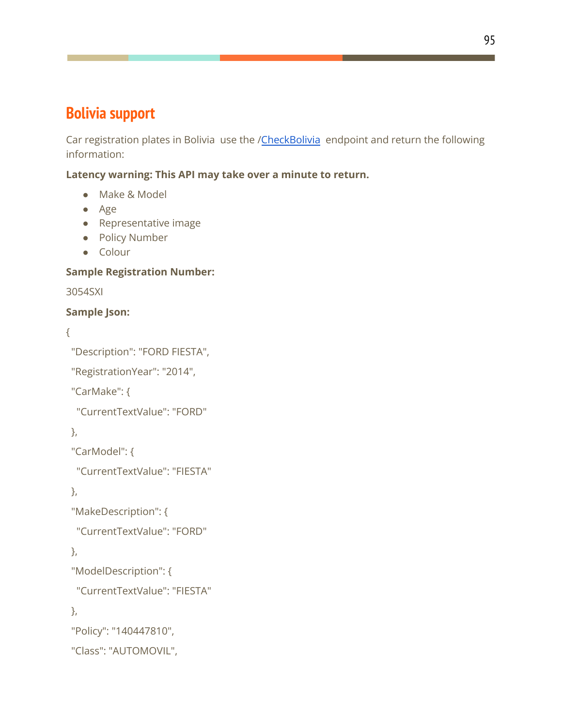### **Bolivia support**

Car registration plates in Bolivia use the /[CheckBolivia](http://bo.placaapi.com/api/reg.asmx?op=CheckBolivia) endpoint and return the following information:

**Latency warning: This API may take over a minute to return.**

- Make & Model
- Age
- Representative image
- Policy Number
- Colour

### **Sample Registration Number:**

3054SXI

### **Sample Json:**

```
{
```

```
"Description": "FORD FIESTA",
```
"RegistrationYear": "2014",

"CarMake": {

"CurrentTextValue": "FORD"

},

"CarModel": {

"CurrentTextValue": "FIESTA"

},

"MakeDescription": {

"CurrentTextValue": "FORD"

```
},
```

```
"ModelDescription": {
```
"CurrentTextValue": "FIESTA"

},

"Policy": "140447810",

```
"Class": "AUTOMOVIL",
```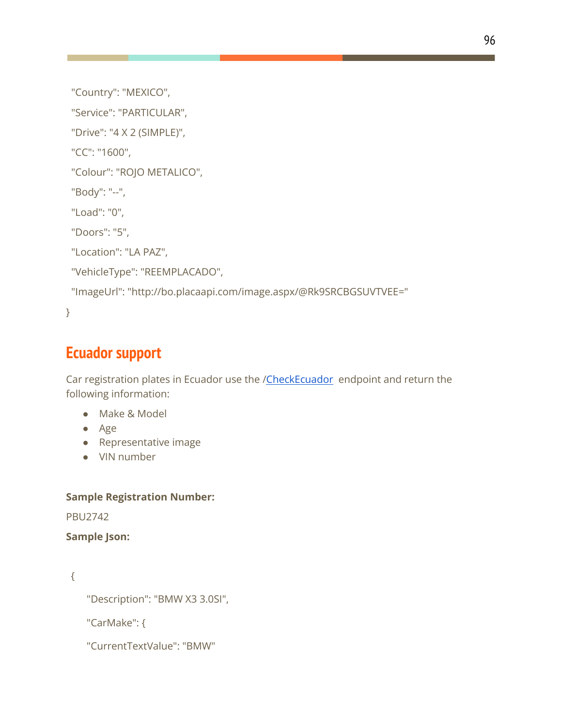```
"Country": "MEXICO",
```
"Service": "PARTICULAR",

"Drive": "4 X 2 (SIMPLE)",

"CC": "1600",

"Colour": "ROJO METALICO",

"Body": "--",

"Load": "0",

"Doors": "5",

"Location": "LA PAZ",

"VehicleType": "REEMPLACADO",

"ImageUrl": "http://bo.placaapi.com/image.aspx/@Rk9SRCBGSUVTVEE="

}

### **Ecuador support**

Car registration plates in Ecuador use the [/CheckEcuador](http://ec.placaapi.com/api/reg.asmx?op=CheckEcuador) endpoint and return the following information:

- Make & Model
- Age
- Representative image
- VIN number

### **Sample Registration Number:**

PBU2742

**Sample Json:**

{

"Description": "BMW X3 3.0SI",

"CarMake": {

"CurrentTextValue": "BMW"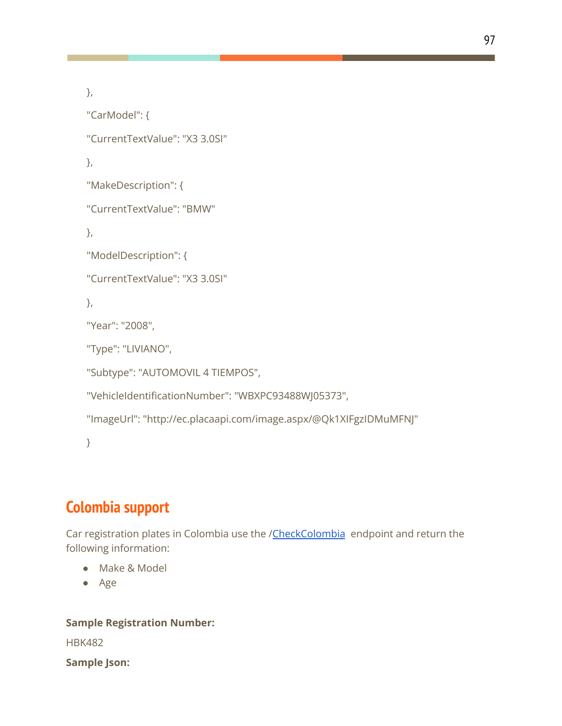```
},
"CarModel": {
"CurrentTextValue": "X3 3.0SI"
},
"MakeDescription": {
"CurrentTextValue": "BMW"
},
"ModelDescription": {
"CurrentTextValue": "X3 3.0SI"
},
"Year": "2008",
"Type": "LIVIANO",
"Subtype": "AUTOMOVIL 4 TIEMPOS",
"VehicleIdentificationNumber": "WBXPC93488WJ05373",
"ImageUrl": "http://ec.placaapi.com/image.aspx/@Qk1XIFgzIDMuMFNJ"
}
```
### **Colombia support**

Car registration plates in Colombia use the /[CheckColombia](http://co.placaapi.com/api/reg.asmx?op=CheckColombia) endpoint and return the following information:

- Make & Model
- Age

### **Sample Registration Number:**

HBK482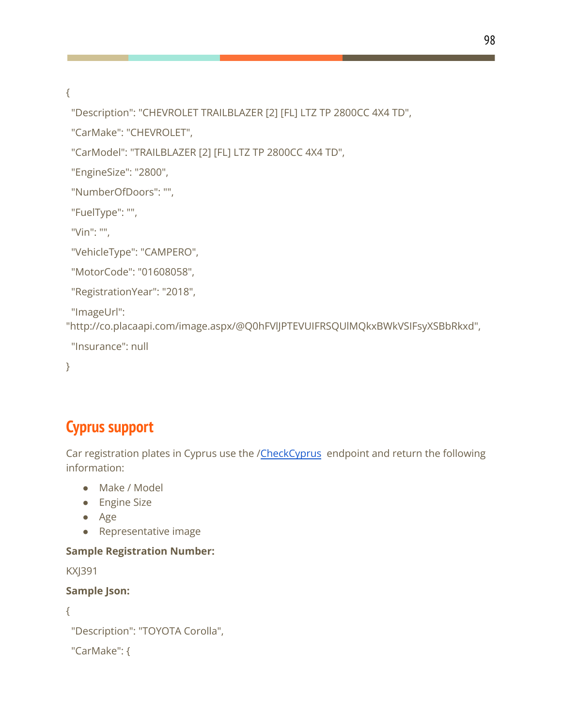{

"Description": "CHEVROLET TRAILBLAZER [2] [FL] LTZ TP 2800CC 4X4 TD",

"CarMake": "CHEVROLET",

"CarModel": "TRAILBLAZER [2] [FL] LTZ TP 2800CC 4X4 TD",

"EngineSize": "2800",

"NumberOfDoors": "",

"FuelType": "",

"Vin": "",

"VehicleType": "CAMPERO",

"MotorCode": "01608058",

"RegistrationYear": "2018",

"ImageUrl":

"http://co.placaapi.com/image.aspx/@Q0hFVlJPTEVUIFRSQUlMQkxBWkVSIFsyXSBbRkxd",

"Insurance": null

}

### **Cyprus support**

Car registration plates in Cyprus use the /[CheckCyprus](http://www.api.com.cy/api/reg.asmx?op=CheckCyprus) endpoint and return the following information:

- Make / Model
- Engine Size
- Age
- Representative image

### **Sample Registration Number:**

KXJ391

```
{
```

```
"Description": "TOYOTA Corolla",
```

```
"CarMake": {
```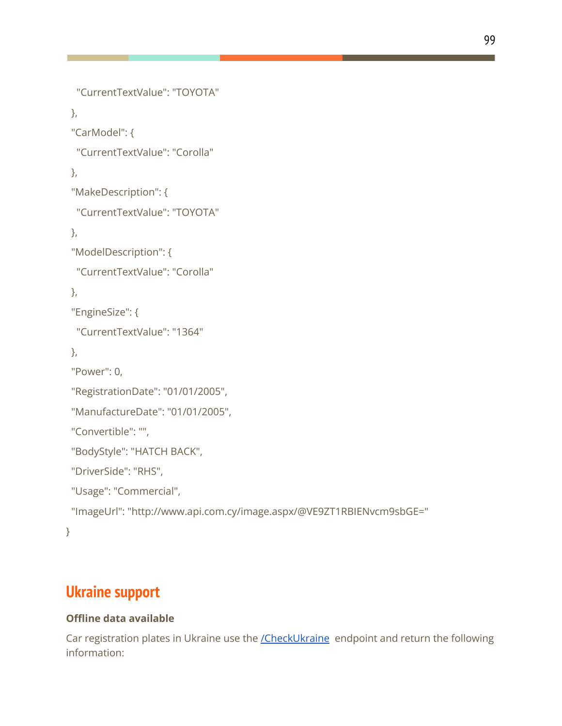```
"CurrentTextValue": "TOYOTA"
 },
 "CarModel": {
  "CurrentTextValue": "Corolla"
 },
 "MakeDescription": {
  "CurrentTextValue": "TOYOTA"
 },
 "ModelDescription": {
  "CurrentTextValue": "Corolla"
 },
 "EngineSize": {
  "CurrentTextValue": "1364"
},
 "Power": 0,
 "RegistrationDate": "01/01/2005",
 "ManufactureDate": "01/01/2005",
 "Convertible": "",
 "BodyStyle": "HATCH BACK",
 "DriverSide": "RHS",
 "Usage": "Commercial",
 "ImageUrl": "http://www.api.com.cy/image.aspx/@VE9ZT1RBIENvcm9sbGE="
}
```
### **Ukraine support**

### **Offline data available**

Car registration plates in Ukraine use the **[/CheckUkraine](http://api.dn.ua/api/reg.asmx?op=CheckUkraine)** endpoint and return the following information: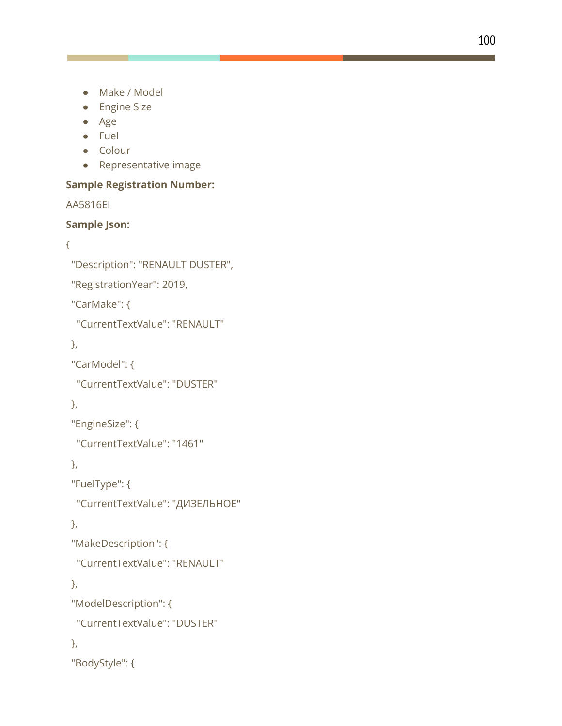- Make / Model
- Engine Size
- Age
- Fuel
- Colour
- Representative image

#### Sample Registration Number:

A A 5 8 1 6 EI

### **Sample J s o n :**

```
{
```

```
"Description": "RENAULT DUSTER",
```
"RegistrationYear": 2019,

"CarMake": {

"CurrentTextValue": "RENAULT"

} ,

"CarModel": {

```
"CurrentTextValue": "DUSTER"
```
} ,

```
"EngineSize": {
```
"CurrentTextValue": "1461"

} ,

" F u elT y p e ": {

```
"CurrentTextValue": "ДИЗЕЛЬНОЕ"
```
} ,

```
"MakeDescription": {
```
"CurrentTextValue": "RENAULT"

} ,

```
"
M
o
d
elD
e
s
c
rip
tio
n
": {
```

```
"CurrentTextValue": "DUSTER"
```
} ,

```
"
B
o
d
y
S
t
yle
": {
```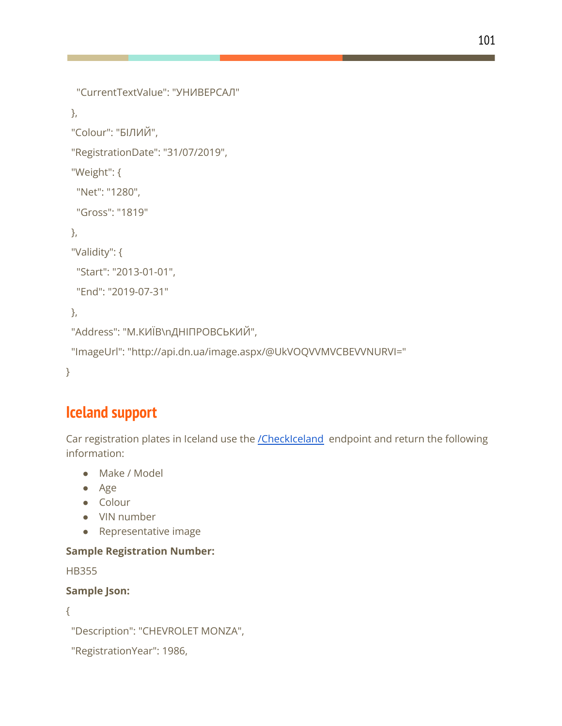```
"CurrentTextValue": "УНИВЕРСАЛ"
},
"Colour": "БІЛИЙ",
"RegistrationDate": "31/07/2019",
"Weight": {
 "Net": "1280",
 "Gross": "1819"
},
"Validity": {
 "Start": "2013-01-01",
 "End": "2019-07-31"
},
```

```
"Address": "М.КИЇВ\nДНІПРОВСЬКИЙ",
```

```
"ImageUrl": "http://api.dn.ua/image.aspx/@UkVOQVVMVCBEVVNURVI="
```
}

### **Iceland support**

Car registration plates in Iceland use the [/CheckIceland](http://www.skraningarnumer.is/api/reg.asmx?op=CheckIceland) endpoint and return the following information:

- Make / Model
- Age
- Colour
- VIN number
- Representative image

### **Sample Registration Number:**

HB355

```
{
```

```
"Description": "CHEVROLET MONZA",
```

```
"RegistrationYear": 1986,
```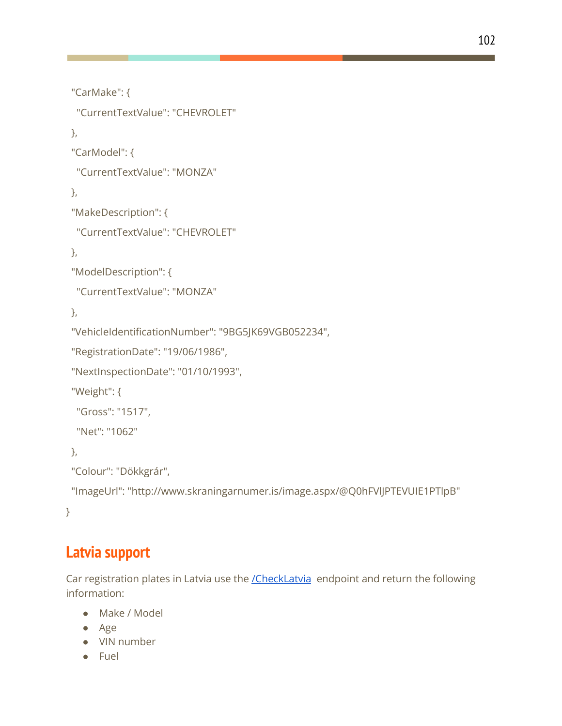```
"CarMake": {
 "CurrentTextValue": "CHEVROLET"
},
"CarModel": {
 "CurrentTextValue": "MONZA"
},
"MakeDescription": {
 "CurrentTextValue": "CHEVROLET"
},
"ModelDescription": {
 "CurrentTextValue": "MONZA"
},
"VehicleIdentificationNumber": "9BG5JK69VGB052234",
"RegistrationDate": "19/06/1986",
"NextInspectionDate": "01/10/1993",
"Weight": {
 "Gross": "1517",
 "Net": "1062"
},
"Colour": "Dökkgrár",
"ImageUrl": "http://www.skraningarnumer.is/image.aspx/@Q0hFVlJPTEVUIE1PTlpB"
```
}

### **Latvia support**

Car registration plates in Latvia use the **[/CheckLatvia](http://www.autoapi.lv/api/reg.asmx?op=CheckLatvia)** endpoint and return the following information:

- Make / Model
- Age
- VIN number
- Fuel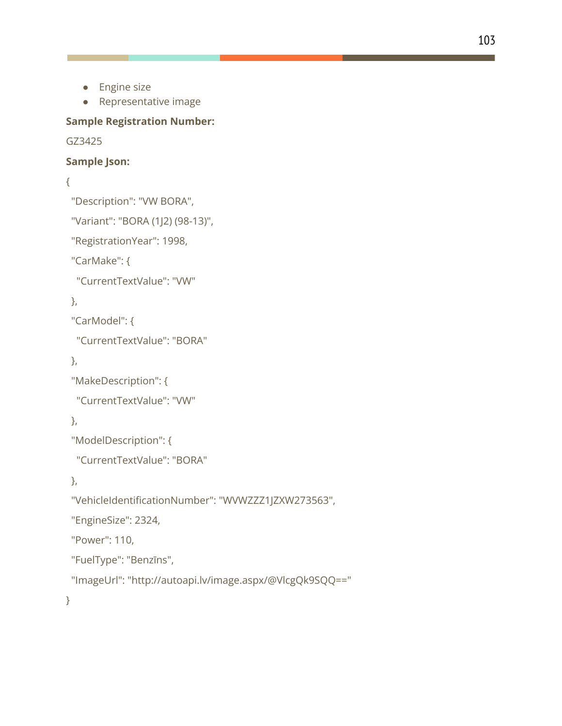- Engine size
- Representative image

#### **Sample Registration Number:**

#### GZ3425

#### **Sample Json:**

{

"Description": "VW BORA",

```
"Variant": "BORA (1J2) (98-13)",
```
"RegistrationYear": 1998,

"CarMake": {

"CurrentTextValue": "VW"

},

"CarModel": {

"CurrentTextValue": "BORA"

```
},
```

```
"MakeDescription": {
```
"CurrentTextValue": "VW"

```
},
```

```
"ModelDescription": {
```

```
"CurrentTextValue": "BORA"
```
},

"VehicleIdentificationNumber": "WVWZZZ1JZXW273563",

```
"EngineSize": 2324,
```
"Power": 110,

```
"FuelType": "Benzīns",
```

```
"ImageUrl": "http://autoapi.lv/image.aspx/@VlcgQk9SQQ=="
```
}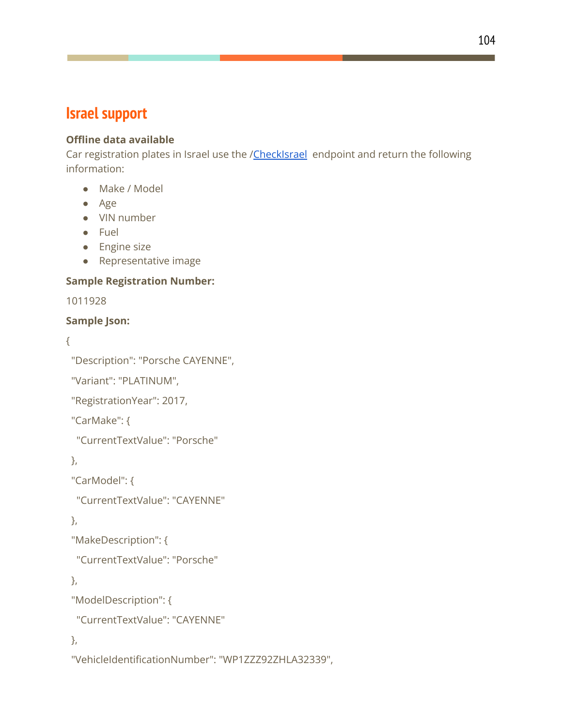### **Israel support**

### **Offline data available**

Car registration plates in Israel use the [/CheckIsrael](http://www.rechevapi.co.il/api/reg.asmx?op=CheckIsrael) endpoint and return the following information:

- Make / Model
- Age
- VIN number
- Fuel
- Engine size
- Representative image

### **Sample Registration Number:**

1011928

### **Sample Json:**

```
{
```
"Description": "Porsche CAYENNE",

"Variant": "PLATINUM",

"RegistrationYear": 2017,

"CarMake": {

"CurrentTextValue": "Porsche"

},

"CarModel": {

"CurrentTextValue": "CAYENNE"

},

```
"MakeDescription": {
```
"CurrentTextValue": "Porsche"

},

```
"ModelDescription": {
```
"CurrentTextValue": "CAYENNE"

},

"VehicleIdentificationNumber": "WP1ZZZ92ZHLA32339",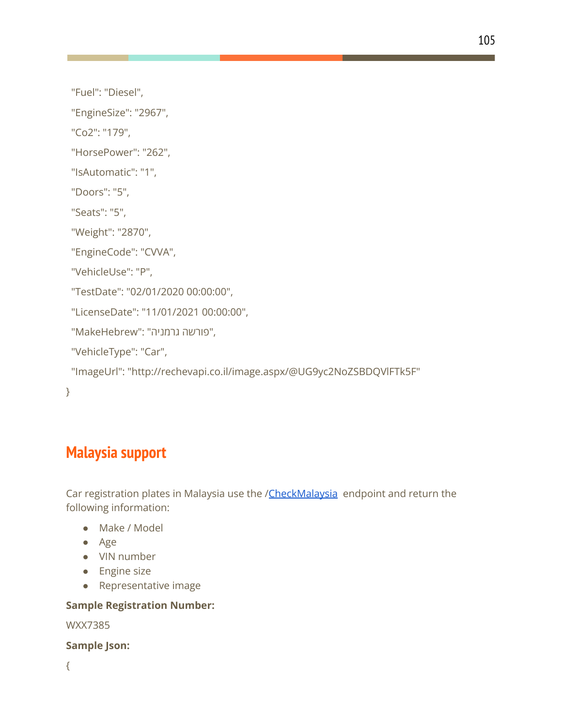"Fuel": "Diesel",

"EngineSize": "2967",

"Co2": "179",

"HorsePower": "262",

"IsAutomatic": "1",

"Doors": "5",

"Seats": "5",

"Weight": "2870",

"EngineCode": "CVVA",

"VehicleUse": "P",

"TestDate": "02/01/2020 00:00:00",

"LicenseDate": "11/01/2021 00:00:00",

,"פורשה גרמניה" :"MakeHebrew"

"VehicleType": "Car",

"ImageUrl": "http://rechevapi.co.il/image.aspx/@UG9yc2NoZSBDQVlFTk5F"

}

### **Malaysia support**

Car registration plates in Malaysia use the /[CheckMalaysia](http://www.vehicleapi.com.my/api/reg.asmx?op=CheckMalaysia) endpoint and return the following information:

- Make / Model
- Age
- VIN number
- Engine size
- Representative image

#### **Sample Registration Number:**

WXX7385

**Sample Json:**

{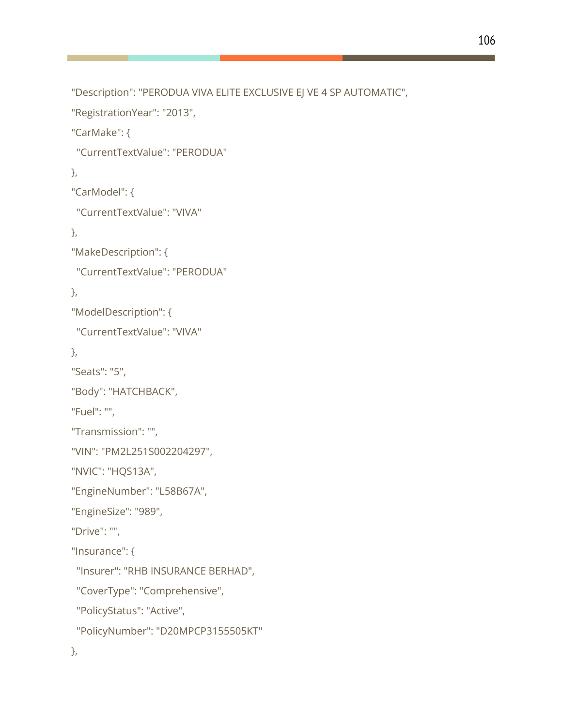```
"Description": "PERODUA VIVA ELITE EXCLUSIVE EJ VE 4 SP AUTOMATIC",
```

```
"RegistrationYear": "2013",
```
"CarMake": {

```
"CurrentTextValue": "PERODUA"
```

```
},
```
"CarModel": {

"CurrentTextValue": "VIVA"

},

"MakeDescription": {

"CurrentTextValue": "PERODUA"

},

"ModelDescription": {

"CurrentTextValue": "VIVA"

},

"Seats": "5",

"Body": "HATCHBACK",

"Fuel": "",

"Transmission": "",

```
"VIN": "PM2L251S002204297",
```
"NVIC": "HQS13A",

"EngineNumber": "L58B67A",

"EngineSize": "989",

"Drive": "",

"Insurance": {

"Insurer": "RHB INSURANCE BERHAD",

"CoverType": "Comprehensive",

"PolicyStatus": "Active",

"PolicyNumber": "D20MPCP3155505KT"

},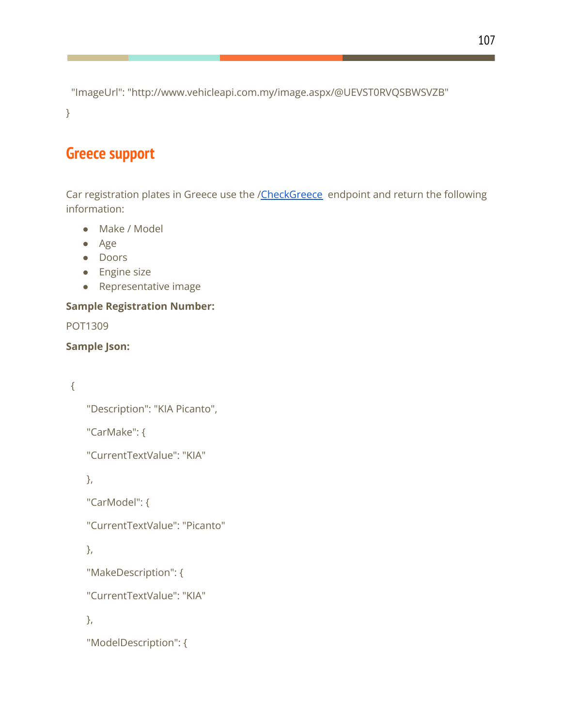"ImageUrl": "http://www.vehicleapi.com.my/image.aspx/@UEVST0RVQSBWSVZB" }

### **Greece support**

Car registration plates in Greece use the [/CheckGreece](http://www.xn--mxaaisbftw.gr/api/reg.asmx?op=CheckGreece) endpoint and return the following information:

- Make / Model
- Age
- Doors
- Engine size
- Representative image

### **Sample Registration Number:**

POT1309

### **Sample Json:**

### {

```
"Description": "KIA Picanto",
```
"CarMake": {

```
"CurrentTextValue": "KIA"
```
},

"CarModel": {

"CurrentTextValue": "Picanto"

},

"MakeDescription": {

"CurrentTextValue": "KIA"

},

```
"ModelDescription": {
```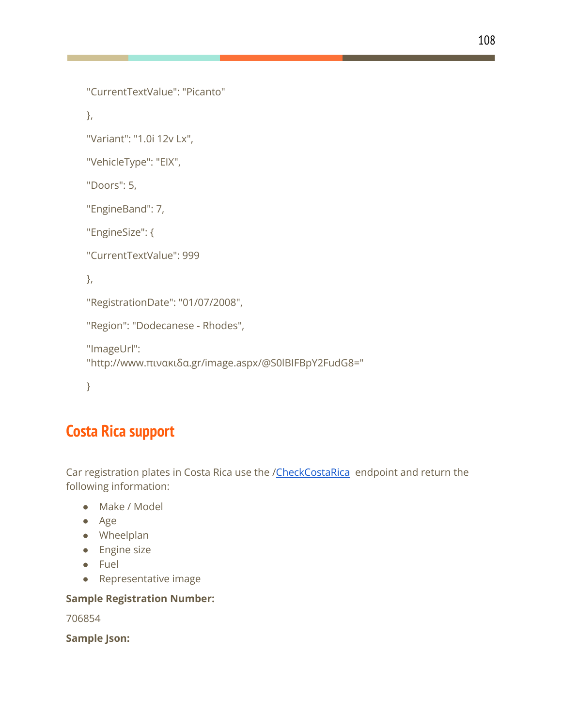```
"CurrentTextValue": "Picanto"
```
},

"Variant": "1.0i 12v Lx",

"VehicleType": "ΕΙΧ",

"Doors": 5,

"EngineBand": 7,

"EngineSize": {

"CurrentTextValue": 999

},

"RegistrationDate": "01/07/2008",

"Region": "Dodecanese - Rhodes",

```
"ImageUrl":
"http://www.πινακιδα.gr/image.aspx/@S0lBIFBpY2FudG8="
```
}

# **Costa Rica support**

Car registration plates in Costa Rica use the /[CheckCostaRica](http://www.placa.co.cr/api/reg.asmx?op=CheckCostaRica) endpoint and return the following information:

- Make / Model
- Age
- Wheelplan
- Engine size
- Fuel
- Representative image

#### **Sample Registration Number:**

706854

**Sample Json:**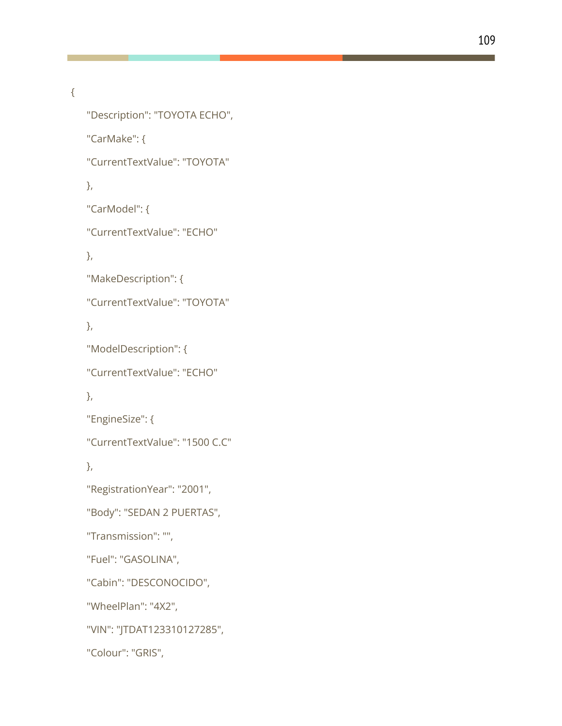```
{
```

```
"Description": "TOYOTA ECHO",
"CarMake": {
"CurrentTextValue": "TOYOTA"
},
"CarModel": {
"CurrentTextValue": "ECHO"
},
"MakeDescription": {
"CurrentTextValue": "TOYOTA"
},
"ModelDescription": {
"CurrentTextValue": "ECHO"
},
"EngineSize": {
"CurrentTextValue": "1500 C.C"
},
"RegistrationYear": "2001",
"Body": "SEDAN 2 PUERTAS",
"Transmission": "",
"Fuel": "GASOLINA",
"Cabin": "DESCONOCIDO",
"WheelPlan": "4X2",
"VIN": "JTDAT123310127285",
"Colour": "GRIS",
```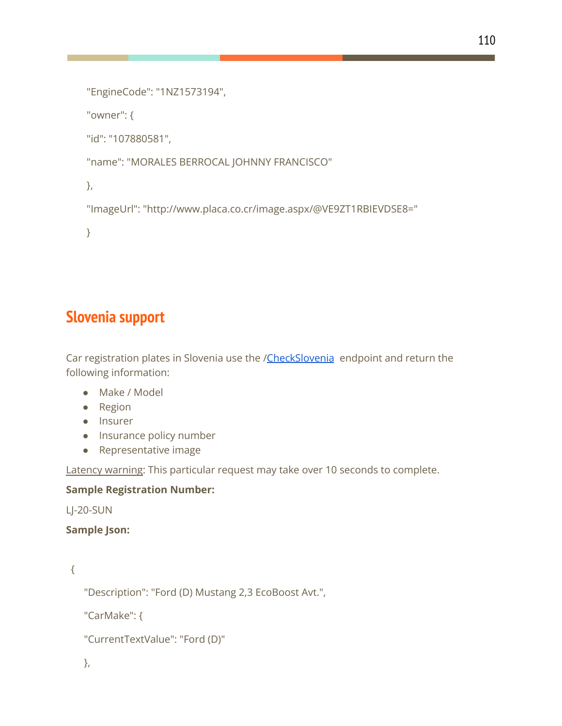```
110
```

```
"EngineCode": "1NZ1573194",
```
"owner": {

"id": "107880581",

"name": "MORALES BERROCAL JOHNNY FRANCISCO"

},

"ImageUrl": "http://www.placa.co.cr/image.aspx/@VE9ZT1RBIEVDSE8="

}

## **Slovenia support**

Car registration plates in Slovenia use the /[CheckSlovenia](http://www.registrskatablica.si/api/reg.asmx?op=CheckSlovenia) endpoint and return the following information:

- Make / Model
- Region
- Insurer
- Insurance policy number
- Representative image

Latency warning: This particular request may take over 10 seconds to complete.

#### **Sample Registration Number:**

```
LJ-20-SUN
```
#### **Sample Json:**

```
{
```
"Description": "Ford (D) Mustang 2,3 EcoBoost Avt.",

"CarMake": {

```
"CurrentTextValue": "Ford (D)"
```

```
},
```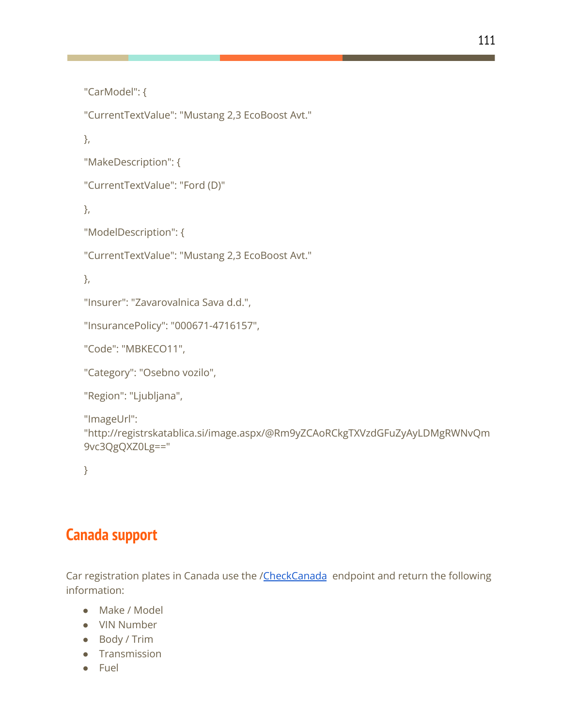```
"CarModel": {
```
"CurrentTextValue": "Mustang 2,3 EcoBoost Avt."

},

```
"MakeDescription": {
```

```
"CurrentTextValue": "Ford (D)"
```
},

```
"ModelDescription": {
```
"CurrentTextValue": "Mustang 2,3 EcoBoost Avt."

},

```
"Insurer": "Zavarovalnica Sava d.d.",
```

```
"InsurancePolicy": "000671-4716157",
```
"Code": "MBKECO11",

```
"Category": "Osebno vozilo",
```

```
"Region": "Ljubljana",
```

```
"ImageUrl":
"http://registrskatablica.si/image.aspx/@Rm9yZCAoRCkgTXVzdGFuZyAyLDMgRWNvQm
9vc3QgQXZ0Lg=="
```
}

### **Canada support**

Car registration plates in Canada use the /[CheckCanada](https://www.vehicleregistrationapi.ca/api/reg.asmx?op=CheckCanada) endpoint and return the following information:

- Make / Model
- VIN Number
- Body / Trim
- Transmission
- Fuel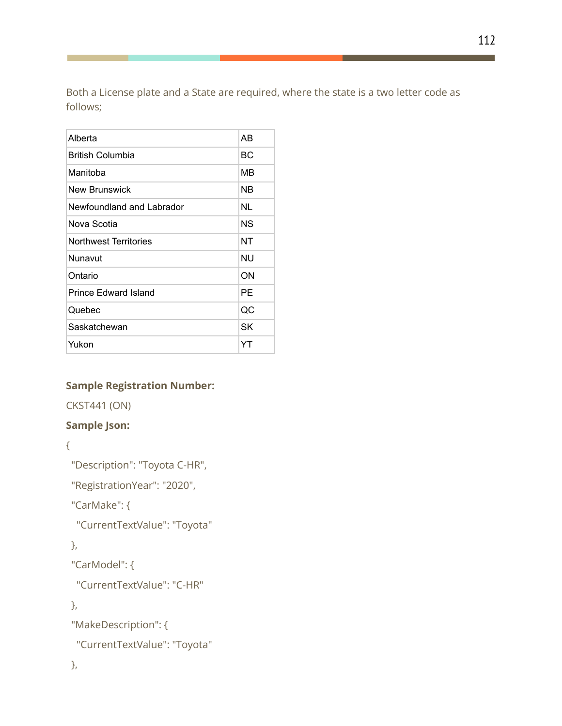Both a License plate and a State are required, where the state is a two letter code as follows;

| AB |
|----|
| ВC |
| MВ |
| ΝB |
| NL |
| ΝS |
| NΤ |
| NU |
| ON |
| PE |
| QC |
| SK |
| YT |
|    |

#### **Sample Registration Number:**

CKST441 (ON)

#### **Sample Json:**

{

"Description": "Toyota C-HR",

"RegistrationYear": "2020",

"CarMake": {

"CurrentTextValue": "Toyota"

},

"CarModel": {

"CurrentTextValue": "C-HR"

},

"MakeDescription": {

"CurrentTextValue": "Toyota"

},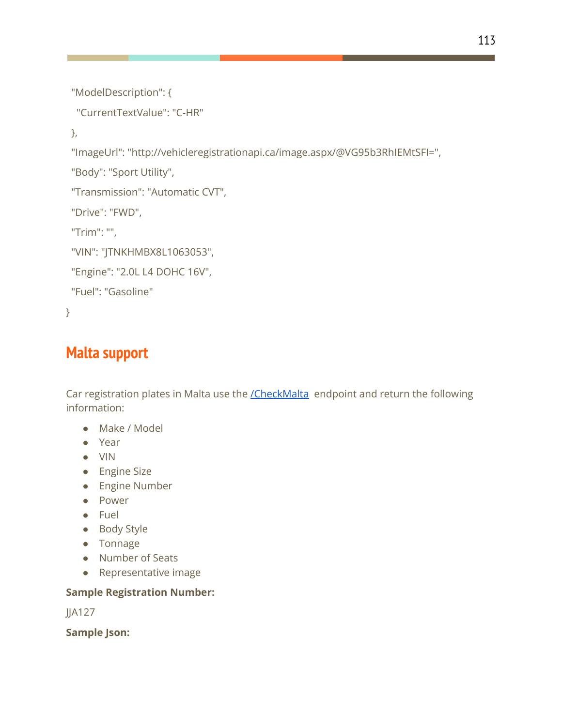```
"ModelDescription": {
```

```
"CurrentTextValue": "C-HR"
```
},

"ImageUrl": "http://vehicleregistrationapi.ca/image.aspx/@VG95b3RhIEMtSFI=",

"Body": "Sport Utility",

```
"Transmission": "Automatic CVT",
```
"Drive": "FWD",

"Trim": "",

"VIN": "JTNKHMBX8L1063053",

```
"Engine": "2.0L L4 DOHC 16V",
```

```
"Fuel": "Gasoline"
```
}

# **Malta support**

Car registration plates in Malta use the *[/CheckMalta](https://www.licenseplate.mt/api/reg.asmx?op=CheckMalta)* endpoint and return the following information:

- Make / Model
- Year
- VIN
- Engine Size
- Engine Number
- Power
- Fuel
- Body Style
- Tonnage
- Number of Seats
- Representative image

### **Sample Registration Number:**

JJA127

**Sample Json:**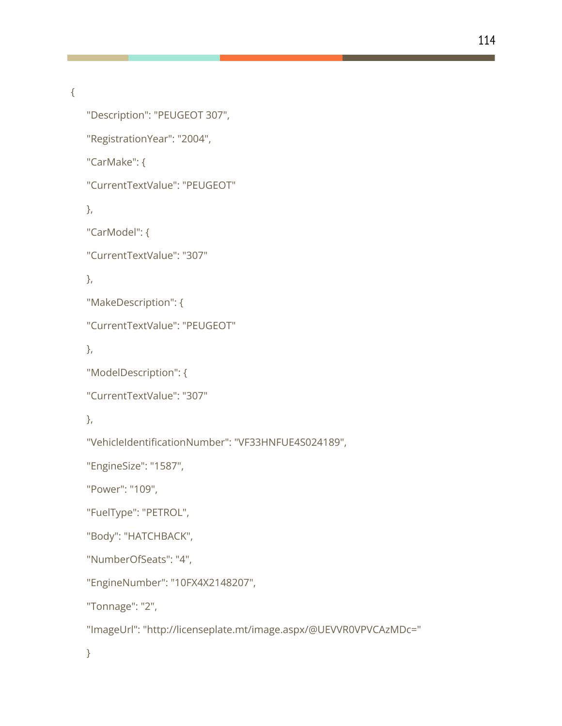```
{
```

```
"Description": "PEUGEOT 307",
"RegistrationYear": "2004",
"CarMake": {
"CurrentTextValue": "PEUGEOT"
},
"CarModel": {
"CurrentTextValue": "307"
},
"MakeDescription": {
"CurrentTextValue": "PEUGEOT"
},
"ModelDescription": {
"CurrentTextValue": "307"
},
"VehicleIdentificationNumber": "VF33HNFUE4S024189",
"EngineSize": "1587",
"Power": "109",
"FuelType": "PETROL",
"Body": "HATCHBACK",
"NumberOfSeats": "4",
"EngineNumber": "10FX4X2148207",
"Tonnage": "2",
"ImageUrl": "http://licenseplate.mt/image.aspx/@UEVVR0VPVCAzMDc="
}
```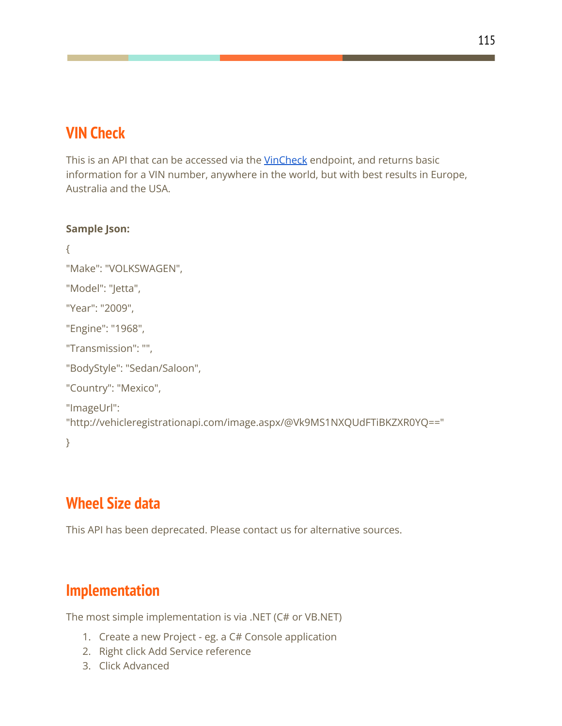## **VIN Check**

This is an API that can be accessed via the [VinCheck](https://www.regcheck.org.uk/api/reg.asmx?op=VinCheck) endpoint, and returns basic information for a VIN number, anywhere in the world, but with best results in Europe, Australia and the USA.

```
Sample Json:
```

```
{
"Make": "VOLKSWAGEN",
"Model": "Jetta",
"Year": "2009",
"Engine": "1968",
"Transmission": "",
"BodyStyle": "Sedan/Saloon",
"Country": "Mexico",
"ImageUrl":
"http://vehicleregistrationapi.com/image.aspx/@Vk9MS1NXQUdFTiBKZXR0YQ=="
}
```
# **Wheel Size data**

This API has been deprecated. Please contact us for alternative sources.

# **Implementation**

The most simple implementation is via .NET (C# or VB.NET)

- 1. Create a new Project eg. a C# Console application
- 2. Right click Add Service reference
- 3. Click Advanced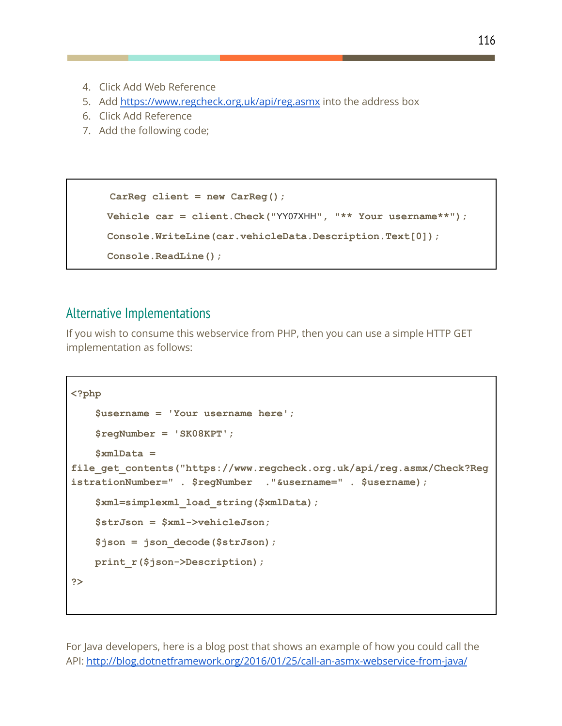- 4. Click Add Web Reference
- 5. Add [https://www.regcheck.org.uk/api/reg.asmx](http://www.regcheck.org.uk/api/reg.asmx) into the address box
- 6. Click Add Reference
- 7. Add the following code;

```
CarReg client = new CarReg();
Vehicle car = client.Check("YY07XHH", "** Your username**");
Console.WriteLine(car.vehicleData.Description.Text[0]);
Console.ReadLine();
```
#### Alternative Implementations

If you wish to consume this webservice from PHP, then you can use a simple HTTP GET implementation as follows:

```
<?php
    $username = 'Your username here';
    $regNumber = 'SK08KPT';
   $xmlData =
file_get_contents("https://www.regcheck.org.uk/api/reg.asmx/Check?Reg
istrationNumber=" . $regNumber ."&username=" . $username);
    $xml=simplexml_load_string($xmlData);
    $strJson = $xml->vehicleJson;
    $json = json_decode($strJson);
   print_r($json->Description);
?>
```
For Java developers, here is a blog post that shows an example of how you could call the API: <http://blog.dotnetframework.org/2016/01/25/call-an-asmx-webservice-from-java/>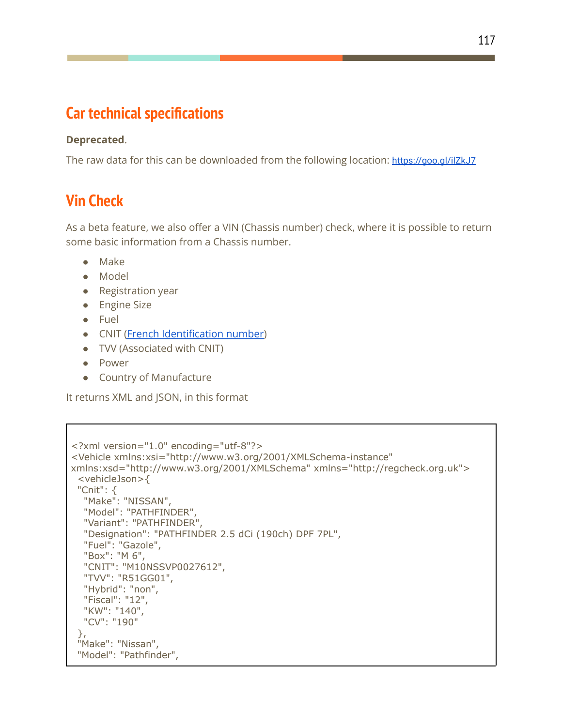## **Car technical specifications**

#### **Deprecated**.

The raw data for this can be downloaded from the following location: <https://goo.gl/ilZkJ7>

### **Vin Check**

As a beta feature, we also offer a VIN (Chassis number) check, where it is possible to return some basic information from a Chassis number.

- Make
- Model
- Registration year
- Engine Size
- Fuel
- CNIT (French [Identification](https://fr.wikipedia.org/wiki/Code_national_d%27identification_du_type) number)
- TVV (Associated with CNIT)
- Power
- Country of Manufacture

It returns XML and JSON, in this format

```
<?xml version="1.0" encoding="utf-8"?>
<Vehicle xmlns:xsi="http://www.w3.org/2001/XMLSchema-instance"
xmlns:xsd="http://www.w3.org/2001/XMLSchema" xmlns="http://regcheck.org.uk">
 <vehicleJson>{
 "Cnit": {
  "Make": "NISSAN",
  "Model": "PATHFINDER",
  "Variant": "PATHFINDER",
  "Designation": "PATHFINDER 2.5 dCi (190ch) DPF 7PL",
  "Fuel": "Gazole",
  "Box": "M 6",
  "CNIT": "M10NSSVP0027612",
  "TVV": "R51GG01",
  "Hybrid": "non",
  "Fiscal": "12",
  "KW": "140",
  "CV": "190"
 },
 "Make": "Nissan",
 "Model": "Pathfinder",
```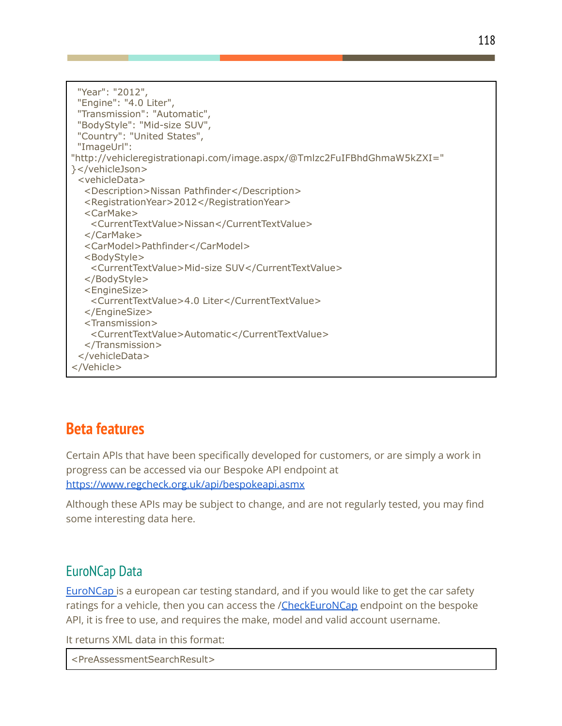"Year": "2012", "Engine": "4.0 Liter", "Transmission": "Automatic", "BodyStyle": "Mid-size SUV", "Country": "United States", "ImageUrl": "http://vehicleregistrationapi.com/image.aspx/@Tmlzc2FuIFBhdGhmaW5kZXI=" }</vehicleJson> <vehicleData> <Description>Nissan Pathfinder</Description> <RegistrationYear>2012</RegistrationYear> <CarMake> <CurrentTextValue>Nissan</CurrentTextValue> </CarMake> <CarModel>Pathfinder</CarModel> <BodyStyle> <CurrentTextValue>Mid-size SUV</CurrentTextValue> </BodyStyle> <EngineSize> <CurrentTextValue>4.0 Liter</CurrentTextValue> </EngineSize> <Transmission> <CurrentTextValue>Automatic</CurrentTextValue> </Transmission> </vehicleData> </Vehicle>

### **Beta features**

Certain APIs that have been specifically developed for customers, or are simply a work in progress can be accessed via our Bespoke API endpoint at <https://www.regcheck.org.uk/api/bespokeapi.asmx>

Although these APIs may be subject to change, and are not regularly tested, you may find some interesting data here.

### EuroNCap Data

[EuroNCap](http://www.euroncap.com) is a european car testing standard, and if you would like to get the car safety ratings for a vehicle, then you can access the /[CheckEuroNCap](https://www.regcheck.org.uk/api/bespokeapi.asmx?op=CheckEuroNCap) endpoint on the bespoke API, it is free to use, and requires the make, model and valid account username.

It returns XML data in this format:

<PreAssessmentSearchResult>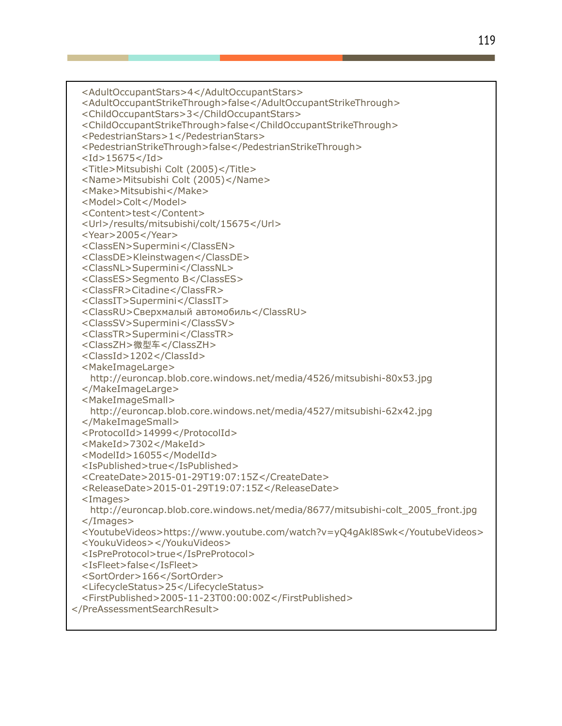<AdultOccupantStars>4</AdultOccupantStars> <AdultOccupantStrikeThrough>false</AdultOccupantStrikeThrough> <ChildOccupantStars>3</ChildOccupantStars> <ChildOccupantStrikeThrough>false</ChildOccupantStrikeThrough> <PedestrianStars>1</PedestrianStars> <PedestrianStrikeThrough>false</PedestrianStrikeThrough>  $<$ Id $>$ 15675 $<$ /Id $>$ <Title>Mitsubishi Colt (2005)</Title> <Name>Mitsubishi Colt (2005)</Name> <Make>Mitsubishi</Make> <Model>Colt</Model> <Content>test</Content> <Url>/results/mitsubishi/colt/15675</Url> <Year>2005</Year> <ClassEN>Supermini</ClassEN> <ClassDE>Kleinstwagen</ClassDE> <ClassNL>Supermini</ClassNL> <ClassES>Segmento B</ClassES> <ClassFR>Citadine</ClassFR> <ClassIT>Supermini</ClassIT> <ClassRU>Сверхмалый автомобиль</ClassRU> <ClassSV>Supermini</ClassSV> <ClassTR>Supermini</ClassTR> <ClassZH>微型车</ClassZH> <ClassId>1202</ClassId> <MakeImageLarge> http://euroncap.blob.core.windows.net/media/4526/mitsubishi-80x53.jpg </MakeImageLarge> <MakeImageSmall> http://euroncap.blob.core.windows.net/media/4527/mitsubishi-62x42.jpg </MakeImageSmall> <ProtocolId>14999</ProtocolId> <MakeId>7302</MakeId> <ModelId>16055</ModelId> <IsPublished>true</IsPublished> <CreateDate>2015-01-29T19:07:15Z</CreateDate> <ReleaseDate>2015-01-29T19:07:15Z</ReleaseDate> <Images> http://euroncap.blob.core.windows.net/media/8677/mitsubishi-colt\_2005\_front.jpg </Images> <YoutubeVideos>https://www.youtube.com/watch?v=yQ4gAkl8Swk</YoutubeVideos> <YoukuVideos></YoukuVideos> <IsPreProtocol>true</IsPreProtocol> <IsFleet>false</IsFleet> <SortOrder>166</SortOrder> <LifecycleStatus>25</LifecycleStatus> <FirstPublished>2005-11-23T00:00:00Z</FirstPublished> </PreAssessmentSearchResult>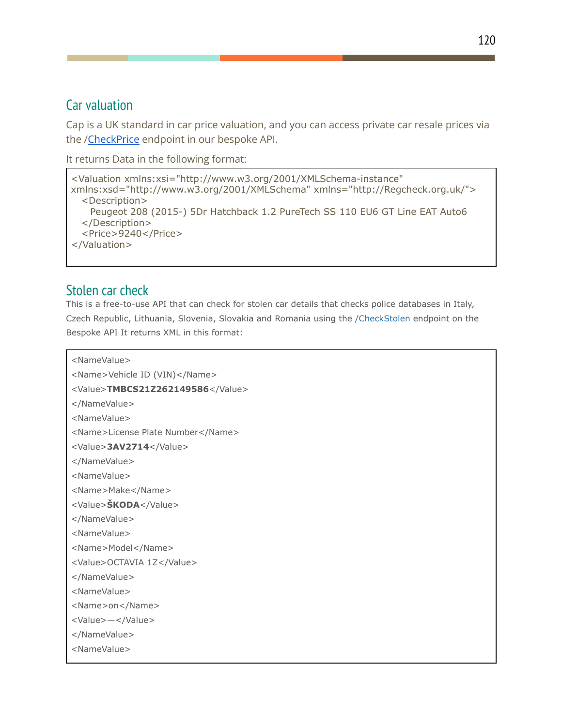### Car valuation

Cap is a UK standard in car price valuation, and you can access private car resale prices via the /[CheckPrice](https://www.regcheck.org.uk/api/bespokeapi.asmx?op=CheckPrice) endpoint in our bespoke API.

```
It returns Data in the following format:
```
<Valuation xmlns:xsi="http://www.w3.org/2001/XMLSchema-instance" xmlns:xsd="http://www.w3.org/2001/XMLSchema" xmlns="http://Regcheck.org.uk/"> <Description> Peugeot 208 (2015-) 5Dr Hatchback 1.2 PureTech SS 110 EU6 GT Line EAT Auto6 </Description> <Price>9240</Price> </Valuation>

### Stolen car check

This is a free-to-use API that can check for stolen car details that checks police databases in Italy, Czech Republic, Lithuania, Slovenia, Slovakia and Romania using the /[CheckStolen](https://www.regcheck.org.uk/api/bespokeapi.asmx?op=CheckStolen) endpoint on the Bespoke API It returns XML in this format:

<NameValue>

```
<Name>Vehicle ID (VIN)</Name>
<Value>TMBCS21Z262149586</Value>
</NameValue>
<NameValue>
<Name>License Plate Number</Name>
<Value>3AV2714</Value>
</NameValue>
<NameValue>
<Name>Make</Name>
<Value>ŠKODA</Value>
</NameValue>
<NameValue>
<Name>Model</Name>
<Value>OCTAVIA 1Z</Value>
</NameValue>
<NameValue>
<Name>on</Name>
<Value>—</Value>
</NameValue>
<NameValue>
```